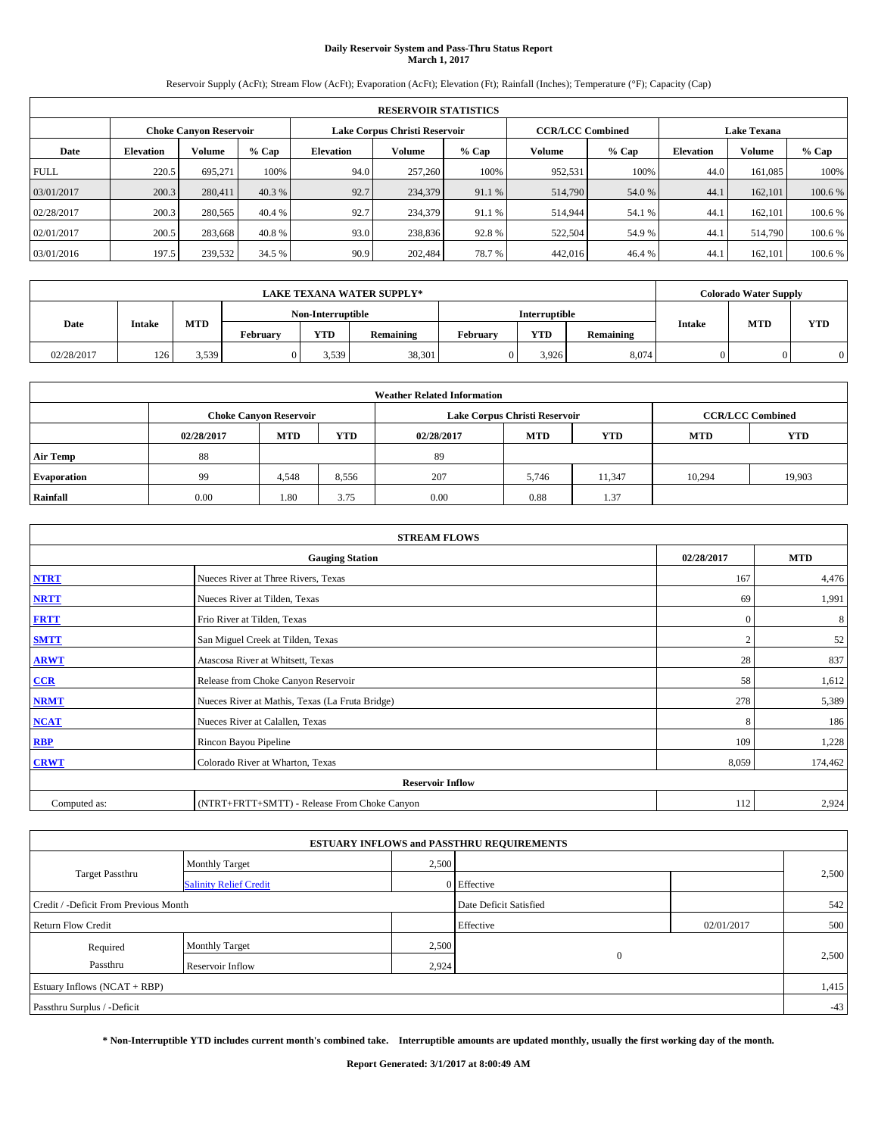# **Daily Reservoir System and Pass-Thru Status Report March 1, 2017**

Reservoir Supply (AcFt); Stream Flow (AcFt); Evaporation (AcFt); Elevation (Ft); Rainfall (Inches); Temperature (°F); Capacity (Cap)

|             | <b>RESERVOIR STATISTICS</b> |                               |         |                               |               |         |                         |         |                    |         |         |
|-------------|-----------------------------|-------------------------------|---------|-------------------------------|---------------|---------|-------------------------|---------|--------------------|---------|---------|
|             |                             | <b>Choke Canvon Reservoir</b> |         | Lake Corpus Christi Reservoir |               |         | <b>CCR/LCC Combined</b> |         | <b>Lake Texana</b> |         |         |
| Date        | <b>Elevation</b>            | Volume                        | $%$ Cap | <b>Elevation</b>              | <b>Volume</b> | $%$ Cap | Volume                  | $%$ Cap | <b>Elevation</b>   | Volume  | % Cap   |
| <b>FULL</b> | 220.5                       | 695.271                       | 100%    | 94.0                          | 257,260       | 100%    | 952,531                 | 100%    | 44.0               | 161,085 | 100%    |
| 03/01/2017  | 200.3                       | 280,411                       | 40.3 %  | 92.7                          | 234,379       | 91.1 %  | 514,790                 | 54.0 %  | 44.1               | 162,101 | 100.6 % |
| 02/28/2017  | 200.3                       | 280,565                       | 40.4 %  | 92.7                          | 234,379       | 91.1 %  | 514,944                 | 54.1 %  | 44.1               | 162,101 | 100.6%  |
| 02/01/2017  | 200.5                       | 283.668                       | 40.8%   | 93.0                          | 238,836       | 92.8%   | 522,504                 | 54.9 %  | 44.1               | 514,790 | 100.6 % |
| 03/01/2016  | 197.5                       | 239,532                       | 34.5 %  | 90.9                          | 202,484       | 78.7%   | 442,016                 | 46.4 %  | 44.1               | 162,101 | 100.6%  |

|                                                                                   |     |       |  |                   | <b>LAKE TEXANA WATER SUPPLY*</b> |            |                      |               |            | <b>Colorado Water Supply</b> |  |
|-----------------------------------------------------------------------------------|-----|-------|--|-------------------|----------------------------------|------------|----------------------|---------------|------------|------------------------------|--|
|                                                                                   |     |       |  | Non-Interruptible |                                  |            | <b>Interruptible</b> |               |            |                              |  |
| <b>MTD</b><br>Date<br><b>Intake</b><br><b>YTD</b><br><b>February</b><br>Remaining |     |       |  |                   | February                         | <b>YTD</b> | Remaining            | <b>Intake</b> | <b>MTD</b> | <b>YTD</b>                   |  |
| 02/28/2017                                                                        | 126 | 3,539 |  | 3,539             | 38,301                           |            | 3.926                | 8,074         |            |                              |  |

| <b>Weather Related Information</b> |            |                               |            |            |                               |            |                         |            |  |  |  |
|------------------------------------|------------|-------------------------------|------------|------------|-------------------------------|------------|-------------------------|------------|--|--|--|
|                                    |            | <b>Choke Canyon Reservoir</b> |            |            | Lake Corpus Christi Reservoir |            | <b>CCR/LCC Combined</b> |            |  |  |  |
|                                    | 02/28/2017 | <b>MTD</b>                    | <b>YTD</b> | 02/28/2017 | <b>MTD</b>                    | <b>YTD</b> | <b>MTD</b>              | <b>YTD</b> |  |  |  |
| <b>Air Temp</b>                    | 88         |                               |            | 89         |                               |            |                         |            |  |  |  |
| <b>Evaporation</b>                 | 99         | 4,548                         | 8,556      | 207        | 5,746                         | 11,347     | 10,294                  | 19,903     |  |  |  |
| Rainfall                           | 0.00       | 1.80                          | 3.75       | 0.00       | 0.88                          | 1.37       |                         |            |  |  |  |

|              | <b>STREAM FLOWS</b>                             |              |            |  |  |  |  |  |  |  |
|--------------|-------------------------------------------------|--------------|------------|--|--|--|--|--|--|--|
|              | <b>Gauging Station</b>                          | 02/28/2017   | <b>MTD</b> |  |  |  |  |  |  |  |
| <b>NTRT</b>  | Nueces River at Three Rivers, Texas             | 167          | 4,476      |  |  |  |  |  |  |  |
| <b>NRTT</b>  | Nueces River at Tilden, Texas                   | 69           | 1,991      |  |  |  |  |  |  |  |
| <b>FRTT</b>  | Frio River at Tilden, Texas                     | $\mathbf{0}$ | 8          |  |  |  |  |  |  |  |
| <b>SMTT</b>  | San Miguel Creek at Tilden, Texas               |              | 52         |  |  |  |  |  |  |  |
| <b>ARWT</b>  | Atascosa River at Whitsett, Texas               | 28           | 837        |  |  |  |  |  |  |  |
| $CCR$        | Release from Choke Canyon Reservoir             | 58           | 1,612      |  |  |  |  |  |  |  |
| <b>NRMT</b>  | Nueces River at Mathis, Texas (La Fruta Bridge) | 278          | 5,389      |  |  |  |  |  |  |  |
| <b>NCAT</b>  | Nueces River at Calallen, Texas                 | 8            | 186        |  |  |  |  |  |  |  |
| RBP          | Rincon Bayou Pipeline                           | 109          | 1,228      |  |  |  |  |  |  |  |
| <b>CRWT</b>  | Colorado River at Wharton, Texas                | 8,059        | 174,462    |  |  |  |  |  |  |  |
|              | <b>Reservoir Inflow</b>                         |              |            |  |  |  |  |  |  |  |
| Computed as: | (NTRT+FRTT+SMTT) - Release From Choke Canyon    |              |            |  |  |  |  |  |  |  |

|                                       |                               |                        | <b>ESTUARY INFLOWS and PASSTHRU REQUIREMENTS</b> |            |       |
|---------------------------------------|-------------------------------|------------------------|--------------------------------------------------|------------|-------|
|                                       | <b>Monthly Target</b>         | 2,500                  |                                                  |            |       |
| <b>Target Passthru</b>                | <b>Salinity Relief Credit</b> |                        | 0 Effective                                      |            | 2,500 |
| Credit / -Deficit From Previous Month |                               | Date Deficit Satisfied |                                                  | 542        |       |
| <b>Return Flow Credit</b>             |                               |                        | Effective                                        | 02/01/2017 | 500   |
| Required                              | <b>Monthly Target</b>         | 2,500                  |                                                  |            |       |
| Passthru                              | Reservoir Inflow              | 2,924                  | $\mathbf{0}$                                     |            | 2,500 |
| Estuary Inflows (NCAT + RBP)          |                               |                        |                                                  |            | 1,415 |
| Passthru Surplus / -Deficit           |                               |                        |                                                  |            | $-43$ |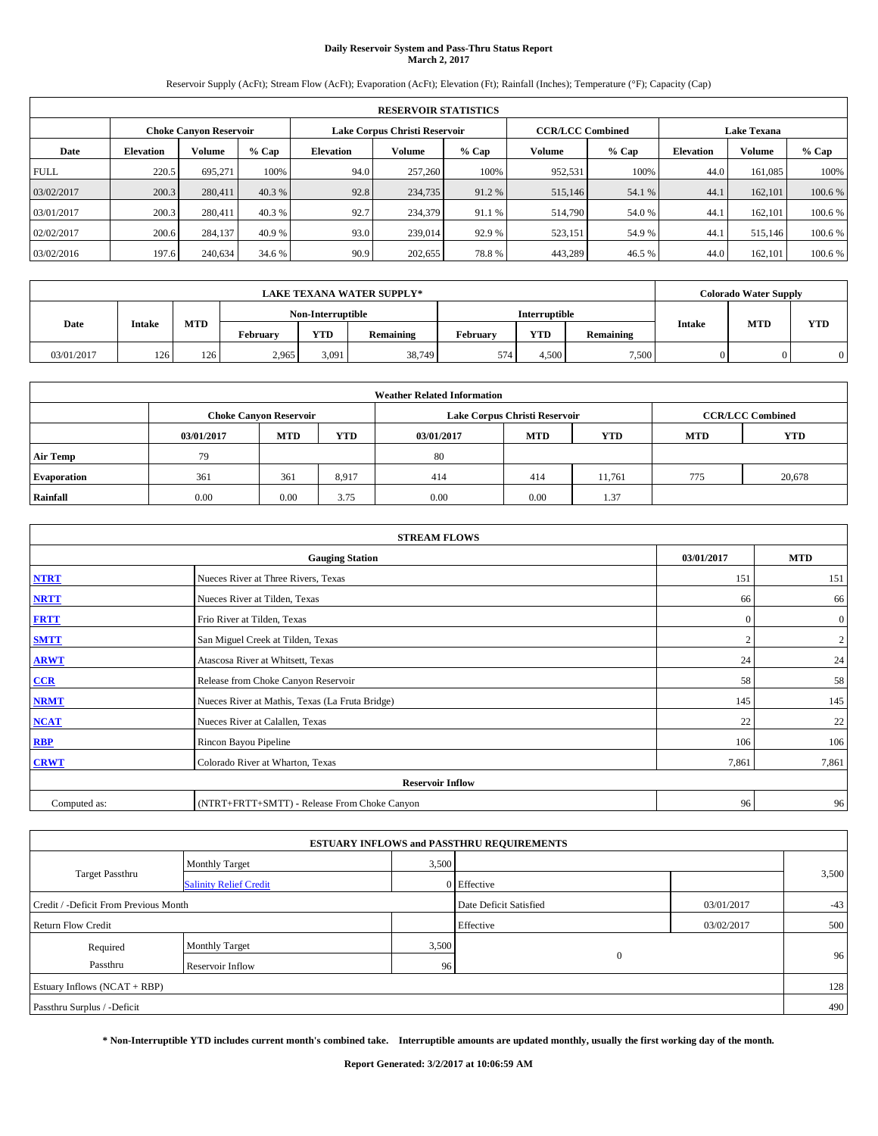# **Daily Reservoir System and Pass-Thru Status Report March 2, 2017**

Reservoir Supply (AcFt); Stream Flow (AcFt); Evaporation (AcFt); Elevation (Ft); Rainfall (Inches); Temperature (°F); Capacity (Cap)

|             | <b>RESERVOIR STATISTICS</b> |                        |         |                                                          |         |         |         |         |                    |               |         |  |
|-------------|-----------------------------|------------------------|---------|----------------------------------------------------------|---------|---------|---------|---------|--------------------|---------------|---------|--|
|             |                             | Choke Canvon Reservoir |         | <b>CCR/LCC Combined</b><br>Lake Corpus Christi Reservoir |         |         |         |         | <b>Lake Texana</b> |               |         |  |
| Date        | <b>Elevation</b>            | Volume                 | $%$ Cap | <b>Elevation</b>                                         | Volume  | $%$ Cap | Volume  | $%$ Cap | <b>Elevation</b>   | <b>Volume</b> | % Cap   |  |
| <b>FULL</b> | 220.5                       | 695.271                | 100%    | 94.0                                                     | 257,260 | 100%    | 952,531 | 100%    | 44.0               | 161.085       | 100%    |  |
| 03/02/2017  | 200.3                       | 280,411                | 40.3 %  | 92.8                                                     | 234,735 | 91.2 %  | 515,146 | 54.1 %  | 44.1               | 162,101       | 100.6 % |  |
| 03/01/2017  | 200.3                       | 280,411                | 40.3 %  | 92.7                                                     | 234,379 | 91.1 %  | 514,790 | 54.0 %  | 44.                | 162,101       | 100.6 % |  |
| 02/02/2017  | 200.6                       | 284,137                | 40.9 %  | 93.0                                                     | 239,014 | 92.9 %  | 523,151 | 54.9 %  | 44.1               | 515,146       | 100.6 % |  |
| 03/02/2016  | 197.6                       | 240,634                | 34.6 %  | 90.9                                                     | 202,655 | 78.8%   | 443,289 | 46.5 %  | 44.0               | 162,101       | 100.6 % |  |

| <b>LAKE TEXANA WATER SUPPLY*</b><br>Interruptible<br>Non-Interruptible<br><b>MTD</b><br><b>Intake</b> |     |     |          |            |           |          |            |           | <b>Colorado Water Supply</b> |            |     |
|-------------------------------------------------------------------------------------------------------|-----|-----|----------|------------|-----------|----------|------------|-----------|------------------------------|------------|-----|
|                                                                                                       |     |     |          |            |           |          |            |           |                              |            |     |
| Date                                                                                                  |     |     | February | <b>YTD</b> | Remaining | February | <b>YTD</b> | Remaining | <b>Intake</b>                | <b>MTD</b> | YTD |
| 03/01/2017                                                                                            | 126 | 126 | 2.965    | 3.091      | 38,749    | 574      | 4.500      | 7,500     | $\Omega$                     |            |     |

| <b>Weather Related Information</b> |            |                               |            |            |                               |                         |            |            |  |  |  |
|------------------------------------|------------|-------------------------------|------------|------------|-------------------------------|-------------------------|------------|------------|--|--|--|
|                                    |            | <b>Choke Canyon Reservoir</b> |            |            | Lake Corpus Christi Reservoir | <b>CCR/LCC Combined</b> |            |            |  |  |  |
|                                    | 03/01/2017 | <b>MTD</b>                    | <b>YTD</b> | 03/01/2017 | <b>MTD</b>                    | <b>YTD</b>              | <b>MTD</b> | <b>YTD</b> |  |  |  |
| <b>Air Temp</b>                    | 79         |                               |            | 80         |                               |                         |            |            |  |  |  |
| <b>Evaporation</b>                 | 361        | 361                           | 8,917      | 414        | 414                           | 11.761                  | 775        | 20,678     |  |  |  |
| Rainfall                           | 0.00       | 0.00                          | 3.75       | 0.00       | 0.00                          | 1.37                    |            |            |  |  |  |

|              | <b>STREAM FLOWS</b>                             |            |                |  |  |  |  |  |  |
|--------------|-------------------------------------------------|------------|----------------|--|--|--|--|--|--|
|              | <b>Gauging Station</b>                          | 03/01/2017 | <b>MTD</b>     |  |  |  |  |  |  |
| <b>NTRT</b>  | Nueces River at Three Rivers, Texas             | 151        | 151            |  |  |  |  |  |  |
| <b>NRTT</b>  | Nueces River at Tilden, Texas                   | 66         | 66             |  |  |  |  |  |  |
| <b>FRTT</b>  | Frio River at Tilden, Texas                     | $\theta$   | $\overline{0}$ |  |  |  |  |  |  |
| <b>SMTT</b>  | San Miguel Creek at Tilden, Texas               |            | $\overline{2}$ |  |  |  |  |  |  |
| <b>ARWT</b>  | Atascosa River at Whitsett, Texas               | 24         | 24             |  |  |  |  |  |  |
| $CCR$        | Release from Choke Canyon Reservoir             | 58         | 58             |  |  |  |  |  |  |
| <b>NRMT</b>  | Nueces River at Mathis, Texas (La Fruta Bridge) | 145        | 145            |  |  |  |  |  |  |
| <b>NCAT</b>  | Nueces River at Calallen, Texas                 | 22         | 22             |  |  |  |  |  |  |
| RBP          | Rincon Bayou Pipeline                           | 106        | 106            |  |  |  |  |  |  |
| <b>CRWT</b>  | Colorado River at Wharton, Texas                | 7,861      | 7,861          |  |  |  |  |  |  |
|              | <b>Reservoir Inflow</b>                         |            |                |  |  |  |  |  |  |
| Computed as: | (NTRT+FRTT+SMTT) - Release From Choke Canyon    | 96         | 96             |  |  |  |  |  |  |

|                                       |                               |                        | <b>ESTUARY INFLOWS and PASSTHRU REQUIREMENTS</b> |            |       |  |
|---------------------------------------|-------------------------------|------------------------|--------------------------------------------------|------------|-------|--|
|                                       | <b>Monthly Target</b>         | 3,500                  |                                                  |            |       |  |
| <b>Target Passthru</b>                | <b>Salinity Relief Credit</b> |                        | 0 Effective                                      |            | 3,500 |  |
| Credit / -Deficit From Previous Month |                               | Date Deficit Satisfied | 03/01/2017                                       | $-43$      |       |  |
| Return Flow Credit                    |                               |                        | Effective                                        | 03/02/2017 | 500   |  |
| Required                              | <b>Monthly Target</b>         | 3,500                  |                                                  |            |       |  |
| Passthru                              | <b>Reservoir Inflow</b>       | 96                     | $\mathbf{0}$                                     |            | 96    |  |
| Estuary Inflows $(NCAT + RBP)$        |                               |                        |                                                  |            | 128   |  |
| Passthru Surplus / -Deficit           |                               |                        |                                                  |            | 490   |  |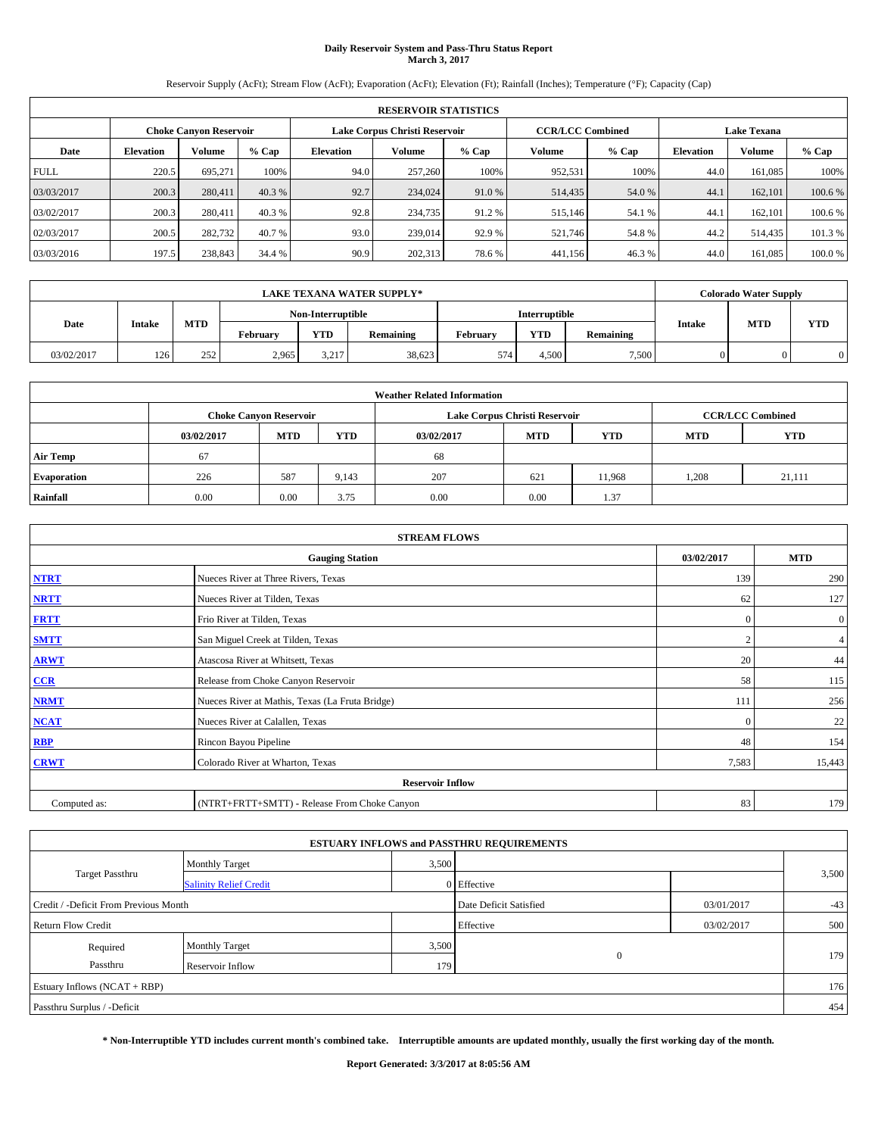# **Daily Reservoir System and Pass-Thru Status Report March 3, 2017**

Reservoir Supply (AcFt); Stream Flow (AcFt); Evaporation (AcFt); Elevation (Ft); Rainfall (Inches); Temperature (°F); Capacity (Cap)

|             | <b>RESERVOIR STATISTICS</b> |                               |         |                                                          |         |         |         |         |                    |               |         |
|-------------|-----------------------------|-------------------------------|---------|----------------------------------------------------------|---------|---------|---------|---------|--------------------|---------------|---------|
|             |                             | <b>Choke Canyon Reservoir</b> |         | <b>CCR/LCC Combined</b><br>Lake Corpus Christi Reservoir |         |         |         |         | <b>Lake Texana</b> |               |         |
| Date        | <b>Elevation</b>            | Volume                        | $%$ Cap | Elevation                                                | Volume  | $%$ Cap | Volume  | $%$ Cap | <b>Elevation</b>   | <b>Volume</b> | % Cap   |
| <b>FULL</b> | 220.5                       | 695.271                       | 100%    | 94.0                                                     | 257,260 | 100%    | 952,531 | 100%    | 44.0               | 161.085       | 100%    |
| 03/03/2017  | 200.3                       | 280,411                       | 40.3 %  | 92.7                                                     | 234,024 | 91.0 %  | 514,435 | 54.0 %  | 44.1               | 162,101       | 100.6%  |
| 03/02/2017  | 200.3                       | 280,411                       | 40.3 %  | 92.8                                                     | 234,735 | 91.2%   | 515,146 | 54.1 %  | 44.1               | 162,101       | 100.6%  |
| 02/03/2017  | 200.5                       | 282,732                       | 40.7 %  | 93.0                                                     | 239,014 | 92.9 %  | 521,746 | 54.8%   | 44.2               | 514,435       | 101.3 % |
| 03/03/2016  | 197.5                       | 238,843                       | 34.4 %  | 90.9                                                     | 202,313 | 78.6%   | 441,156 | 46.3%   | 44.0               | 161,085       | 100.0%  |

|            |               |            |          |                   | <b>LAKE TEXANA WATER SUPPLY*</b> |          |                      |           |               | <b>Colorado Water Supply</b> |     |
|------------|---------------|------------|----------|-------------------|----------------------------------|----------|----------------------|-----------|---------------|------------------------------|-----|
|            |               |            |          | Non-Interruptible |                                  |          | <b>Interruptible</b> |           |               |                              |     |
| Date       | <b>Intake</b> | <b>MTD</b> | February | <b>YTD</b>        | Remaining                        | February | <b>YTD</b>           | Remaining | <b>Intake</b> | <b>MTD</b>                   | YTD |
| 03/02/2017 | 126           | 252        | 2.965    | 3,217             | 38,623                           | 574      | 4.500                | 7,500     | $\Omega$      |                              |     |

| <b>Weather Related Information</b> |            |                               |            |            |                                        |                         |       |        |  |  |
|------------------------------------|------------|-------------------------------|------------|------------|----------------------------------------|-------------------------|-------|--------|--|--|
|                                    |            | <b>Choke Canvon Reservoir</b> |            |            | Lake Corpus Christi Reservoir          | <b>CCR/LCC Combined</b> |       |        |  |  |
|                                    | 03/02/2017 | <b>MTD</b>                    | <b>YTD</b> | 03/02/2017 | <b>MTD</b><br><b>YTD</b><br><b>MTD</b> |                         |       |        |  |  |
| <b>Air Temp</b>                    | 67         |                               |            | 68         |                                        |                         |       |        |  |  |
| <b>Evaporation</b>                 | 226        | 587                           | 9,143      | 207        | 621                                    | 11.968                  | 1,208 | 21,111 |  |  |
| Rainfall                           | 0.00       | 0.00                          | 3.75       | 0.00       | 0.00                                   | 1.37                    |       |        |  |  |

| <b>STREAM FLOWS</b> |                                                 |                |                  |  |  |  |  |  |
|---------------------|-------------------------------------------------|----------------|------------------|--|--|--|--|--|
|                     | 03/02/2017                                      | <b>MTD</b>     |                  |  |  |  |  |  |
| <b>NTRT</b>         | Nueces River at Three Rivers, Texas             | 139            | 290              |  |  |  |  |  |
| <b>NRTT</b>         | Nueces River at Tilden, Texas                   | 62             | 127              |  |  |  |  |  |
| <b>FRTT</b>         | Frio River at Tilden, Texas                     | $\mathbf{0}$   | $\boldsymbol{0}$ |  |  |  |  |  |
| <b>SMTT</b>         | San Miguel Creek at Tilden, Texas               | $\overline{2}$ | 4 <sup>1</sup>   |  |  |  |  |  |
| <b>ARWT</b>         | Atascosa River at Whitsett, Texas               | 20             | 44               |  |  |  |  |  |
| CCR                 | Release from Choke Canyon Reservoir             | 58             | 115              |  |  |  |  |  |
| <b>NRMT</b>         | Nueces River at Mathis, Texas (La Fruta Bridge) | 111            | 256              |  |  |  |  |  |
| <b>NCAT</b>         | Nueces River at Calallen, Texas                 | $\Omega$       | 22               |  |  |  |  |  |
| <b>RBP</b>          | Rincon Bayou Pipeline                           | 48             | 154              |  |  |  |  |  |
| <b>CRWT</b>         | Colorado River at Wharton, Texas                | 7,583          | 15,443           |  |  |  |  |  |
|                     |                                                 |                |                  |  |  |  |  |  |
| Computed as:        | (NTRT+FRTT+SMTT) - Release From Choke Canyon    | 83             | 179              |  |  |  |  |  |

|                                       |                               |       | <b>ESTUARY INFLOWS and PASSTHRU REQUIREMENTS</b> |            |       |
|---------------------------------------|-------------------------------|-------|--------------------------------------------------|------------|-------|
|                                       | <b>Monthly Target</b>         | 3,500 |                                                  |            |       |
| <b>Target Passthru</b>                | <b>Salinity Relief Credit</b> |       | 0 Effective                                      |            | 3,500 |
| Credit / -Deficit From Previous Month |                               |       | Date Deficit Satisfied                           | 03/01/2017 | $-43$ |
| Return Flow Credit                    |                               |       | Effective                                        | 03/02/2017 | 500   |
| Required                              | <b>Monthly Target</b>         | 3,500 |                                                  |            |       |
| Passthru                              | <b>Reservoir Inflow</b>       | 179   | $\mathbf{0}$                                     |            | 179   |
| Estuary Inflows $(NCAT + RBP)$        |                               |       |                                                  |            | 176   |
| Passthru Surplus / -Deficit           |                               |       |                                                  |            | 454   |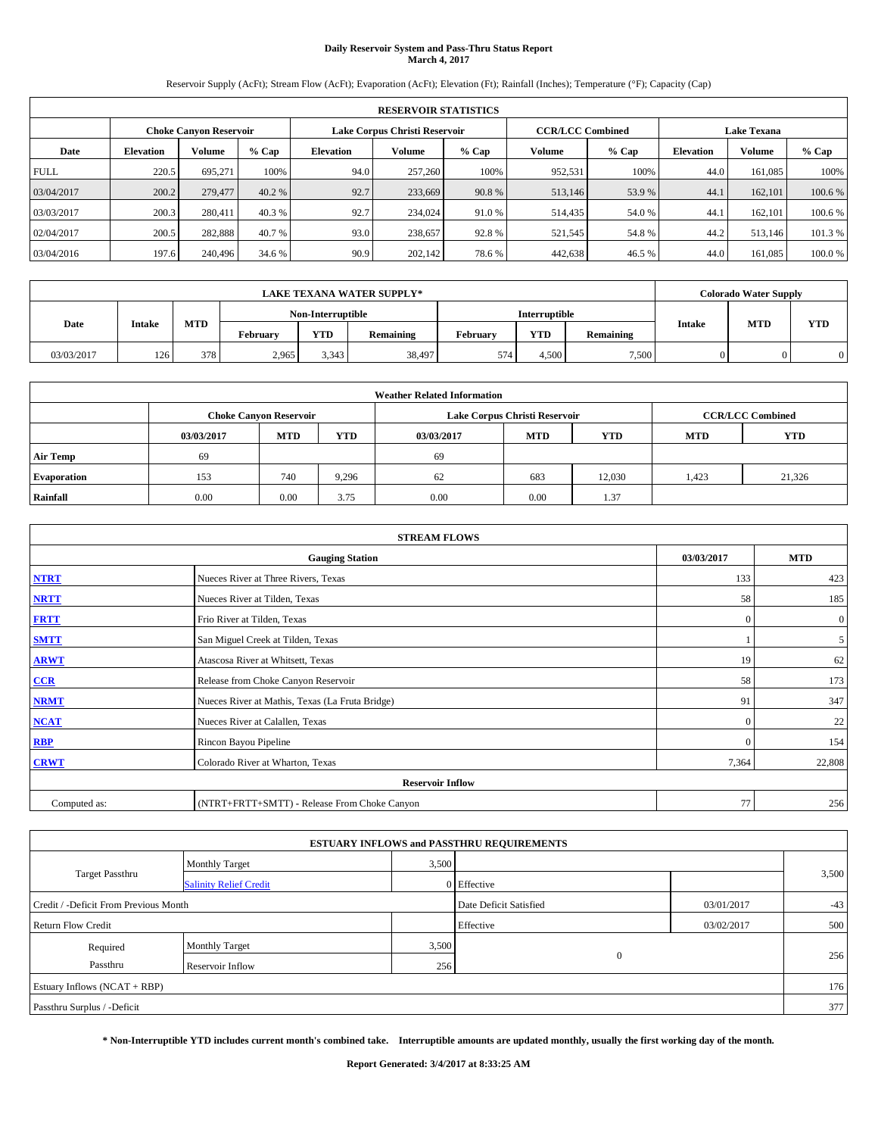# **Daily Reservoir System and Pass-Thru Status Report March 4, 2017**

Reservoir Supply (AcFt); Stream Flow (AcFt); Evaporation (AcFt); Elevation (Ft); Rainfall (Inches); Temperature (°F); Capacity (Cap)

| <b>RESERVOIR STATISTICS</b> |                  |                        |         |                  |                               |         |                         |         |                  |                    |        |  |
|-----------------------------|------------------|------------------------|---------|------------------|-------------------------------|---------|-------------------------|---------|------------------|--------------------|--------|--|
|                             |                  | Choke Canvon Reservoir |         |                  | Lake Corpus Christi Reservoir |         | <b>CCR/LCC Combined</b> |         |                  | <b>Lake Texana</b> |        |  |
| Date                        | <b>Elevation</b> | Volume                 | $%$ Cap | <b>Elevation</b> | <b>Volume</b>                 | $%$ Cap | Volume                  | $%$ Cap | <b>Elevation</b> | <b>Volume</b>      | % Cap  |  |
| <b>FULL</b>                 | 220.5            | 695,271                | 100%    | 94.0             | 257,260                       | 100%    | 952,531                 | 100%    | 44.0             | 161.085            | 100%   |  |
| 03/04/2017                  | 200.2            | 279,477                | 40.2 %  | 92.7             | 233,669                       | 90.8%   | 513,146                 | 53.9 %  | 44.              | 162,101            | 100.6% |  |
| 03/03/2017                  | 200.3            | 280,411                | 40.3 %  | 92.7             | 234,024                       | 91.0%   | 514,435                 | 54.0 %  | 44.              | 162,101            | 100.6% |  |
| 02/04/2017                  | 200.5            | 282,888                | 40.7 %  | 93.0             | 238,657                       | 92.8%   | 521,545                 | 54.8%   | 44.2             | 513,146            | 101.3% |  |
| 03/04/2016                  | 197.6            | 240,496                | 34.6 %  | 90.9             | 202,142                       | 78.6%   | 442,638                 | 46.5 %  | 44.0             | 161.085            | 100.0% |  |

| <b>LAKE TEXANA WATER SUPPLY*</b> |               |            |          |                   |                  |          |                      |           |  | <b>Colorado Water Supply</b> |            |
|----------------------------------|---------------|------------|----------|-------------------|------------------|----------|----------------------|-----------|--|------------------------------|------------|
|                                  |               |            |          | Non-Interruptible |                  |          | <b>Interruptible</b> |           |  |                              | <b>YTD</b> |
| Date                             | <b>Intake</b> | <b>MTD</b> | February | <b>YTD</b>        | <b>Remaining</b> | February | <b>YTD</b>           | Remaining |  | <b>MTD</b><br><b>Intake</b>  |            |
| 03/03/2017                       | 126           | 378        | 2,965    | 3.343             | 38,497           | 574      | 4.500                | 7,500     |  |                              | $\Omega$   |

| <b>Weather Related Information</b> |            |                               |            |            |                                        |                         |       |        |  |  |
|------------------------------------|------------|-------------------------------|------------|------------|----------------------------------------|-------------------------|-------|--------|--|--|
|                                    |            | <b>Choke Canvon Reservoir</b> |            |            | Lake Corpus Christi Reservoir          | <b>CCR/LCC Combined</b> |       |        |  |  |
|                                    | 03/03/2017 | <b>MTD</b>                    | <b>YTD</b> | 03/03/2017 | <b>MTD</b><br><b>YTD</b><br><b>MTD</b> |                         |       |        |  |  |
| <b>Air Temp</b>                    | 69         |                               |            | 69         |                                        |                         |       |        |  |  |
| <b>Evaporation</b>                 | 153        | 740                           | 9,296      | 62         | 683                                    | 12.030                  | 1,423 | 21,326 |  |  |
| Rainfall                           | 0.00       | 0.00                          | 3.75       | 0.00       | 0.00                                   | 1.37                    |       |        |  |  |

| <b>STREAM FLOWS</b> |                                                 |              |                  |  |  |  |  |  |
|---------------------|-------------------------------------------------|--------------|------------------|--|--|--|--|--|
|                     | 03/03/2017                                      | <b>MTD</b>   |                  |  |  |  |  |  |
| <b>NTRT</b>         | Nueces River at Three Rivers, Texas             | 133          | 423              |  |  |  |  |  |
| <b>NRTT</b>         | Nueces River at Tilden, Texas                   | 58           | 185              |  |  |  |  |  |
| <b>FRTT</b>         | Frio River at Tilden, Texas                     | $\mathbf{0}$ | $\boldsymbol{0}$ |  |  |  |  |  |
| <b>SMTT</b>         | San Miguel Creek at Tilden, Texas               |              | 5 <sup>5</sup>   |  |  |  |  |  |
| <b>ARWT</b>         | Atascosa River at Whitsett, Texas               | 19           | 62               |  |  |  |  |  |
| CCR                 | Release from Choke Canyon Reservoir             | 58           | 173              |  |  |  |  |  |
| <b>NRMT</b>         | Nueces River at Mathis, Texas (La Fruta Bridge) | 91           | 347              |  |  |  |  |  |
| <b>NCAT</b>         | Nueces River at Calallen, Texas                 | $\mathbf{0}$ | 22               |  |  |  |  |  |
| <b>RBP</b>          | Rincon Bayou Pipeline                           | $\Omega$     | 154              |  |  |  |  |  |
| <b>CRWT</b>         | Colorado River at Wharton, Texas                | 7,364        | 22,808           |  |  |  |  |  |
|                     | <b>Reservoir Inflow</b>                         |              |                  |  |  |  |  |  |
| Computed as:        | (NTRT+FRTT+SMTT) - Release From Choke Canyon    | 77           | 256              |  |  |  |  |  |

|                                       |                               |       | <b>ESTUARY INFLOWS and PASSTHRU REQUIREMENTS</b> |            |       |
|---------------------------------------|-------------------------------|-------|--------------------------------------------------|------------|-------|
|                                       | Monthly Target                | 3,500 |                                                  |            |       |
| <b>Target Passthru</b>                | <b>Salinity Relief Credit</b> |       | 0 Effective                                      |            | 3,500 |
| Credit / -Deficit From Previous Month |                               |       | Date Deficit Satisfied                           | 03/01/2017 | $-43$ |
| <b>Return Flow Credit</b>             |                               |       | Effective                                        | 03/02/2017 | 500   |
| Required                              | Monthly Target                | 3,500 |                                                  |            |       |
| Passthru                              | <b>Reservoir Inflow</b>       | 256   | $\mathbf{0}$                                     |            | 256   |
| Estuary Inflows $(NCAT + RBP)$        |                               |       |                                                  |            | 176   |
| Passthru Surplus / -Deficit           |                               |       |                                                  |            | 377   |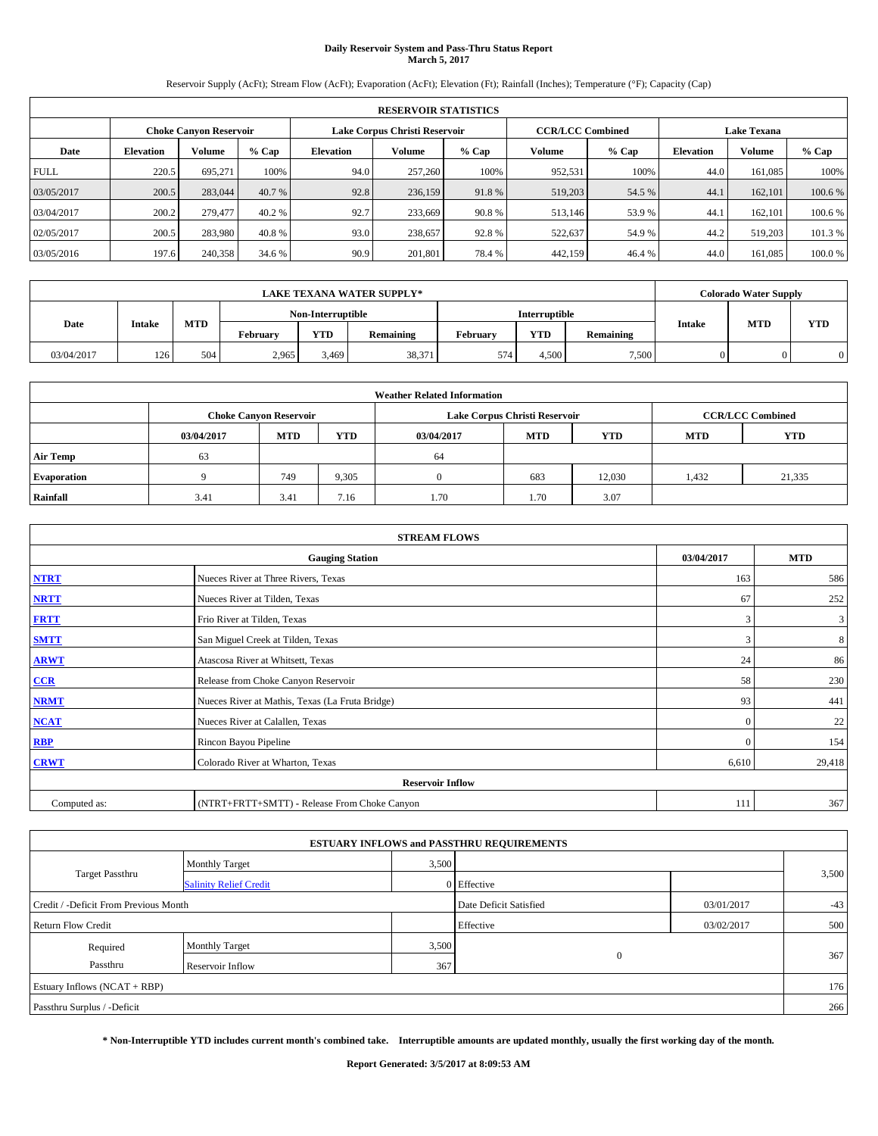# **Daily Reservoir System and Pass-Thru Status Report March 5, 2017**

Reservoir Supply (AcFt); Stream Flow (AcFt); Evaporation (AcFt); Elevation (Ft); Rainfall (Inches); Temperature (°F); Capacity (Cap)

|             | <b>RESERVOIR STATISTICS</b> |                        |         |                  |                               |         |                         |         |                  |                    |         |
|-------------|-----------------------------|------------------------|---------|------------------|-------------------------------|---------|-------------------------|---------|------------------|--------------------|---------|
|             |                             | Choke Canvon Reservoir |         |                  | Lake Corpus Christi Reservoir |         | <b>CCR/LCC Combined</b> |         |                  | <b>Lake Texana</b> |         |
| Date        | <b>Elevation</b>            | Volume                 | $%$ Cap | <b>Elevation</b> | Volume                        | $%$ Cap | Volume                  | $%$ Cap | <b>Elevation</b> | <b>Volume</b>      | % Cap   |
| <b>FULL</b> | 220.5                       | 695.271                | 100%    | 94.0             | 257,260                       | 100%    | 952,531                 | 100%    | 44.0             | 161.085            | 100%    |
| 03/05/2017  | 200.5                       | 283,044                | 40.7 %  | 92.8             | 236,159                       | 91.8%   | 519,203                 | 54.5 %  | 44.              | 162,101            | 100.6%  |
| 03/04/2017  | 200.2                       | 279,477                | 40.2 %  | 92.7             | 233,669                       | 90.8%   | 513,146                 | 53.9 %  | 44.              | 162,101            | 100.6 % |
| 02/05/2017  | 200.5                       | 283.980                | 40.8%   | 93.0             | 238,657                       | 92.8%   | 522,637                 | 54.9 %  | 44.2             | 519,203            | 101.3 % |
| 03/05/2016  | 197.6                       | 240,358                | 34.6 %  | 90.9             | 201.801                       | 78.4%   | 442,159                 | 46.4 %  | 44.0             | 161.085            | 100.0%  |

| <b>LAKE TEXANA WATER SUPPLY*</b> |               |            |          |                   |           |          |               |           |               | <b>Colorado Water Supply</b> |     |
|----------------------------------|---------------|------------|----------|-------------------|-----------|----------|---------------|-----------|---------------|------------------------------|-----|
|                                  |               |            |          | Non-Interruptible |           |          | Interruptible |           |               |                              |     |
| Date                             | <b>Intake</b> | <b>MTD</b> | February | <b>YTD</b>        | Remaining | February | <b>YTD</b>    | Remaining | <b>Intake</b> | <b>MTD</b>                   | YTD |
| 03/04/2017                       | 126           | 504        | 2.965    | 3.469             | 38,371    | 574      | 4.500         | 7,500     | $\Omega$      |                              |     |

| <b>Weather Related Information</b> |            |                               |            |            |                                        |                         |       |        |  |
|------------------------------------|------------|-------------------------------|------------|------------|----------------------------------------|-------------------------|-------|--------|--|
|                                    |            | <b>Choke Canvon Reservoir</b> |            |            | Lake Corpus Christi Reservoir          | <b>CCR/LCC Combined</b> |       |        |  |
|                                    | 03/04/2017 | <b>MTD</b>                    | <b>YTD</b> | 03/04/2017 | <b>MTD</b><br><b>YTD</b><br><b>MTD</b> |                         |       |        |  |
| <b>Air Temp</b>                    | 63         |                               |            | 64         |                                        |                         |       |        |  |
| <b>Evaporation</b>                 |            | 749                           | 9,305      |            | 683                                    | 12.030                  | 1,432 | 21,335 |  |
| Rainfall                           | 3.41       | 3.41                          | 7.16       | 1.70       | 1.70                                   | 3.07                    |       |        |  |

| <b>STREAM FLOWS</b>     |                                                 |            |        |  |  |  |  |  |
|-------------------------|-------------------------------------------------|------------|--------|--|--|--|--|--|
|                         | 03/04/2017                                      | <b>MTD</b> |        |  |  |  |  |  |
| <b>NTRT</b>             | Nueces River at Three Rivers, Texas             | 163        | 586    |  |  |  |  |  |
| <b>NRTT</b>             | Nueces River at Tilden, Texas                   | 67         | 252    |  |  |  |  |  |
| <b>FRTT</b>             | Frio River at Tilden, Texas                     | 3          | 3      |  |  |  |  |  |
| <b>SMTT</b>             | San Miguel Creek at Tilden, Texas               | 3          | 8      |  |  |  |  |  |
| <b>ARWT</b>             | Atascosa River at Whitsett, Texas               | 24         | 86     |  |  |  |  |  |
| $CCR$                   | Release from Choke Canyon Reservoir             | 58         | 230    |  |  |  |  |  |
| <b>NRMT</b>             | Nueces River at Mathis, Texas (La Fruta Bridge) | 93         | 441    |  |  |  |  |  |
| <b>NCAT</b>             | Nueces River at Calallen, Texas                 | $\Omega$   | 22     |  |  |  |  |  |
| RBP                     | Rincon Bayou Pipeline                           | $\Omega$   | 154    |  |  |  |  |  |
| <b>CRWT</b>             | Colorado River at Wharton, Texas                | 6,610      | 29,418 |  |  |  |  |  |
| <b>Reservoir Inflow</b> |                                                 |            |        |  |  |  |  |  |
| Computed as:            | (NTRT+FRTT+SMTT) - Release From Choke Canyon    | 111        | 367    |  |  |  |  |  |

| <b>ESTUARY INFLOWS and PASSTHRU REQUIREMENTS</b> |                               |       |                        |            |       |  |  |  |  |  |
|--------------------------------------------------|-------------------------------|-------|------------------------|------------|-------|--|--|--|--|--|
|                                                  | <b>Monthly Target</b>         | 3,500 |                        |            |       |  |  |  |  |  |
| <b>Target Passthru</b>                           | <b>Salinity Relief Credit</b> |       | 0 Effective            |            | 3,500 |  |  |  |  |  |
| Credit / -Deficit From Previous Month            |                               |       | Date Deficit Satisfied | 03/01/2017 | $-43$ |  |  |  |  |  |
| Return Flow Credit                               |                               |       | Effective              | 03/02/2017 | 500   |  |  |  |  |  |
| Required                                         | <b>Monthly Target</b>         | 3,500 |                        |            |       |  |  |  |  |  |
| Passthru                                         | <b>Reservoir Inflow</b>       | 367   | $\mathbf{0}$           |            | 367   |  |  |  |  |  |
| Estuary Inflows $(NCAT + RBP)$                   |                               |       |                        |            | 176   |  |  |  |  |  |
| Passthru Surplus / -Deficit                      |                               |       |                        |            | 266   |  |  |  |  |  |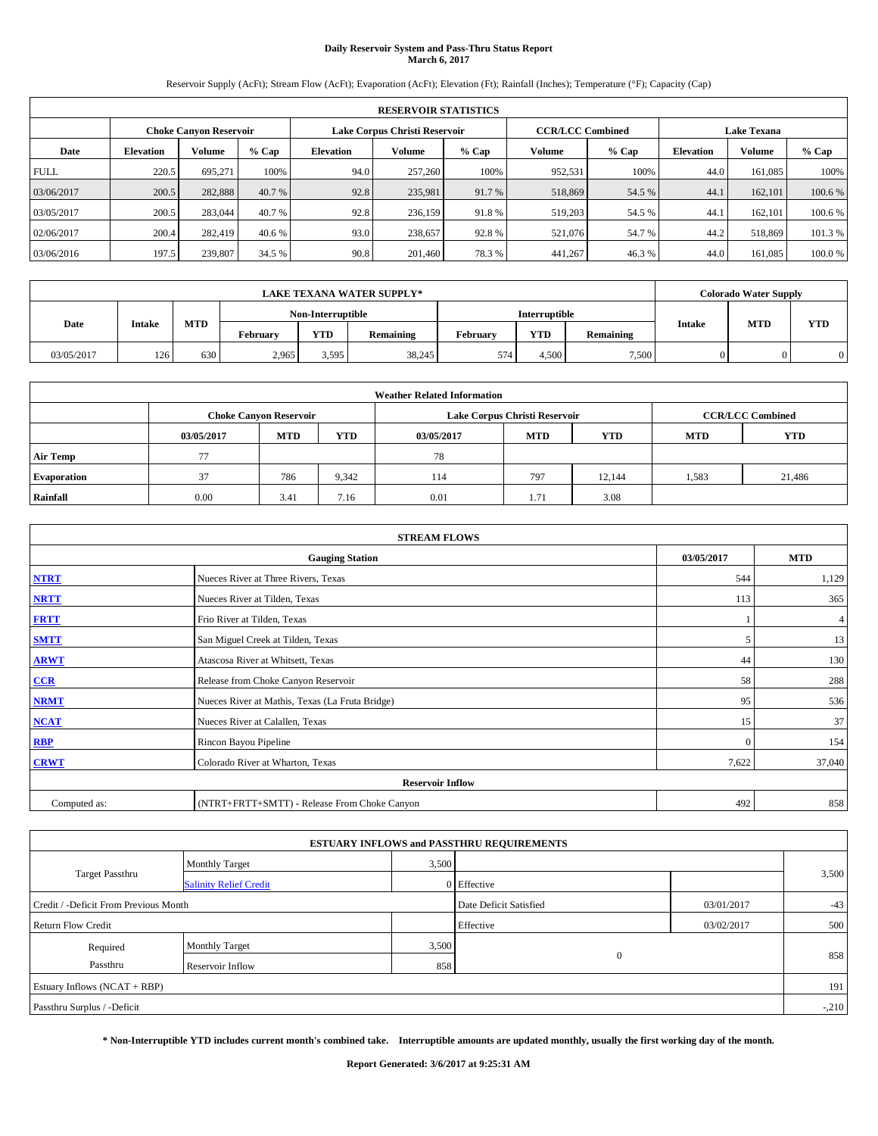# **Daily Reservoir System and Pass-Thru Status Report March 6, 2017**

Reservoir Supply (AcFt); Stream Flow (AcFt); Evaporation (AcFt); Elevation (Ft); Rainfall (Inches); Temperature (°F); Capacity (Cap)

|             | <b>RESERVOIR STATISTICS</b> |                        |         |                  |                               |         |                         |         |                  |                    |         |
|-------------|-----------------------------|------------------------|---------|------------------|-------------------------------|---------|-------------------------|---------|------------------|--------------------|---------|
|             |                             | Choke Canvon Reservoir |         |                  | Lake Corpus Christi Reservoir |         | <b>CCR/LCC Combined</b> |         |                  | <b>Lake Texana</b> |         |
| Date        | <b>Elevation</b>            | Volume                 | $%$ Cap | <b>Elevation</b> | Volume                        | $%$ Cap | Volume                  | $%$ Cap | <b>Elevation</b> | <b>Volume</b>      | % Cap   |
| <b>FULL</b> | 220.5                       | 695.271                | 100%    | 94.0             | 257,260                       | 100%    | 952,531                 | 100%    | 44.0             | 161.085            | 100%    |
| 03/06/2017  | 200.5                       | 282,888                | 40.7 %  | 92.8             | 235,981                       | 91.7 %  | 518,869                 | 54.5 %  | 44.              | 162,101            | 100.6%  |
| 03/05/2017  | 200.5                       | 283,044                | 40.7 %  | 92.8             | 236,159                       | 91.8%   | 519,203                 | 54.5 %  | 44.              | 162,101            | 100.6 % |
| 02/06/2017  | 200.4                       | 282,419                | 40.6 %  | 93.0             | 238,657                       | 92.8%   | 521,076                 | 54.7 %  | 44.2             | 518,869            | 101.3 % |
| 03/06/2016  | 197.5                       | 239,807                | 34.5 %  | 90.8             | 201.460                       | 78.3%   | 441,267                 | 46.3%   | 44.0             | 161.085            | 100.0%  |

|            |               |            |          |                   | <b>LAKE TEXANA WATER SUPPLY*</b> |               |            |           |               | <b>Colorado Water Supply</b> |     |
|------------|---------------|------------|----------|-------------------|----------------------------------|---------------|------------|-----------|---------------|------------------------------|-----|
|            |               |            |          | Non-Interruptible |                                  | Interruptible |            |           |               |                              |     |
| Date       | <b>Intake</b> | <b>MTD</b> | February | <b>YTD</b>        | Remaining                        | February      | <b>YTD</b> | Remaining | <b>Intake</b> | <b>MTD</b>                   | YTD |
| 03/05/2017 | 126           | 630        | 2.965    | 3.595             | 38,245                           | 574           | 4.500      | 7,500     | $\Omega$      |                              |     |

| <b>Weather Related Information</b> |            |                                                                                  |       |      |                               |        |       |                         |  |  |
|------------------------------------|------------|----------------------------------------------------------------------------------|-------|------|-------------------------------|--------|-------|-------------------------|--|--|
|                                    |            | <b>Choke Canyon Reservoir</b>                                                    |       |      | Lake Corpus Christi Reservoir |        |       | <b>CCR/LCC Combined</b> |  |  |
|                                    | 03/05/2017 | <b>YTD</b><br><b>MTD</b><br><b>MTD</b><br><b>YTD</b><br><b>MTD</b><br>03/05/2017 |       |      |                               |        |       |                         |  |  |
| <b>Air Temp</b>                    | 77         |                                                                                  |       | 78   |                               |        |       |                         |  |  |
| <b>Evaporation</b>                 | 37         | 786                                                                              | 9,342 | 114  | 797                           | 12.144 | 1,583 | 21,486                  |  |  |
| Rainfall                           | 0.00       | 3.41                                                                             | 7.16  | 0.01 | 1.71                          | 3.08   |       |                         |  |  |

|              | <b>STREAM FLOWS</b>                             |            |            |  |  |  |  |  |  |  |
|--------------|-------------------------------------------------|------------|------------|--|--|--|--|--|--|--|
|              | <b>Gauging Station</b>                          | 03/05/2017 | <b>MTD</b> |  |  |  |  |  |  |  |
| <b>NTRT</b>  | Nueces River at Three Rivers, Texas             | 544        | 1,129      |  |  |  |  |  |  |  |
| <b>NRTT</b>  | Nueces River at Tilden, Texas                   | 113        | 365        |  |  |  |  |  |  |  |
| <b>FRTT</b>  | Frio River at Tilden, Texas                     |            | 4          |  |  |  |  |  |  |  |
| <b>SMTT</b>  | San Miguel Creek at Tilden, Texas               | 5          | 13         |  |  |  |  |  |  |  |
| <b>ARWT</b>  | Atascosa River at Whitsett, Texas               | 44         | 130        |  |  |  |  |  |  |  |
| CCR          | Release from Choke Canyon Reservoir             | 58         | 288        |  |  |  |  |  |  |  |
| <b>NRMT</b>  | Nueces River at Mathis, Texas (La Fruta Bridge) | 95         | 536        |  |  |  |  |  |  |  |
| <b>NCAT</b>  | Nueces River at Calallen, Texas                 | 15         | 37         |  |  |  |  |  |  |  |
| RBP          | Rincon Bayou Pipeline                           | $\Omega$   | 154        |  |  |  |  |  |  |  |
| <b>CRWT</b>  | Colorado River at Wharton, Texas                | 7,622      | 37,040     |  |  |  |  |  |  |  |
|              | <b>Reservoir Inflow</b>                         |            |            |  |  |  |  |  |  |  |
| Computed as: | (NTRT+FRTT+SMTT) - Release From Choke Canyon    | 492        | 858        |  |  |  |  |  |  |  |

|                                       |                               |       | <b>ESTUARY INFLOWS and PASSTHRU REQUIREMENTS</b> |            |         |
|---------------------------------------|-------------------------------|-------|--------------------------------------------------|------------|---------|
|                                       | Monthly Target                | 3,500 |                                                  |            |         |
| <b>Target Passthru</b>                | <b>Salinity Relief Credit</b> |       | 0 Effective                                      |            | 3,500   |
| Credit / -Deficit From Previous Month |                               |       | Date Deficit Satisfied                           | 03/01/2017 | $-43$   |
| <b>Return Flow Credit</b>             |                               |       | Effective                                        | 03/02/2017 | 500     |
| Required                              | Monthly Target                | 3,500 |                                                  |            |         |
| Passthru                              | <b>Reservoir Inflow</b>       | 858   | $\mathbf{0}$                                     |            | 858     |
| Estuary Inflows $(NCAT + RBP)$        |                               |       |                                                  |            | 191     |
| Passthru Surplus / -Deficit           |                               |       |                                                  |            | $-.210$ |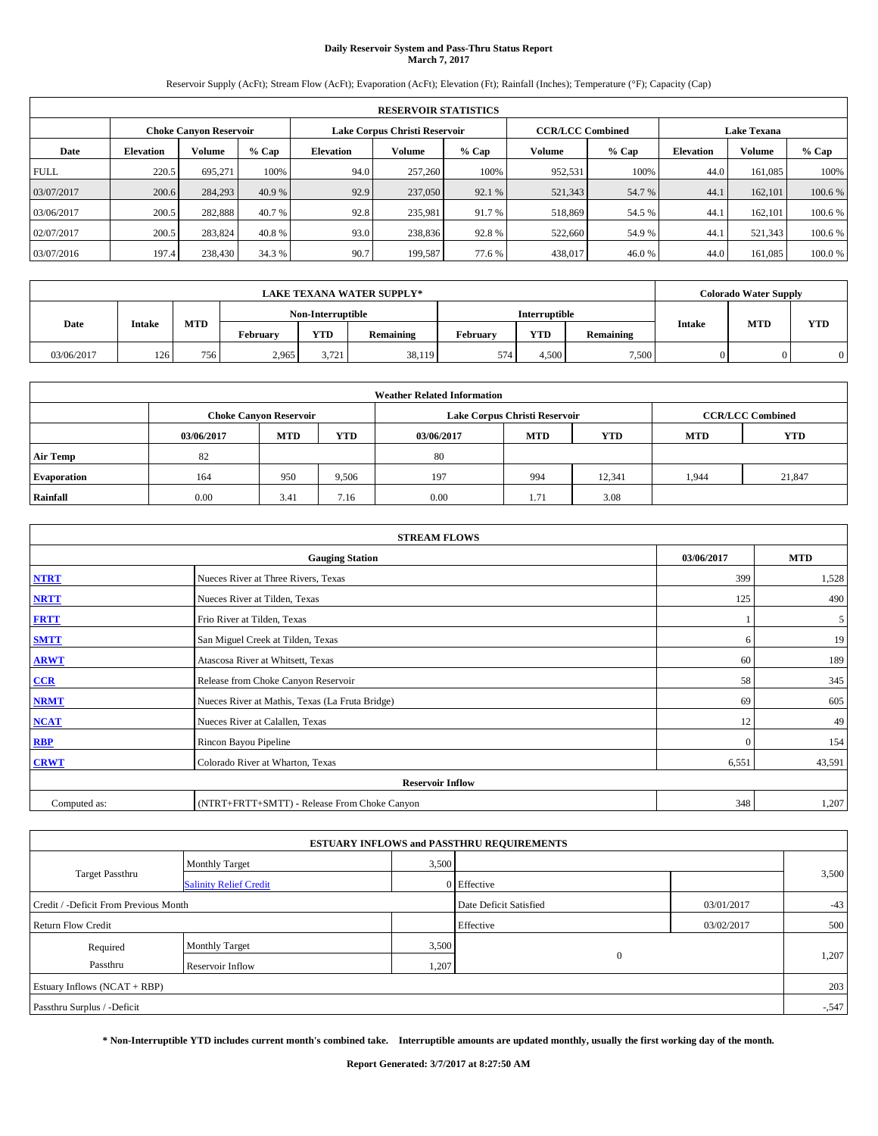# **Daily Reservoir System and Pass-Thru Status Report March 7, 2017**

Reservoir Supply (AcFt); Stream Flow (AcFt); Evaporation (AcFt); Elevation (Ft); Rainfall (Inches); Temperature (°F); Capacity (Cap)

|             | <b>RESERVOIR STATISTICS</b> |                        |         |                  |                               |         |                         |         |                  |                    |         |
|-------------|-----------------------------|------------------------|---------|------------------|-------------------------------|---------|-------------------------|---------|------------------|--------------------|---------|
|             |                             | Choke Canvon Reservoir |         |                  | Lake Corpus Christi Reservoir |         | <b>CCR/LCC Combined</b> |         |                  | <b>Lake Texana</b> |         |
| Date        | <b>Elevation</b>            | Volume                 | $%$ Cap | <b>Elevation</b> | Volume                        | $%$ Cap | Volume                  | $%$ Cap | <b>Elevation</b> | <b>Volume</b>      | % Cap   |
| <b>FULL</b> | 220.5                       | 695.271                | 100%    | 94.0             | 257,260                       | 100%    | 952,531                 | 100%    | 44.0             | 161.085            | 100%    |
| 03/07/2017  | 200.6                       | 284,293                | 40.9 %  | 92.9             | 237,050                       | 92.1 %  | 521,343                 | 54.7%   | 44.              | 162,101            | 100.6%  |
| 03/06/2017  | 200.5                       | 282,888                | 40.7 %  | 92.8             | 235,981                       | 91.7 %  | 518,869                 | 54.5 %  | 44.              | 162,101            | 100.6 % |
| 02/07/2017  | 200.5                       | 283.824                | 40.8%   | 93.0             | 238,836                       | 92.8%   | 522,660                 | 54.9 %  | 44.              | 521,343            | 100.6 % |
| 03/07/2016  | 197.4                       | 238,430                | 34.3 %  | 90.7             | 199,587                       | 77.6 %  | 438,017                 | 46.0%   | 44.0             | 161.085            | 100.0%  |

|            |               |            |          |                   | <b>LAKE TEXANA WATER SUPPLY*</b> |          |               |           |               | <b>Colorado Water Supply</b> |     |
|------------|---------------|------------|----------|-------------------|----------------------------------|----------|---------------|-----------|---------------|------------------------------|-----|
|            |               |            |          | Non-Interruptible |                                  |          | Interruptible |           |               |                              |     |
| Date       | <b>Intake</b> | <b>MTD</b> | February | <b>YTD</b>        | Remaining                        | February | <b>YTD</b>    | Remaining | <b>Intake</b> | <b>MTD</b>                   | YTD |
| 03/06/2017 | 126           | 756        | 2.965    | 3.721             | 38,119                           | 574      | 4.500         | 7,500     | $\Omega$      |                              |     |

| <b>Weather Related Information</b> |            |                                                                                  |       |      |                               |        |                         |            |  |  |
|------------------------------------|------------|----------------------------------------------------------------------------------|-------|------|-------------------------------|--------|-------------------------|------------|--|--|
|                                    |            | <b>Choke Canvon Reservoir</b>                                                    |       |      | Lake Corpus Christi Reservoir |        | <b>CCR/LCC Combined</b> |            |  |  |
|                                    | 03/06/2017 | <b>YTD</b><br><b>MTD</b><br><b>MTD</b><br><b>YTD</b><br>03/06/2017<br><b>MTD</b> |       |      |                               |        |                         | <b>YTD</b> |  |  |
| <b>Air Temp</b>                    | 82         |                                                                                  |       | 80   |                               |        |                         |            |  |  |
| <b>Evaporation</b>                 | 164        | 950                                                                              | 9,506 | 197  | 994                           | 12,341 | 1.944                   | 21,847     |  |  |
| Rainfall                           | 0.00       | 3.41                                                                             | 7.16  | 0.00 | 1.71                          | 3.08   |                         |            |  |  |

|              | <b>STREAM FLOWS</b>                             |            |            |
|--------------|-------------------------------------------------|------------|------------|
|              | <b>Gauging Station</b>                          | 03/06/2017 | <b>MTD</b> |
| <b>NTRT</b>  | Nueces River at Three Rivers, Texas             | 399        | 1,528      |
| <b>NRTT</b>  | Nueces River at Tilden, Texas                   | 125        | 490        |
| <b>FRTT</b>  | Frio River at Tilden, Texas                     |            | 5          |
| <b>SMTT</b>  | San Miguel Creek at Tilden, Texas               | 6          | 19         |
| <b>ARWT</b>  | Atascosa River at Whitsett, Texas               | 60         | 189        |
| CCR          | Release from Choke Canyon Reservoir             | 58         | 345        |
| <b>NRMT</b>  | Nueces River at Mathis, Texas (La Fruta Bridge) | -69        | 605        |
| <b>NCAT</b>  | Nueces River at Calallen, Texas                 | 12         | 49         |
| <b>RBP</b>   | Rincon Bayou Pipeline                           | $\Omega$   | 154        |
| <b>CRWT</b>  | Colorado River at Wharton, Texas                | 6,551      | 43,591     |
|              | <b>Reservoir Inflow</b>                         |            |            |
| Computed as: | (NTRT+FRTT+SMTT) - Release From Choke Canyon    | 348        | 1,207      |

|                                       |                               |       | <b>ESTUARY INFLOWS and PASSTHRU REQUIREMENTS</b> |            |          |
|---------------------------------------|-------------------------------|-------|--------------------------------------------------|------------|----------|
|                                       | Monthly Target                | 3,500 |                                                  |            |          |
| <b>Target Passthru</b>                | <b>Salinity Relief Credit</b> |       | 0 Effective                                      |            | 3,500    |
| Credit / -Deficit From Previous Month |                               |       | Date Deficit Satisfied                           | 03/01/2017 | $-43$    |
| <b>Return Flow Credit</b>             |                               |       | Effective                                        | 03/02/2017 | 500      |
| Required                              | Monthly Target                | 3,500 |                                                  |            |          |
| Passthru                              | <b>Reservoir Inflow</b>       | 1,207 | $\mathbf{0}$                                     |            | 1,207    |
| Estuary Inflows $(NCAT + RBP)$        |                               |       |                                                  |            | 203      |
| Passthru Surplus / -Deficit           |                               |       |                                                  |            | $-0.547$ |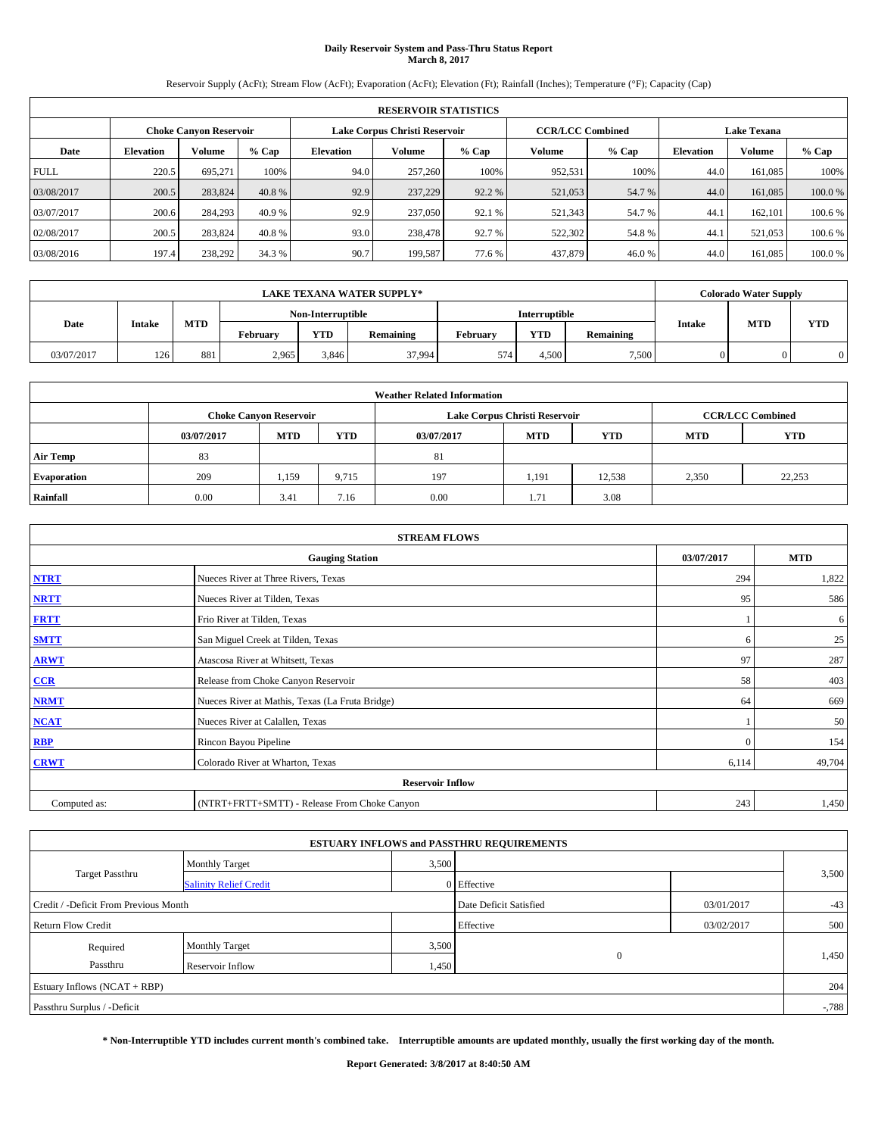# **Daily Reservoir System and Pass-Thru Status Report March 8, 2017**

Reservoir Supply (AcFt); Stream Flow (AcFt); Evaporation (AcFt); Elevation (Ft); Rainfall (Inches); Temperature (°F); Capacity (Cap)

|             | <b>RESERVOIR STATISTICS</b> |                               |         |           |                               |         |                         |         |                  |                    |        |
|-------------|-----------------------------|-------------------------------|---------|-----------|-------------------------------|---------|-------------------------|---------|------------------|--------------------|--------|
|             |                             | <b>Choke Canyon Reservoir</b> |         |           | Lake Corpus Christi Reservoir |         | <b>CCR/LCC Combined</b> |         |                  | <b>Lake Texana</b> |        |
| Date        | <b>Elevation</b>            | Volume                        | $%$ Cap | Elevation | Volume                        | $%$ Cap | Volume                  | $%$ Cap | <b>Elevation</b> | <b>Volume</b>      | % Cap  |
| <b>FULL</b> | 220.5                       | 695.271                       | 100%    | 94.0      | 257,260                       | 100%    | 952,531                 | 100%    | 44.0             | 161.085            | 100%   |
| 03/08/2017  | 200.5                       | 283,824                       | 40.8 %  | 92.9      | 237,229                       | 92.2 %  | 521,053                 | 54.7 %  | 44.0             | 161.085            | 100.0% |
| 03/07/2017  | 200.6                       | 284,293                       | 40.9 %  | 92.9      | 237,050                       | 92.1 %  | 521,343                 | 54.7 %  | 44.1             | 162,101            | 100.6% |
| 02/08/2017  | 200.5                       | 283,824                       | 40.8 %  | 93.0      | 238,478                       | 92.7 %  | 522,302                 | 54.8%   | 44.1             | 521.053            | 100.6% |
| 03/08/2016  | 197.4                       | 238,292                       | 34.3 %  | 90.7      | 199,587                       | 77.6 %  | 437,879                 | 46.0%   | 44.0             | 161,085            | 100.0% |

|            | <b>LAKE TEXANA WATER SUPPLY*</b> |            |          |                   |           |          |                      |           |               | <b>Colorado Water Supply</b> |     |
|------------|----------------------------------|------------|----------|-------------------|-----------|----------|----------------------|-----------|---------------|------------------------------|-----|
|            |                                  |            |          | Non-Interruptible |           |          | <b>Interruptible</b> |           |               |                              |     |
| Date       | <b>Intake</b>                    | <b>MTD</b> | February | <b>YTD</b>        | Remaining | February | <b>YTD</b>           | Remaining | <b>Intake</b> | <b>MTD</b>                   | YTD |
| 03/07/2017 | 126                              | 881        | 2.965    | 3.846             | 37,994    | 574      | 4.500                | 7,500     | $\Omega$      |                              |     |

|                    | <b>Weather Related Information</b> |                               |            |            |                               |                         |            |            |  |  |  |  |  |
|--------------------|------------------------------------|-------------------------------|------------|------------|-------------------------------|-------------------------|------------|------------|--|--|--|--|--|
|                    |                                    | <b>Choke Canyon Reservoir</b> |            |            | Lake Corpus Christi Reservoir | <b>CCR/LCC Combined</b> |            |            |  |  |  |  |  |
|                    | 03/07/2017                         | <b>MTD</b>                    | <b>YTD</b> | 03/07/2017 | <b>MTD</b>                    | <b>YTD</b>              | <b>MTD</b> | <b>YTD</b> |  |  |  |  |  |
| <b>Air Temp</b>    | 83                                 |                               |            | 81         |                               |                         |            |            |  |  |  |  |  |
| <b>Evaporation</b> | 209                                | 1,159                         | 9,715      | 197        | 1,191                         | 12.538                  | 2,350      | 22,253     |  |  |  |  |  |
| Rainfall           | 0.00                               | 3.41                          | 7.16       | 0.00       | 1.71                          | 3.08                    |            |            |  |  |  |  |  |

| <b>STREAM FLOWS</b> |                                                 |            |            |  |  |  |  |  |
|---------------------|-------------------------------------------------|------------|------------|--|--|--|--|--|
|                     | <b>Gauging Station</b>                          | 03/07/2017 | <b>MTD</b> |  |  |  |  |  |
| <b>NTRT</b>         | Nueces River at Three Rivers, Texas             | 294        | 1,822      |  |  |  |  |  |
| <b>NRTT</b>         | Nueces River at Tilden, Texas                   | 95         | 586        |  |  |  |  |  |
| <b>FRTT</b>         | Frio River at Tilden, Texas                     |            | 6          |  |  |  |  |  |
| <b>SMTT</b>         | San Miguel Creek at Tilden, Texas               | 6          | 25         |  |  |  |  |  |
| <b>ARWT</b>         | Atascosa River at Whitsett, Texas               | 97         | 287        |  |  |  |  |  |
| CCR                 | Release from Choke Canyon Reservoir             | 58         | 403        |  |  |  |  |  |
| <b>NRMT</b>         | Nueces River at Mathis, Texas (La Fruta Bridge) | 64         | 669        |  |  |  |  |  |
| <b>NCAT</b>         | Nueces River at Calallen, Texas                 |            | 50         |  |  |  |  |  |
| <b>RBP</b>          | Rincon Bayou Pipeline                           | $\Omega$   | 154        |  |  |  |  |  |
| <b>CRWT</b>         | Colorado River at Wharton, Texas                | 6,114      | 49,704     |  |  |  |  |  |
|                     | <b>Reservoir Inflow</b>                         |            |            |  |  |  |  |  |
| Computed as:        | (NTRT+FRTT+SMTT) - Release From Choke Canyon    |            |            |  |  |  |  |  |

|                                       |                               |       | <b>ESTUARY INFLOWS and PASSTHRU REQUIREMENTS</b> |            |          |  |
|---------------------------------------|-------------------------------|-------|--------------------------------------------------|------------|----------|--|
|                                       | Monthly Target                | 3,500 |                                                  |            |          |  |
| <b>Target Passthru</b>                | <b>Salinity Relief Credit</b> |       | 0 Effective                                      |            | 3,500    |  |
| Credit / -Deficit From Previous Month |                               |       | Date Deficit Satisfied                           | 03/01/2017 | $-43$    |  |
| <b>Return Flow Credit</b>             |                               |       | Effective                                        | 03/02/2017 | 500      |  |
| Required                              | Monthly Target                | 3,500 |                                                  |            |          |  |
| Passthru                              | <b>Reservoir Inflow</b>       | 1,450 | $\mathbf{0}$                                     |            | 1,450    |  |
| Estuary Inflows $(NCAT + RBP)$        |                               |       |                                                  |            | 204      |  |
| Passthru Surplus / -Deficit           |                               |       |                                                  |            | $-0.788$ |  |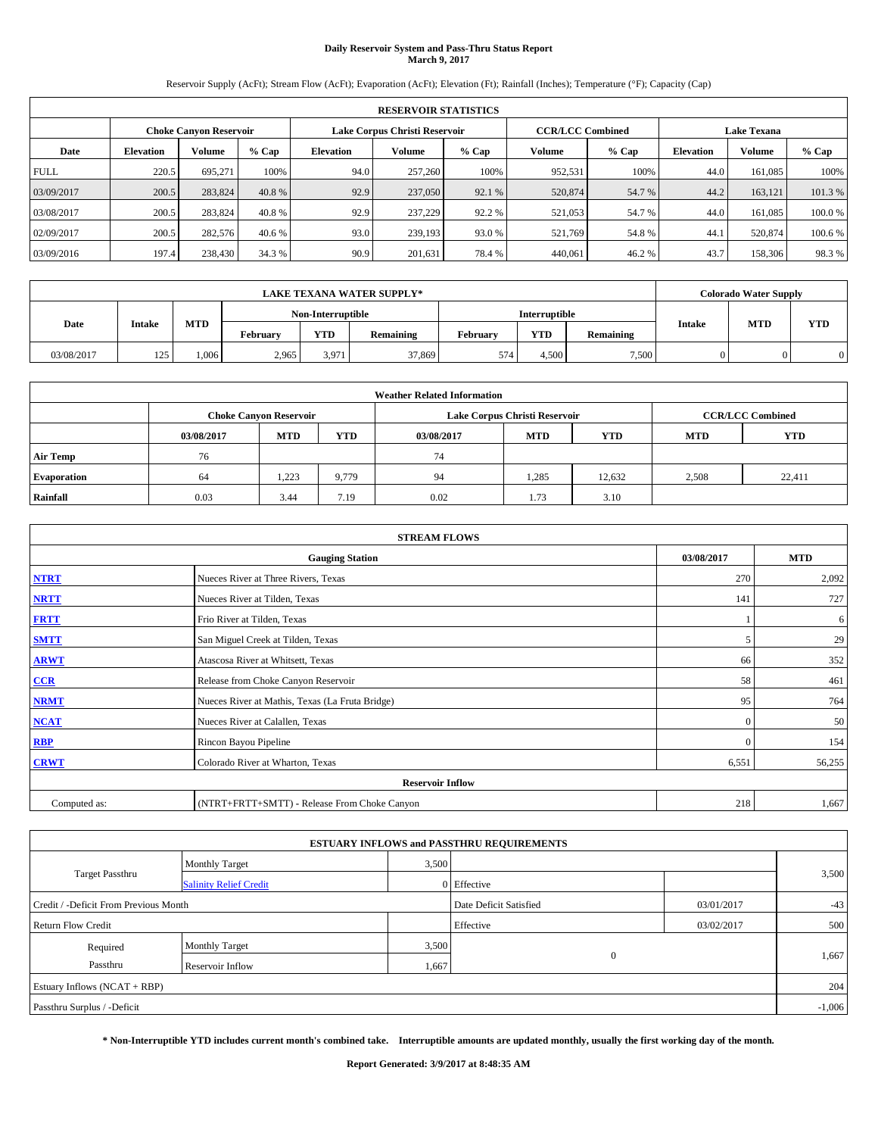# **Daily Reservoir System and Pass-Thru Status Report March 9, 2017**

Reservoir Supply (AcFt); Stream Flow (AcFt); Evaporation (AcFt); Elevation (Ft); Rainfall (Inches); Temperature (°F); Capacity (Cap)

|             | <b>RESERVOIR STATISTICS</b> |                        |         |                               |         |         |                         |         |                    |               |         |  |  |
|-------------|-----------------------------|------------------------|---------|-------------------------------|---------|---------|-------------------------|---------|--------------------|---------------|---------|--|--|
|             |                             | Choke Canvon Reservoir |         | Lake Corpus Christi Reservoir |         |         | <b>CCR/LCC Combined</b> |         | <b>Lake Texana</b> |               |         |  |  |
| Date        | <b>Elevation</b>            | Volume                 | $%$ Cap | <b>Elevation</b>              | Volume  | $%$ Cap | Volume                  | $%$ Cap | <b>Elevation</b>   | <b>Volume</b> | % Cap   |  |  |
| <b>FULL</b> | 220.5                       | 695.271                | 100%    | 94.0                          | 257,260 | 100%    | 952,531                 | 100%    | 44.0               | 161.085       | 100%    |  |  |
| 03/09/2017  | 200.5                       | 283,824                | 40.8%   | 92.9                          | 237,050 | 92.1 %  | 520,874                 | 54.7 %  | 44.2               | 163,121       | 101.3%  |  |  |
| 03/08/2017  | 200.5                       | 283,824                | 40.8 %  | 92.9                          | 237,229 | 92.2 %  | 521,053                 | 54.7 %  | 44.0               | 161.085       | 100.0%  |  |  |
| 02/09/2017  | 200.5                       | 282,576                | 40.6 %  | 93.0                          | 239,193 | 93.0 %  | 521.769                 | 54.8%   | 44.                | 520,874       | 100.6 % |  |  |
| 03/09/2016  | 197.4                       | 238,430                | 34.3 %  | 90.9                          | 201,631 | 78.4%   | 440.061                 | 46.2%   | 43.7               | 158,306       | 98.3%   |  |  |

|            | <b>LAKE TEXANA WATER SUPPLY*</b> |            |                 |                   |           |          |                      |           |               | <b>Colorado Water Supply</b> |            |
|------------|----------------------------------|------------|-----------------|-------------------|-----------|----------|----------------------|-----------|---------------|------------------------------|------------|
|            |                                  |            |                 | Non-Interruptible |           |          | <b>Interruptible</b> |           |               | <b>MTD</b>                   |            |
| Date       | <b>Intake</b>                    | <b>MTD</b> | <b>February</b> | <b>YTD</b>        | Remaining | February | <b>YTD</b>           | Remaining | <b>Intake</b> |                              | <b>YTD</b> |
| 03/08/2017 | 125                              | .006       | 2,965           | 3,971             | 37,869    | 574      | 4.500                | 7,500     |               |                              |            |

|                                                                                         | <b>Weather Related Information</b> |                               |       |      |                               |                         |       |            |  |  |  |  |
|-----------------------------------------------------------------------------------------|------------------------------------|-------------------------------|-------|------|-------------------------------|-------------------------|-------|------------|--|--|--|--|
|                                                                                         |                                    | <b>Choke Canyon Reservoir</b> |       |      | Lake Corpus Christi Reservoir | <b>CCR/LCC Combined</b> |       |            |  |  |  |  |
| <b>MTD</b><br>YTD<br><b>MTD</b><br><b>YTD</b><br><b>MTD</b><br>03/08/2017<br>03/08/2017 |                                    |                               |       |      |                               |                         |       | <b>YTD</b> |  |  |  |  |
| <b>Air Temp</b>                                                                         | 76                                 |                               |       | 74   |                               |                         |       |            |  |  |  |  |
| <b>Evaporation</b>                                                                      | 64                                 | 1,223                         | 9,779 | 94   | 1,285                         | 12,632                  | 2,508 | 22,411     |  |  |  |  |
| Rainfall                                                                                | 0.03                               | 3.44                          | 7.19  | 0.02 | 1.73                          | 3.10                    |       |            |  |  |  |  |

| <b>STREAM FLOWS</b> |                                                 |            |            |  |  |  |  |  |
|---------------------|-------------------------------------------------|------------|------------|--|--|--|--|--|
|                     | <b>Gauging Station</b>                          | 03/08/2017 | <b>MTD</b> |  |  |  |  |  |
| <b>NTRT</b>         | Nueces River at Three Rivers, Texas             | 270        | 2,092      |  |  |  |  |  |
| <b>NRTT</b>         | Nueces River at Tilden, Texas                   | 141        | 727        |  |  |  |  |  |
| <b>FRTT</b>         | Frio River at Tilden, Texas                     |            | 6          |  |  |  |  |  |
| <b>SMTT</b>         | San Miguel Creek at Tilden, Texas               | 5          | 29         |  |  |  |  |  |
| <b>ARWT</b>         | Atascosa River at Whitsett, Texas               | 66         | 352        |  |  |  |  |  |
| CCR                 | Release from Choke Canyon Reservoir             | 58         | 461        |  |  |  |  |  |
| <b>NRMT</b>         | Nueces River at Mathis, Texas (La Fruta Bridge) | 95         | 764        |  |  |  |  |  |
| <b>NCAT</b>         | Nueces River at Calallen, Texas                 | $\Omega$   | 50         |  |  |  |  |  |
| <b>RBP</b>          | Rincon Bayou Pipeline                           | $\Omega$   | 154        |  |  |  |  |  |
| <b>CRWT</b>         | Colorado River at Wharton, Texas                | 6,551      | 56,255     |  |  |  |  |  |
|                     | <b>Reservoir Inflow</b>                         |            |            |  |  |  |  |  |
| Computed as:        | (NTRT+FRTT+SMTT) - Release From Choke Canyon    |            |            |  |  |  |  |  |

|                                       |                               |       | <b>ESTUARY INFLOWS and PASSTHRU REQUIREMENTS</b> |            |          |  |
|---------------------------------------|-------------------------------|-------|--------------------------------------------------|------------|----------|--|
|                                       | <b>Monthly Target</b>         | 3,500 |                                                  |            |          |  |
| <b>Target Passthru</b>                | <b>Salinity Relief Credit</b> |       | 0 Effective                                      |            | 3,500    |  |
| Credit / -Deficit From Previous Month |                               |       | Date Deficit Satisfied                           | 03/01/2017 | $-43$    |  |
| <b>Return Flow Credit</b>             |                               |       | Effective                                        | 03/02/2017 | 500      |  |
| Required                              | <b>Monthly Target</b>         | 3,500 |                                                  |            |          |  |
| Passthru                              | <b>Reservoir Inflow</b>       | 1,667 | $\Omega$                                         |            | 1,667    |  |
| Estuary Inflows $(NCAT + RBP)$        |                               |       |                                                  |            | 204      |  |
| Passthru Surplus / -Deficit           |                               |       |                                                  |            | $-1,006$ |  |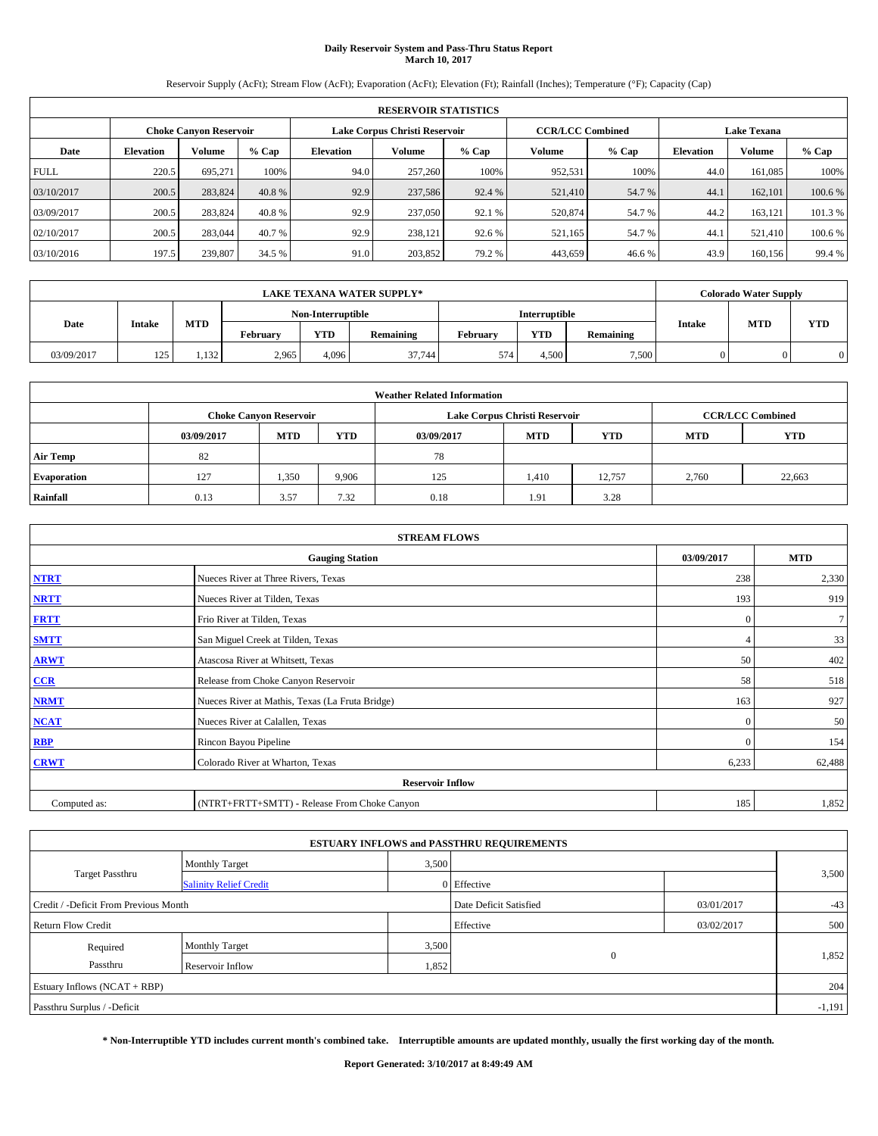# **Daily Reservoir System and Pass-Thru Status Report March 10, 2017**

Reservoir Supply (AcFt); Stream Flow (AcFt); Evaporation (AcFt); Elevation (Ft); Rainfall (Inches); Temperature (°F); Capacity (Cap)

|             | <b>RESERVOIR STATISTICS</b> |                        |         |                               |               |         |                         |         |                    |               |         |  |  |
|-------------|-----------------------------|------------------------|---------|-------------------------------|---------------|---------|-------------------------|---------|--------------------|---------------|---------|--|--|
|             |                             | Choke Canvon Reservoir |         | Lake Corpus Christi Reservoir |               |         | <b>CCR/LCC Combined</b> |         | <b>Lake Texana</b> |               |         |  |  |
| Date        | <b>Elevation</b>            | Volume                 | $%$ Cap | <b>Elevation</b>              | <b>Volume</b> | $%$ Cap | Volume                  | $%$ Cap | <b>Elevation</b>   | <b>Volume</b> | $%$ Cap |  |  |
| <b>FULL</b> | 220.5                       | 695,271                | 100%    | 94.0                          | 257,260       | 100%    | 952.531                 | 100%    | 44.0               | 161.085       | 100%    |  |  |
| 03/10/2017  | 200.5                       | 283,824                | 40.8 %  | 92.9                          | 237,586       | 92.4 %  | 521,410                 | 54.7 %  | 44.                | 162,101       | 100.6%  |  |  |
| 03/09/2017  | 200.5                       | 283,824                | 40.8 %  | 92.9                          | 237,050       | 92.1 %  | 520,874                 | 54.7 %  | 44.2               | 163.121       | 101.3%  |  |  |
| 02/10/2017  | 200.5                       | 283,044                | 40.7 %  | 92.9                          | 238,121       | 92.6 %  | 521,165                 | 54.7 %  | 44.                | 521.410       | 100.6%  |  |  |
| 03/10/2016  | 197.5                       | 239,807                | 34.5 %  | 91.0                          | 203,852       | 79.2 %  | 443,659                 | 46.6%   | 43.9               | 160.156       | 99.4 %  |  |  |

|            | <b>LAKE TEXANA WATER SUPPLY*</b> |            |          |                   |           |          |               |           |               | <b>Colorado Water Supply</b> |            |
|------------|----------------------------------|------------|----------|-------------------|-----------|----------|---------------|-----------|---------------|------------------------------|------------|
|            |                                  |            |          | Non-Interruptible |           |          | Interruptible |           |               |                              |            |
| Date       | <b>Intake</b>                    | <b>MTD</b> | February | <b>YTD</b>        | Remaining | Februarv | <b>YTD</b>    | Remaining | <b>Intake</b> | <b>MTD</b>                   | <b>YTD</b> |
| 03/09/2017 | 125                              | 1,132      | 2,965    | 4.096             | 37,744    | 574      | 4.500         | 7,500     |               |                              |            |

|                                                                                                | <b>Weather Related Information</b> |                               |       |      |                               |                         |            |        |  |  |  |  |
|------------------------------------------------------------------------------------------------|------------------------------------|-------------------------------|-------|------|-------------------------------|-------------------------|------------|--------|--|--|--|--|
|                                                                                                |                                    | <b>Choke Canvon Reservoir</b> |       |      | Lake Corpus Christi Reservoir | <b>CCR/LCC Combined</b> |            |        |  |  |  |  |
| <b>YTD</b><br><b>MTD</b><br><b>MTD</b><br><b>YTD</b><br><b>MTD</b><br>03/09/2017<br>03/09/2017 |                                    |                               |       |      |                               |                         | <b>YTD</b> |        |  |  |  |  |
| <b>Air Temp</b>                                                                                | 82                                 |                               |       | 78   |                               |                         |            |        |  |  |  |  |
| <b>Evaporation</b>                                                                             | 127                                | 1,350                         | 9,906 | 125  | 1,410                         | 12.757                  | 2,760      | 22,663 |  |  |  |  |
| Rainfall                                                                                       | 0.13                               | 3.57                          | 7.32  | 0.18 | 1.91                          | 3.28                    |            |        |  |  |  |  |

| <b>STREAM FLOWS</b> |                                                 |              |                |  |  |  |  |  |  |
|---------------------|-------------------------------------------------|--------------|----------------|--|--|--|--|--|--|
|                     | <b>Gauging Station</b>                          |              |                |  |  |  |  |  |  |
| <b>NTRT</b>         | Nueces River at Three Rivers, Texas             | 238          | 2,330          |  |  |  |  |  |  |
| <b>NRTT</b>         | Nueces River at Tilden, Texas                   | 193          | 919            |  |  |  |  |  |  |
| <b>FRTT</b>         | Frio River at Tilden, Texas                     | $\mathbf{0}$ | $\overline{7}$ |  |  |  |  |  |  |
| <b>SMTT</b>         | San Miguel Creek at Tilden, Texas               |              | 33             |  |  |  |  |  |  |
| <b>ARWT</b>         | Atascosa River at Whitsett, Texas               | 50           | 402            |  |  |  |  |  |  |
| CCR                 | Release from Choke Canyon Reservoir             | 58           | 518            |  |  |  |  |  |  |
| <b>NRMT</b>         | Nueces River at Mathis, Texas (La Fruta Bridge) | 163          | 927            |  |  |  |  |  |  |
| <b>NCAT</b>         | Nueces River at Calallen, Texas                 | $\Omega$     | 50             |  |  |  |  |  |  |
| <b>RBP</b>          | Rincon Bayou Pipeline                           | $\Omega$     | 154            |  |  |  |  |  |  |
| <b>CRWT</b>         | Colorado River at Wharton, Texas                | 6,233        | 62,488         |  |  |  |  |  |  |
|                     | <b>Reservoir Inflow</b>                         |              |                |  |  |  |  |  |  |
| Computed as:        | (NTRT+FRTT+SMTT) - Release From Choke Canyon    | 185          | 1,852          |  |  |  |  |  |  |

| <b>ESTUARY INFLOWS and PASSTHRU REQUIREMENTS</b> |                               |                        |             |            |       |  |  |  |  |  |
|--------------------------------------------------|-------------------------------|------------------------|-------------|------------|-------|--|--|--|--|--|
|                                                  | <b>Monthly Target</b>         | 3,500                  |             |            |       |  |  |  |  |  |
| <b>Target Passthru</b>                           | <b>Salinity Relief Credit</b> |                        | 0 Effective |            | 3,500 |  |  |  |  |  |
| Credit / -Deficit From Previous Month            |                               | Date Deficit Satisfied | 03/01/2017  | $-43$      |       |  |  |  |  |  |
| <b>Return Flow Credit</b>                        |                               |                        | Effective   | 03/02/2017 | 500   |  |  |  |  |  |
| Required                                         | Monthly Target                | 3,500                  |             |            |       |  |  |  |  |  |
| Passthru<br>Reservoir Inflow                     |                               | 1,852                  | $\Omega$    |            | 1,852 |  |  |  |  |  |
| Estuary Inflows (NCAT + RBP)                     |                               |                        |             |            |       |  |  |  |  |  |
| Passthru Surplus / -Deficit                      |                               |                        |             |            |       |  |  |  |  |  |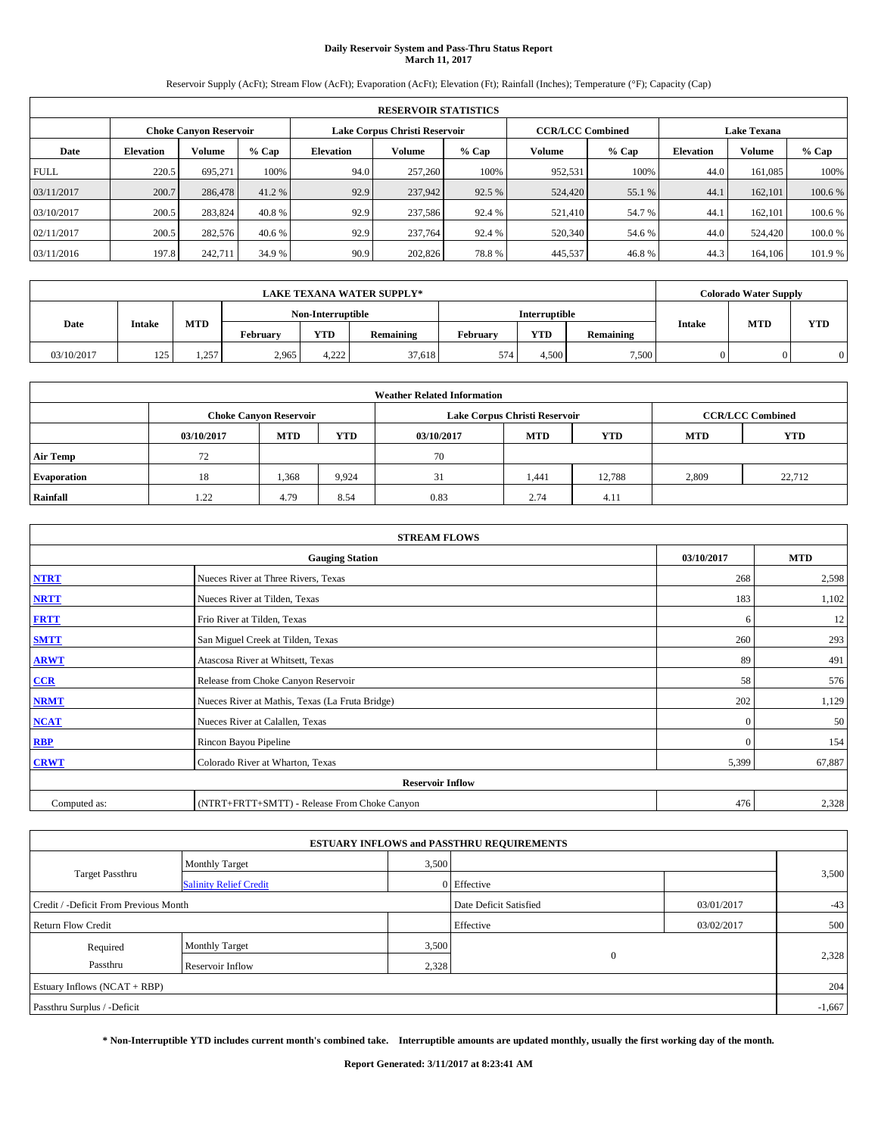# **Daily Reservoir System and Pass-Thru Status Report March 11, 2017**

Reservoir Supply (AcFt); Stream Flow (AcFt); Evaporation (AcFt); Elevation (Ft); Rainfall (Inches); Temperature (°F); Capacity (Cap)

|             | <b>RESERVOIR STATISTICS</b> |                        |         |                  |                               |         |                         |         |                    |               |         |  |  |
|-------------|-----------------------------|------------------------|---------|------------------|-------------------------------|---------|-------------------------|---------|--------------------|---------------|---------|--|--|
|             |                             | Choke Canvon Reservoir |         |                  | Lake Corpus Christi Reservoir |         | <b>CCR/LCC Combined</b> |         | <b>Lake Texana</b> |               |         |  |  |
| Date        | <b>Elevation</b>            | Volume                 | $%$ Cap | <b>Elevation</b> | <b>Volume</b>                 | $%$ Cap | Volume                  | $%$ Cap | <b>Elevation</b>   | <b>Volume</b> | $%$ Cap |  |  |
| <b>FULL</b> | 220.5                       | 695,271                | 100%    | 94.0             | 257,260                       | 100%    | 952.531                 | 100%    | 44.0               | 161.085       | 100%    |  |  |
| 03/11/2017  | 200.7                       | 286,478                | 41.2 %  | 92.9             | 237,942                       | 92.5 %  | 524,420                 | 55.1 %  | 44.                | 162,101       | 100.6%  |  |  |
| 03/10/2017  | 200.5                       | 283,824                | 40.8 %  | 92.9             | 237,586                       | 92.4 %  | 521,410                 | 54.7 %  | 44.                | 162,101       | 100.6%  |  |  |
| 02/11/2017  | 200.5                       | 282,576                | 40.6 %  | 92.9             | 237,764                       | 92.4 %  | 520,340                 | 54.6 %  | 44.0               | 524,420       | 100.0%  |  |  |
| 03/11/2016  | 197.8                       | 242,711                | 34.9 %  | 90.9             | 202,826                       | 78.8%   | 445,537                 | 46.8%   | 44.3               | 164,106       | 101.9%  |  |  |

| <b>LAKE TEXANA WATER SUPPLY*</b> |               |            |                   |            |           |                      | <b>Colorado Water Supply</b> |           |               |            |            |
|----------------------------------|---------------|------------|-------------------|------------|-----------|----------------------|------------------------------|-----------|---------------|------------|------------|
|                                  |               |            | Non-Interruptible |            |           | <b>Interruptible</b> |                              |           |               |            |            |
| Date                             | <b>Intake</b> | <b>MTD</b> | February          | <b>YTD</b> | Remaining | February             | <b>YTD</b>                   | Remaining | <b>Intake</b> | <b>MTD</b> | <b>YTD</b> |
| 03/10/2017                       | 125           | 1,257      | 2,965             | 4.222      | 37,618    | 574                  | 4.500                        | 7,500     |               |            |            |

| <b>Weather Related Information</b> |            |                               |       |            |                               |                         |            |            |  |  |  |
|------------------------------------|------------|-------------------------------|-------|------------|-------------------------------|-------------------------|------------|------------|--|--|--|
|                                    |            | <b>Choke Canyon Reservoir</b> |       |            | Lake Corpus Christi Reservoir | <b>CCR/LCC Combined</b> |            |            |  |  |  |
|                                    | 03/10/2017 | <b>MTD</b>                    | YTD   | 03/10/2017 | <b>MTD</b>                    | <b>YTD</b>              | <b>MTD</b> | <b>YTD</b> |  |  |  |
| <b>Air Temp</b>                    | 72         |                               |       | 70         |                               |                         |            |            |  |  |  |
| <b>Evaporation</b>                 | 18         | 1,368                         | 9,924 | 31         | 1.441                         | 12.788                  | 2,809      | 22,712     |  |  |  |
| Rainfall                           | 1.22       | 4.79                          | 8.54  | 0.83       | 2.74                          | 4.11                    |            |            |  |  |  |

| <b>STREAM FLOWS</b> |                                                 |          |        |  |  |  |  |  |  |
|---------------------|-------------------------------------------------|----------|--------|--|--|--|--|--|--|
|                     | <b>Gauging Station</b>                          |          |        |  |  |  |  |  |  |
| <b>NTRT</b>         | Nueces River at Three Rivers, Texas             | 268      | 2,598  |  |  |  |  |  |  |
| <b>NRTT</b>         | Nueces River at Tilden, Texas                   | 183      | 1,102  |  |  |  |  |  |  |
| <b>FRTT</b>         | Frio River at Tilden, Texas                     | 6        | 12     |  |  |  |  |  |  |
| <b>SMTT</b>         | San Miguel Creek at Tilden, Texas               | 260      | 293    |  |  |  |  |  |  |
| <b>ARWT</b>         | Atascosa River at Whitsett, Texas               | 89       | 491    |  |  |  |  |  |  |
| CCR                 | Release from Choke Canyon Reservoir             | 58       | 576    |  |  |  |  |  |  |
| <b>NRMT</b>         | Nueces River at Mathis, Texas (La Fruta Bridge) | 202      | 1,129  |  |  |  |  |  |  |
| <b>NCAT</b>         | Nueces River at Calallen, Texas                 | $\Omega$ | 50     |  |  |  |  |  |  |
| <b>RBP</b>          | Rincon Bayou Pipeline                           | $\Omega$ | 154    |  |  |  |  |  |  |
| <b>CRWT</b>         | Colorado River at Wharton, Texas                | 5,399    | 67,887 |  |  |  |  |  |  |
|                     | <b>Reservoir Inflow</b>                         |          |        |  |  |  |  |  |  |
| Computed as:        | (NTRT+FRTT+SMTT) - Release From Choke Canyon    | 476      | 2,328  |  |  |  |  |  |  |

| <b>ESTUARY INFLOWS and PASSTHRU REQUIREMENTS</b> |                               |                        |             |            |       |  |  |  |  |  |
|--------------------------------------------------|-------------------------------|------------------------|-------------|------------|-------|--|--|--|--|--|
|                                                  | <b>Monthly Target</b>         | 3,500                  |             |            |       |  |  |  |  |  |
| <b>Target Passthru</b>                           | <b>Salinity Relief Credit</b> |                        | 0 Effective |            | 3,500 |  |  |  |  |  |
| Credit / -Deficit From Previous Month            |                               | Date Deficit Satisfied | 03/01/2017  | $-43$      |       |  |  |  |  |  |
| <b>Return Flow Credit</b>                        |                               |                        | Effective   | 03/02/2017 | 500   |  |  |  |  |  |
| Required                                         | <b>Monthly Target</b>         | 3,500                  |             |            |       |  |  |  |  |  |
| Passthru<br>Reservoir Inflow                     |                               | 2,328                  | $\Omega$    |            | 2,328 |  |  |  |  |  |
| Estuary Inflows (NCAT + RBP)                     |                               |                        |             |            |       |  |  |  |  |  |
| Passthru Surplus / -Deficit                      |                               |                        |             |            |       |  |  |  |  |  |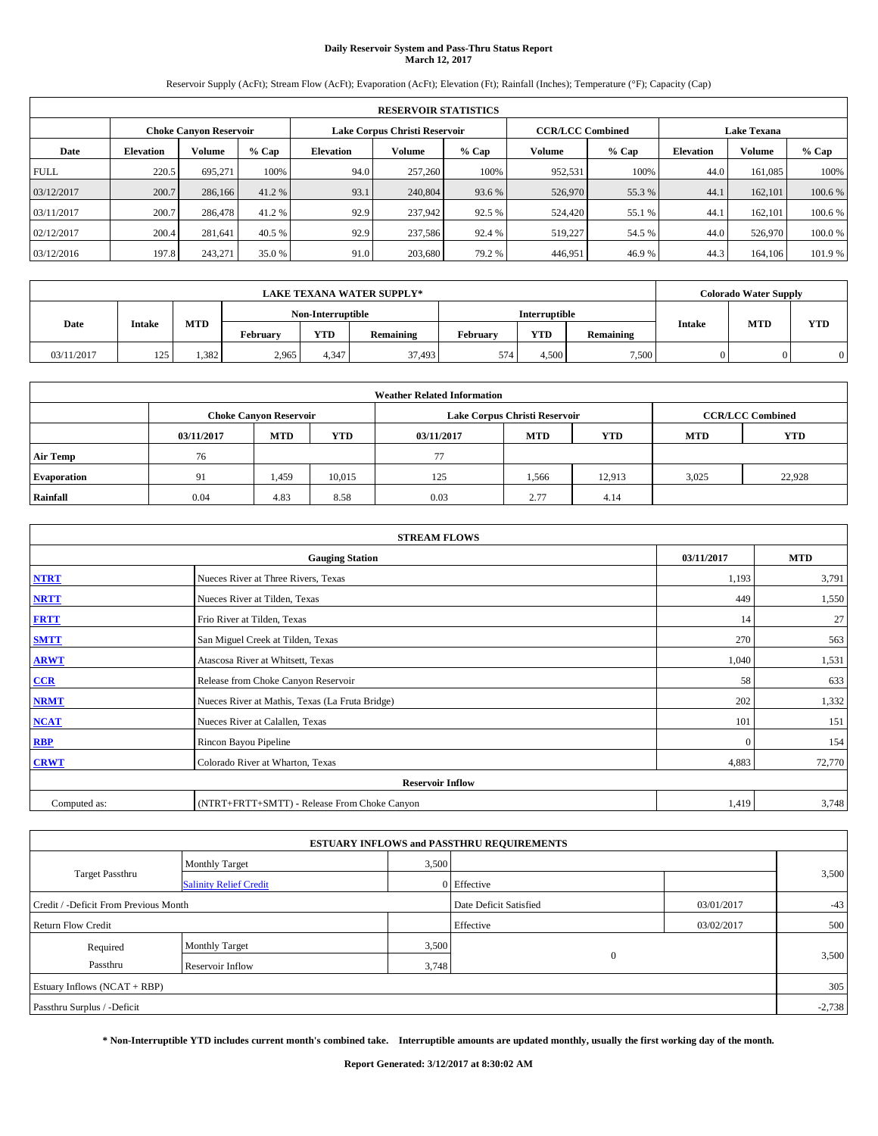# **Daily Reservoir System and Pass-Thru Status Report March 12, 2017**

Reservoir Supply (AcFt); Stream Flow (AcFt); Evaporation (AcFt); Elevation (Ft); Rainfall (Inches); Temperature (°F); Capacity (Cap)

|             | <b>RESERVOIR STATISTICS</b> |                        |         |                  |                               |         |                         |         |                    |               |         |  |  |
|-------------|-----------------------------|------------------------|---------|------------------|-------------------------------|---------|-------------------------|---------|--------------------|---------------|---------|--|--|
|             |                             | Choke Canvon Reservoir |         |                  | Lake Corpus Christi Reservoir |         | <b>CCR/LCC Combined</b> |         | <b>Lake Texana</b> |               |         |  |  |
| Date        | <b>Elevation</b>            | Volume                 | $%$ Cap | <b>Elevation</b> | Volume                        | $%$ Cap | Volume                  | $%$ Cap | <b>Elevation</b>   | <b>Volume</b> | % Cap   |  |  |
| <b>FULL</b> | 220.5                       | 695.271                | 100%    | 94.0             | 257,260                       | 100%    | 952,531                 | 100%    | 44.0               | 161.085       | 100%    |  |  |
| 03/12/2017  | 200.7                       | 286,166                | 41.2 %  | 93.1             | 240,804                       | 93.6 %  | 526,970                 | 55.3 %  | 44.1               | 162,101       | 100.6 % |  |  |
| 03/11/2017  | 200.7                       | 286,478                | 41.2 %  | 92.9             | 237,942                       | 92.5 %  | 524,420                 | 55.1 %  | 44.                | 162,101       | 100.6 % |  |  |
| 02/12/2017  | 200.4                       | 281.641                | 40.5 %  | 92.9             | 237,586                       | 92.4 %  | 519,227                 | 54.5 %  | 44.0               | 526,970       | 100.0%  |  |  |
| 03/12/2016  | 197.8                       | 243,271                | 35.0 %  | 91.0             | 203,680                       | 79.2 %  | 446.951                 | 46.9%   | 44.3               | 164,106       | 101.9 % |  |  |

| <b>LAKE TEXANA WATER SUPPLY*</b> |                   |            |                      |            |           |          | <b>Colorado Water Supply</b> |           |               |            |     |
|----------------------------------|-------------------|------------|----------------------|------------|-----------|----------|------------------------------|-----------|---------------|------------|-----|
|                                  | Non-Interruptible |            | <b>Interruptible</b> |            |           |          |                              |           |               |            |     |
| Date                             | <b>Intake</b>     | <b>MTD</b> | February             | <b>YTD</b> | Remaining | Februarv | <b>YTD</b>                   | Remaining | <b>Intake</b> | <b>MTD</b> | YTD |
| 03/11/2017                       | 125               | .382       | 2,965                | 1.347      | 37,493    | 574      | 4.500                        | 7,500     |               |            | 0   |

| <b>Weather Related Information</b> |            |                               |            |            |                               |                         |            |            |  |  |  |
|------------------------------------|------------|-------------------------------|------------|------------|-------------------------------|-------------------------|------------|------------|--|--|--|
|                                    |            | <b>Choke Canyon Reservoir</b> |            |            | Lake Corpus Christi Reservoir | <b>CCR/LCC Combined</b> |            |            |  |  |  |
|                                    | 03/11/2017 | <b>MTD</b>                    | <b>YTD</b> | 03/11/2017 | <b>MTD</b>                    | <b>YTD</b>              | <b>MTD</b> | <b>YTD</b> |  |  |  |
| <b>Air Temp</b>                    | 76         |                               |            | 77         |                               |                         |            |            |  |  |  |
| <b>Evaporation</b>                 | 91         | 1,459                         | 10,015     | 125        | 1,566                         | 12.913                  | 3,025      | 22,928     |  |  |  |
| Rainfall                           | 0.04       | 4.83                          | 8.58       | 0.03       | 2.77                          | 4.14                    |            |            |  |  |  |

| <b>STREAM FLOWS</b> |                                                 |              |        |  |  |  |  |  |  |
|---------------------|-------------------------------------------------|--------------|--------|--|--|--|--|--|--|
|                     | <b>Gauging Station</b>                          |              |        |  |  |  |  |  |  |
| <b>NTRT</b>         | Nueces River at Three Rivers, Texas             | 1,193        | 3,791  |  |  |  |  |  |  |
| <b>NRTT</b>         | Nueces River at Tilden, Texas                   | 449          | 1,550  |  |  |  |  |  |  |
| <b>FRTT</b>         | Frio River at Tilden, Texas                     | 14           | 27     |  |  |  |  |  |  |
| <b>SMTT</b>         | San Miguel Creek at Tilden, Texas               | 270          | 563    |  |  |  |  |  |  |
| <b>ARWT</b>         | Atascosa River at Whitsett, Texas               | 1,040        | 1,531  |  |  |  |  |  |  |
| CCR                 | Release from Choke Canyon Reservoir             | 58           | 633    |  |  |  |  |  |  |
| <b>NRMT</b>         | Nueces River at Mathis, Texas (La Fruta Bridge) | 202          | 1,332  |  |  |  |  |  |  |
| <b>NCAT</b>         | Nueces River at Calallen, Texas                 | 101          | 151    |  |  |  |  |  |  |
| <b>RBP</b>          | Rincon Bayou Pipeline                           | $\mathbf{0}$ | 154    |  |  |  |  |  |  |
| <b>CRWT</b>         | Colorado River at Wharton, Texas                | 4,883        | 72,770 |  |  |  |  |  |  |
|                     | <b>Reservoir Inflow</b>                         |              |        |  |  |  |  |  |  |
| Computed as:        | (NTRT+FRTT+SMTT) - Release From Choke Canyon    | 1,419        | 3,748  |  |  |  |  |  |  |

|                                       |                               |       | <b>ESTUARY INFLOWS and PASSTHRU REQUIREMENTS</b> |            |          |  |  |  |
|---------------------------------------|-------------------------------|-------|--------------------------------------------------|------------|----------|--|--|--|
|                                       | <b>Monthly Target</b>         | 3,500 |                                                  |            |          |  |  |  |
| <b>Target Passthru</b>                | <b>Salinity Relief Credit</b> |       | 0 Effective                                      |            | 3,500    |  |  |  |
| Credit / -Deficit From Previous Month |                               |       | Date Deficit Satisfied                           | 03/01/2017 | $-43$    |  |  |  |
| <b>Return Flow Credit</b>             |                               |       | Effective                                        | 03/02/2017 | 500      |  |  |  |
| Required                              | <b>Monthly Target</b>         | 3,500 |                                                  |            |          |  |  |  |
| Passthru<br><b>Reservoir Inflow</b>   |                               | 3,748 | $\Omega$                                         |            | 3,500    |  |  |  |
| Estuary Inflows $(NCAT + RBP)$        |                               |       |                                                  |            |          |  |  |  |
| Passthru Surplus / -Deficit           |                               |       |                                                  |            | $-2,738$ |  |  |  |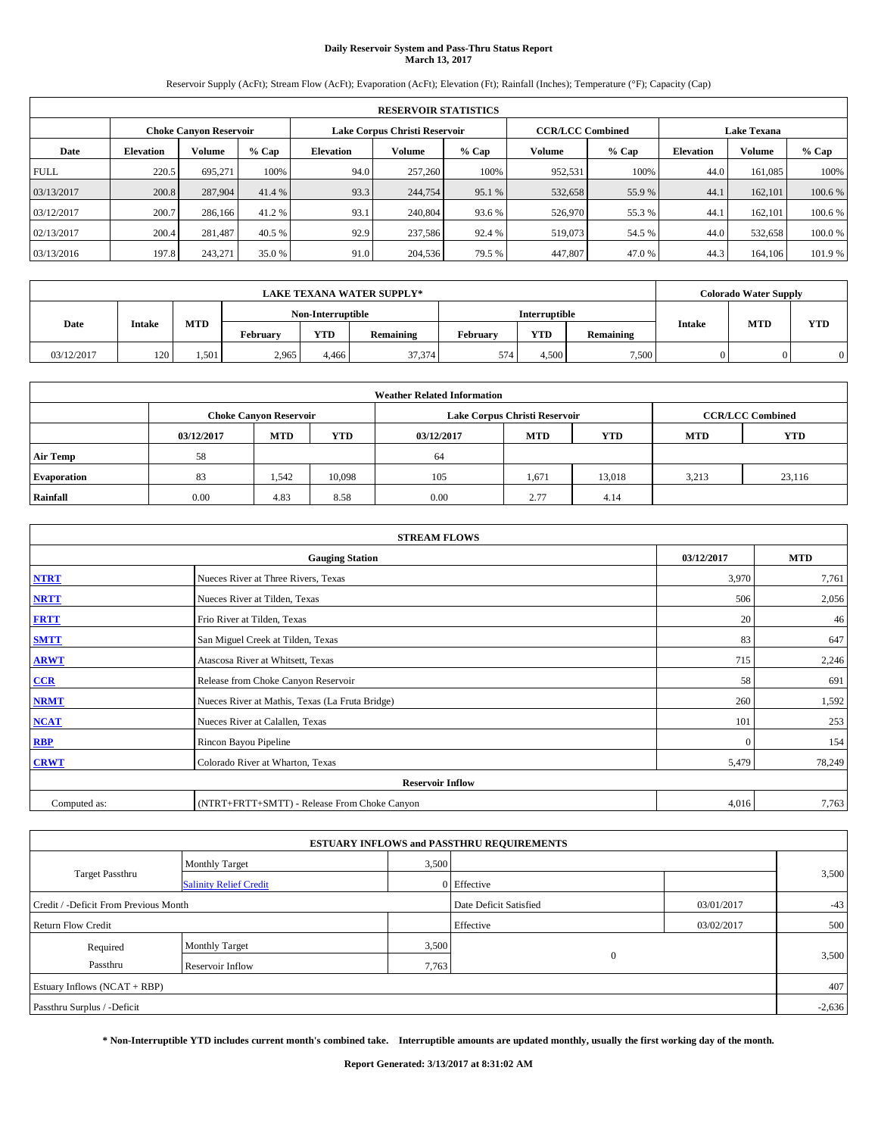# **Daily Reservoir System and Pass-Thru Status Report March 13, 2017**

Reservoir Supply (AcFt); Stream Flow (AcFt); Evaporation (AcFt); Elevation (Ft); Rainfall (Inches); Temperature (°F); Capacity (Cap)

|             | <b>RESERVOIR STATISTICS</b> |         |         |                  |                               |         |                         |         |                    |               |         |
|-------------|-----------------------------|---------|---------|------------------|-------------------------------|---------|-------------------------|---------|--------------------|---------------|---------|
|             | Choke Canvon Reservoir      |         |         |                  | Lake Corpus Christi Reservoir |         | <b>CCR/LCC Combined</b> |         | <b>Lake Texana</b> |               |         |
| Date        | <b>Elevation</b>            | Volume  | $%$ Cap | <b>Elevation</b> | Volume                        | $%$ Cap | Volume                  | $%$ Cap | <b>Elevation</b>   | <b>Volume</b> | % Cap   |
| <b>FULL</b> | 220.5                       | 695.271 | 100%    | 94.0             | 257,260                       | 100%    | 952,531                 | 100%    | 44.0               | 161.085       | 100%    |
| 03/13/2017  | 200.8                       | 287,904 | 41.4 %  | 93.3             | 244,754                       | 95.1 %  | 532,658                 | 55.9%   | 44.1               | 162,101       | 100.6 % |
| 03/12/2017  | 200.7                       | 286,166 | 41.2 %  | 93.1             | 240,804                       | 93.6 %  | 526,970                 | 55.3%   | 44.                | 162,101       | 100.6 % |
| 02/13/2017  | 200.4                       | 281.487 | 40.5 %  | 92.9             | 237,586                       | 92.4 %  | 519.073                 | 54.5 %  | 44.0               | 532,658       | 100.0%  |
| 03/13/2016  | 197.8                       | 243,271 | 35.0 %  | 91.0             | 204,536                       | 79.5 %  | 447,807                 | 47.0%   | 44.3               | 164,106       | 101.9 % |

|            |                                                                            |         |       |                   | <b>LAKE TEXANA WATER SUPPLY*</b> |            |                      |               |            | <b>Colorado Water Supply</b> |  |
|------------|----------------------------------------------------------------------------|---------|-------|-------------------|----------------------------------|------------|----------------------|---------------|------------|------------------------------|--|
|            |                                                                            |         |       | Non-Interruptible |                                  |            | <b>Interruptible</b> |               |            |                              |  |
|            | <b>MTD</b><br>Date<br><b>Intake</b><br><b>YTD</b><br>February<br>Remaining |         |       |                   | February                         | <b>YTD</b> | Remaining            | <b>Intake</b> | <b>MTD</b> | <b>YTD</b>                   |  |
| 03/12/2017 | 120                                                                        | . . 501 | 2,965 | 4.466             | 37,374                           | 574        | 4.500                | 7,500         |            |                              |  |

| <b>Weather Related Information</b> |            |                               |            |            |                               |            |            |                         |  |  |
|------------------------------------|------------|-------------------------------|------------|------------|-------------------------------|------------|------------|-------------------------|--|--|
|                                    |            | <b>Choke Canyon Reservoir</b> |            |            | Lake Corpus Christi Reservoir |            |            | <b>CCR/LCC Combined</b> |  |  |
|                                    | 03/12/2017 | <b>MTD</b>                    | <b>YTD</b> | 03/12/2017 | <b>MTD</b>                    | <b>YTD</b> | <b>MTD</b> | <b>YTD</b>              |  |  |
| <b>Air Temp</b>                    | 58         |                               |            | 64         |                               |            |            |                         |  |  |
| <b>Evaporation</b>                 | 83         | 1,542                         | 10,098     | 105        | 1,671                         | 13,018     | 3,213      | 23,116                  |  |  |
| Rainfall                           | 0.00       | 4.83                          | 8.58       | 0.00       | 2.77                          | 4.14       |            |                         |  |  |

|              | <b>STREAM FLOWS</b>                             |              |            |  |  |  |  |  |  |  |
|--------------|-------------------------------------------------|--------------|------------|--|--|--|--|--|--|--|
|              | <b>Gauging Station</b>                          | 03/12/2017   | <b>MTD</b> |  |  |  |  |  |  |  |
| <b>NTRT</b>  | Nueces River at Three Rivers, Texas             | 3,970        | 7,761      |  |  |  |  |  |  |  |
| <b>NRTT</b>  | Nueces River at Tilden, Texas                   | 506          | 2,056      |  |  |  |  |  |  |  |
| <b>FRTT</b>  | Frio River at Tilden, Texas                     | 20           | 46         |  |  |  |  |  |  |  |
| <b>SMTT</b>  | San Miguel Creek at Tilden, Texas               | 83           | 647        |  |  |  |  |  |  |  |
| <b>ARWT</b>  | Atascosa River at Whitsett, Texas               | 715          | 2,246      |  |  |  |  |  |  |  |
| CCR          | Release from Choke Canyon Reservoir             | 58           | 691        |  |  |  |  |  |  |  |
| <b>NRMT</b>  | Nueces River at Mathis, Texas (La Fruta Bridge) | 260          | 1,592      |  |  |  |  |  |  |  |
| <b>NCAT</b>  | Nueces River at Calallen, Texas                 | 101          | 253        |  |  |  |  |  |  |  |
| <b>RBP</b>   | Rincon Bayou Pipeline                           | $\mathbf{0}$ | 154        |  |  |  |  |  |  |  |
| <b>CRWT</b>  | Colorado River at Wharton, Texas                | 5,479        | 78,249     |  |  |  |  |  |  |  |
|              | <b>Reservoir Inflow</b>                         |              |            |  |  |  |  |  |  |  |
| Computed as: | (NTRT+FRTT+SMTT) - Release From Choke Canyon    | 4,016        | 7,763      |  |  |  |  |  |  |  |

|                                       |                               |                        | <b>ESTUARY INFLOWS and PASSTHRU REQUIREMENTS</b> |            |       |  |  |  |
|---------------------------------------|-------------------------------|------------------------|--------------------------------------------------|------------|-------|--|--|--|
|                                       | <b>Monthly Target</b>         | 3,500                  |                                                  |            |       |  |  |  |
| <b>Target Passthru</b>                | <b>Salinity Relief Credit</b> |                        | 0 Effective                                      |            | 3,500 |  |  |  |
| Credit / -Deficit From Previous Month |                               | Date Deficit Satisfied | 03/01/2017                                       | $-43$      |       |  |  |  |
| <b>Return Flow Credit</b>             |                               |                        | Effective                                        | 03/02/2017 | 500   |  |  |  |
| Required                              | <b>Monthly Target</b>         | 3,500                  |                                                  |            |       |  |  |  |
| Passthru                              | <b>Reservoir Inflow</b>       | 7,763                  | $\Omega$                                         |            | 3,500 |  |  |  |
| Estuary Inflows $(NCAT + RBP)$        |                               |                        |                                                  |            | 407   |  |  |  |
| Passthru Surplus / -Deficit           |                               |                        |                                                  |            |       |  |  |  |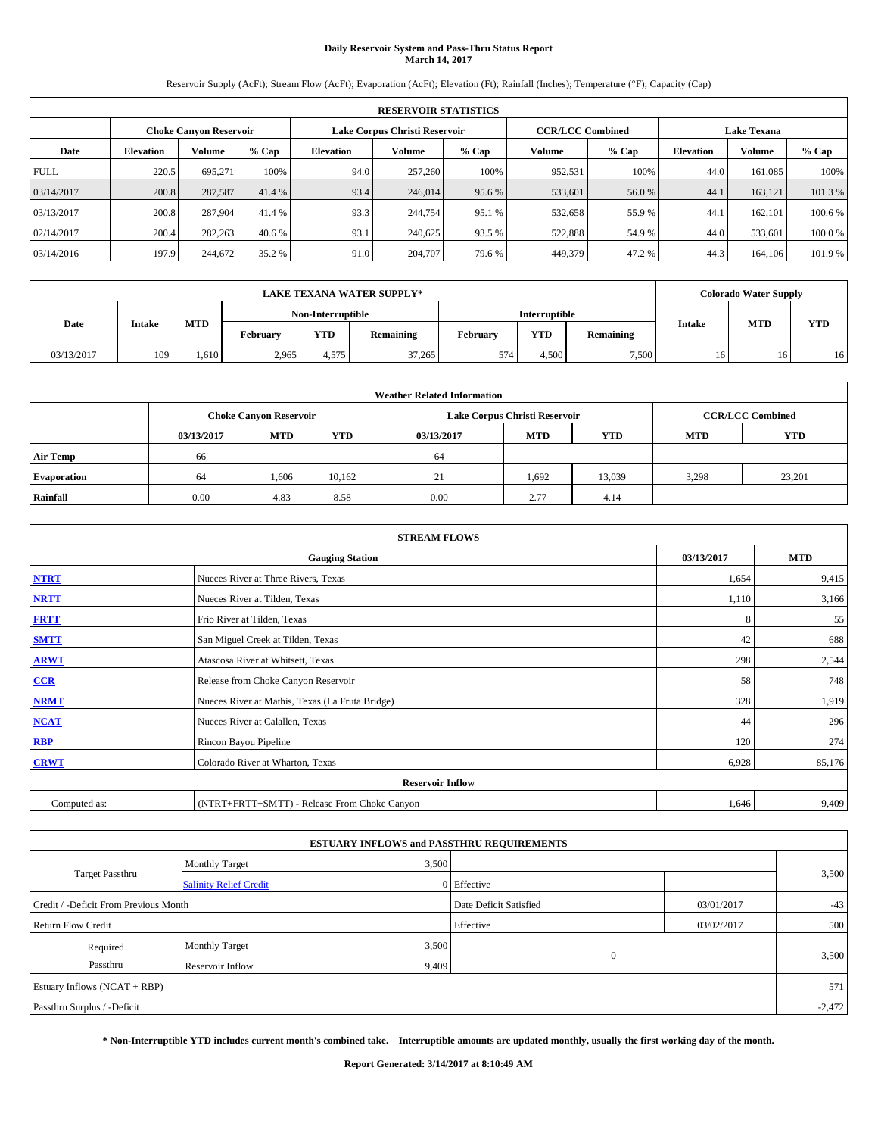# **Daily Reservoir System and Pass-Thru Status Report March 14, 2017**

Reservoir Supply (AcFt); Stream Flow (AcFt); Evaporation (AcFt); Elevation (Ft); Rainfall (Inches); Temperature (°F); Capacity (Cap)

|             | <b>RESERVOIR STATISTICS</b> |         |         |                  |                               |         |                         |         |                    |               |         |
|-------------|-----------------------------|---------|---------|------------------|-------------------------------|---------|-------------------------|---------|--------------------|---------------|---------|
|             | Choke Canvon Reservoir      |         |         |                  | Lake Corpus Christi Reservoir |         | <b>CCR/LCC Combined</b> |         | <b>Lake Texana</b> |               |         |
| Date        | <b>Elevation</b>            | Volume  | $%$ Cap | <b>Elevation</b> | Volume                        | $%$ Cap | Volume                  | $%$ Cap | <b>Elevation</b>   | <b>Volume</b> | % Cap   |
| <b>FULL</b> | 220.5                       | 695.271 | 100%    | 94.0             | 257,260                       | 100%    | 952,531                 | 100%    | 44.0               | 161.085       | 100%    |
| 03/14/2017  | 200.8                       | 287,587 | 41.4 %  | 93.4             | 246,014                       | 95.6 %  | 533,601                 | 56.0%   | 44.1               | 163,121       | 101.3%  |
| 03/13/2017  | 200.8                       | 287,904 | 41.4 %  | 93.3             | 244,754                       | 95.1 %  | 532,658                 | 55.9 %  | 44.                | 162,101       | 100.6 % |
| 02/14/2017  | 200.4                       | 282,263 | 40.6 %  | 93.1             | 240,625                       | 93.5 %  | 522,888                 | 54.9 %  | 44.0               | 533,601       | 100.0%  |
| 03/14/2016  | 197.9                       | 244,672 | 35.2 %  | 91.0             | 204,707                       | 79.6 %  | 449,379                 | 47.2%   | 44.3               | 164,106       | 101.9 % |

|            |               |            |          |                   | <b>LAKE TEXANA WATER SUPPLY*</b> |          |               |           |                 | <b>Colorado Water Supply</b> |            |
|------------|---------------|------------|----------|-------------------|----------------------------------|----------|---------------|-----------|-----------------|------------------------------|------------|
|            |               |            |          | Non-Interruptible |                                  |          | Interruptible |           |                 |                              |            |
| Date       | <b>Intake</b> | <b>MTD</b> | Februarv | <b>YTD</b>        | Remaining                        | Februarv | <b>YTD</b>    | Remaining | <b>Intake</b>   | <b>MTD</b>                   | <b>YTD</b> |
| 03/13/2017 | 109           | 610        | 2,965    | 4.575             | 37,265                           | 574      | 4.500         | 7,500     | 16 <sup>1</sup> | 16                           | 16         |

|                    | <b>Weather Related Information</b> |                               |            |            |                               |            |            |                         |  |  |  |  |
|--------------------|------------------------------------|-------------------------------|------------|------------|-------------------------------|------------|------------|-------------------------|--|--|--|--|
|                    |                                    | <b>Choke Canyon Reservoir</b> |            |            | Lake Corpus Christi Reservoir |            |            | <b>CCR/LCC Combined</b> |  |  |  |  |
|                    | 03/13/2017                         | <b>MTD</b>                    | <b>YTD</b> | 03/13/2017 | <b>MTD</b>                    | <b>YTD</b> | <b>MTD</b> | <b>YTD</b>              |  |  |  |  |
| <b>Air Temp</b>    | 66                                 |                               |            | 64         |                               |            |            |                         |  |  |  |  |
| <b>Evaporation</b> | 64                                 | 1,606                         | 10,162     | 21         | 1,692                         | 13,039     | 3,298      | 23,201                  |  |  |  |  |
| Rainfall           | 0.00                               | 4.83                          | 8.58       | 0.00       | 2.77                          | 4.14       |            |                         |  |  |  |  |

|              | <b>STREAM FLOWS</b>                             |            |            |  |  |  |  |  |  |  |
|--------------|-------------------------------------------------|------------|------------|--|--|--|--|--|--|--|
|              | <b>Gauging Station</b>                          | 03/13/2017 | <b>MTD</b> |  |  |  |  |  |  |  |
| <b>NTRT</b>  | Nueces River at Three Rivers, Texas             | 1,654      | 9,415      |  |  |  |  |  |  |  |
| <b>NRTT</b>  | Nueces River at Tilden, Texas                   | 1,110      | 3,166      |  |  |  |  |  |  |  |
| <b>FRTT</b>  | Frio River at Tilden, Texas                     | 8          | 55         |  |  |  |  |  |  |  |
| <b>SMTT</b>  | San Miguel Creek at Tilden, Texas               | 42         | 688        |  |  |  |  |  |  |  |
| <b>ARWT</b>  | Atascosa River at Whitsett, Texas               | 298        | 2,544      |  |  |  |  |  |  |  |
| CCR          | Release from Choke Canyon Reservoir             | 58         | 748        |  |  |  |  |  |  |  |
| <b>NRMT</b>  | Nueces River at Mathis, Texas (La Fruta Bridge) | 328        | 1,919      |  |  |  |  |  |  |  |
| <b>NCAT</b>  | Nueces River at Calallen, Texas                 | 44         | 296        |  |  |  |  |  |  |  |
| <b>RBP</b>   | Rincon Bayou Pipeline                           | 120        | 274        |  |  |  |  |  |  |  |
| <b>CRWT</b>  | Colorado River at Wharton, Texas                | 6,928      | 85,176     |  |  |  |  |  |  |  |
|              | <b>Reservoir Inflow</b>                         |            |            |  |  |  |  |  |  |  |
| Computed as: | (NTRT+FRTT+SMTT) - Release From Choke Canyon    | 1,646      | 9,409      |  |  |  |  |  |  |  |

| <b>ESTUARY INFLOWS and PASSTHRU REQUIREMENTS</b> |                               |                        |             |            |       |  |  |  |  |  |
|--------------------------------------------------|-------------------------------|------------------------|-------------|------------|-------|--|--|--|--|--|
|                                                  | <b>Monthly Target</b>         | 3,500                  |             |            |       |  |  |  |  |  |
| <b>Target Passthru</b>                           | <b>Salinity Relief Credit</b> |                        | 0 Effective |            | 3,500 |  |  |  |  |  |
| Credit / -Deficit From Previous Month            |                               | Date Deficit Satisfied | 03/01/2017  | $-43$      |       |  |  |  |  |  |
| <b>Return Flow Credit</b>                        |                               |                        | Effective   | 03/02/2017 | 500   |  |  |  |  |  |
| Required                                         | Monthly Target                | 3,500                  |             |            |       |  |  |  |  |  |
| Passthru                                         | Reservoir Inflow              | 9,409                  | $\Omega$    |            | 3,500 |  |  |  |  |  |
| Estuary Inflows (NCAT + RBP)                     |                               |                        |             |            |       |  |  |  |  |  |
| Passthru Surplus / -Deficit                      |                               |                        |             |            |       |  |  |  |  |  |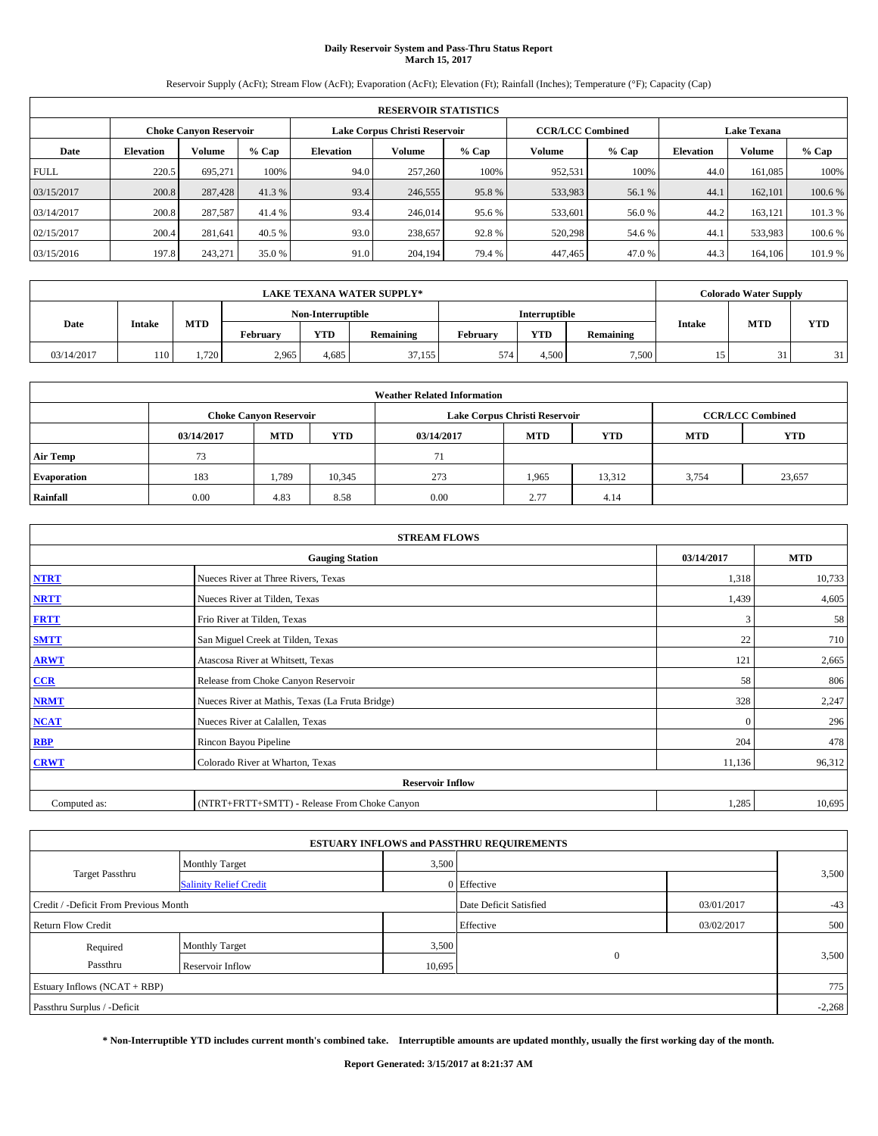# **Daily Reservoir System and Pass-Thru Status Report March 15, 2017**

Reservoir Supply (AcFt); Stream Flow (AcFt); Evaporation (AcFt); Elevation (Ft); Rainfall (Inches); Temperature (°F); Capacity (Cap)

|             | <b>RESERVOIR STATISTICS</b> |                        |         |                                                          |               |         |         |         |                    |               |         |
|-------------|-----------------------------|------------------------|---------|----------------------------------------------------------|---------------|---------|---------|---------|--------------------|---------------|---------|
|             |                             | Choke Canvon Reservoir |         | Lake Corpus Christi Reservoir<br><b>CCR/LCC Combined</b> |               |         |         |         | <b>Lake Texana</b> |               |         |
| Date        | <b>Elevation</b>            | Volume                 | $%$ Cap | <b>Elevation</b>                                         | <b>Volume</b> | $%$ Cap | Volume  | $%$ Cap | <b>Elevation</b>   | <b>Volume</b> | $%$ Cap |
| <b>FULL</b> | 220.5                       | 695,271                | 100%    | 94.0                                                     | 257,260       | 100%    | 952.531 | 100%    | 44.0               | 161.085       | 100%    |
| 03/15/2017  | 200.8                       | 287,428                | 41.3%   | 93.4                                                     | 246,555       | 95.8%   | 533,983 | 56.1 %  | 44.                | 162,101       | 100.6%  |
| 03/14/2017  | 200.8                       | 287,587                | 41.4 %  | 93.4                                                     | 246,014       | 95.6 %  | 533,601 | 56.0 %  | 44.2               | 163.121       | 101.3%  |
| 02/15/2017  | 200.4                       | 281.641                | 40.5 %  | 93.0                                                     | 238,657       | 92.8%   | 520,298 | 54.6 %  | 44.                | 533.983       | 100.6%  |
| 03/15/2016  | 197.8                       | 243,271                | 35.0 %  | 91.0                                                     | 204,194       | 79.4 %  | 447,465 | 47.0%   | 44.3               | 164,106       | 101.9%  |

|            |        |            |          |                   | <b>LAKE TEXANA WATER SUPPLY*</b> |          |               |           |               | <b>Colorado Water Supply</b> |            |
|------------|--------|------------|----------|-------------------|----------------------------------|----------|---------------|-----------|---------------|------------------------------|------------|
|            |        |            |          | Non-Interruptible |                                  |          | Interruptible |           |               |                              |            |
| Date       | Intake | <b>MTD</b> | Februarv | <b>YTD</b>        | Remaining                        | February | <b>YTD</b>    | Remaining | <b>Intake</b> | <b>MTD</b>                   | <b>YTD</b> |
| 03/14/2017 | 110    | 720        | 2,965    | 4,685             | 37,155                           | 574      | 4.500         | 7,500     |               | 31<br>JІ                     | 31         |

| <b>Weather Related Information</b> |            |                               |            |            |                                        |                         |       |        |  |
|------------------------------------|------------|-------------------------------|------------|------------|----------------------------------------|-------------------------|-------|--------|--|
|                                    |            | <b>Choke Canyon Reservoir</b> |            |            | Lake Corpus Christi Reservoir          | <b>CCR/LCC Combined</b> |       |        |  |
|                                    | 03/14/2017 | <b>MTD</b>                    | <b>YTD</b> | 03/14/2017 | <b>MTD</b><br><b>YTD</b><br><b>MTD</b> |                         |       |        |  |
| <b>Air Temp</b>                    | 73         |                               |            | 71         |                                        |                         |       |        |  |
| <b>Evaporation</b>                 | 183        | 1,789                         | 10,345     | 273        | 1,965                                  | 13,312                  | 3,754 | 23,657 |  |
| Rainfall                           | 0.00       | 4.83                          | 8.58       | 0.00       | 2.77                                   | 4.14                    |       |        |  |

| <b>STREAM FLOWS</b> |                                                 |              |        |  |  |  |  |  |  |
|---------------------|-------------------------------------------------|--------------|--------|--|--|--|--|--|--|
|                     | 03/14/2017                                      | <b>MTD</b>   |        |  |  |  |  |  |  |
| <b>NTRT</b>         | Nueces River at Three Rivers, Texas             | 1,318        | 10,733 |  |  |  |  |  |  |
| <b>NRTT</b>         | Nueces River at Tilden, Texas                   | 1,439        | 4,605  |  |  |  |  |  |  |
| <b>FRTT</b>         | Frio River at Tilden, Texas                     | 3            | 58     |  |  |  |  |  |  |
| <b>SMTT</b>         | San Miguel Creek at Tilden, Texas               | 22           | 710    |  |  |  |  |  |  |
| <b>ARWT</b>         | Atascosa River at Whitsett, Texas               | 121          | 2,665  |  |  |  |  |  |  |
| CCR                 | Release from Choke Canyon Reservoir             | 58           | 806    |  |  |  |  |  |  |
| <b>NRMT</b>         | Nueces River at Mathis, Texas (La Fruta Bridge) | 328          | 2,247  |  |  |  |  |  |  |
| <b>NCAT</b>         | Nueces River at Calallen, Texas                 | $\mathbf{0}$ | 296    |  |  |  |  |  |  |
| RBP                 | Rincon Bayou Pipeline                           | 204          | 478    |  |  |  |  |  |  |
| <b>CRWT</b>         | Colorado River at Wharton, Texas                | 11,136       | 96,312 |  |  |  |  |  |  |
|                     | <b>Reservoir Inflow</b>                         |              |        |  |  |  |  |  |  |
| Computed as:        | (NTRT+FRTT+SMTT) - Release From Choke Canyon    | 1,285        | 10,695 |  |  |  |  |  |  |

|                                       |                               |        | <b>ESTUARY INFLOWS and PASSTHRU REQUIREMENTS</b> |            |       |  |  |  |
|---------------------------------------|-------------------------------|--------|--------------------------------------------------|------------|-------|--|--|--|
|                                       | <b>Monthly Target</b>         | 3,500  |                                                  |            |       |  |  |  |
| Target Passthru                       | <b>Salinity Relief Credit</b> |        | 0 Effective                                      |            | 3,500 |  |  |  |
| Credit / -Deficit From Previous Month |                               |        | Date Deficit Satisfied                           | 03/01/2017 | $-43$ |  |  |  |
| <b>Return Flow Credit</b>             |                               |        | Effective                                        | 03/02/2017 | 500   |  |  |  |
| Required                              | <b>Monthly Target</b>         | 3,500  |                                                  |            |       |  |  |  |
| Passthru                              | Reservoir Inflow              | 10,695 | $\Omega$                                         |            | 3,500 |  |  |  |
| Estuary Inflows (NCAT + RBP)          |                               |        |                                                  |            |       |  |  |  |
| Passthru Surplus / -Deficit           |                               |        |                                                  |            |       |  |  |  |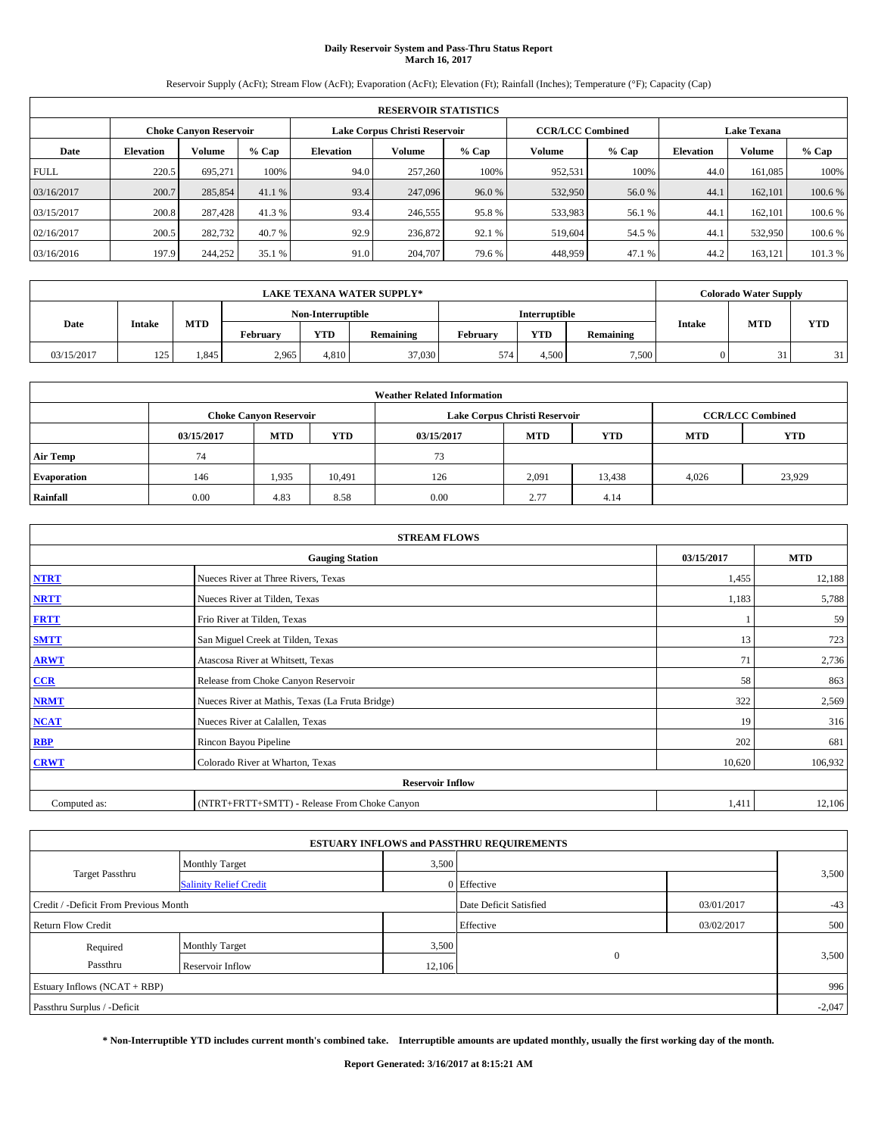# **Daily Reservoir System and Pass-Thru Status Report March 16, 2017**

Reservoir Supply (AcFt); Stream Flow (AcFt); Evaporation (AcFt); Elevation (Ft); Rainfall (Inches); Temperature (°F); Capacity (Cap)

|             | <b>RESERVOIR STATISTICS</b> |                        |         |                  |                               |         |                         |         |                  |                    |         |  |
|-------------|-----------------------------|------------------------|---------|------------------|-------------------------------|---------|-------------------------|---------|------------------|--------------------|---------|--|
|             |                             | Choke Canvon Reservoir |         |                  | Lake Corpus Christi Reservoir |         | <b>CCR/LCC Combined</b> |         |                  | <b>Lake Texana</b> |         |  |
| Date        | <b>Elevation</b>            | Volume                 | $%$ Cap | <b>Elevation</b> | Volume                        | $%$ Cap | Volume                  | $%$ Cap | <b>Elevation</b> | <b>Volume</b>      | % Cap   |  |
| <b>FULL</b> | 220.5                       | 695.271                | 100%    | 94.0             | 257,260                       | 100%    | 952,531                 | 100%    | 44.0             | 161.085            | 100%    |  |
| 03/16/2017  | 200.7                       | 285,854                | 41.1 %  | 93.4             | 247,096                       | 96.0%   | 532,950                 | 56.0%   | 44.              | 162,101            | 100.6 % |  |
| 03/15/2017  | 200.8                       | 287.428                | 41.3%   | 93.4             | 246,555                       | 95.8%   | 533,983                 | 56.1 %  | 44.              | 162,101            | 100.6 % |  |
| 02/16/2017  | 200.5                       | 282,732                | 40.7 %  | 92.9             | 236,872                       | 92.1 %  | 519.604                 | 54.5 %  | 44.1             | 532,950            | 100.6 % |  |
| 03/16/2016  | 197.9                       | 244,252                | 35.1 %  | 91.0             | 204,707                       | 79.6 %  | 448,959                 | 47.1 %  | 44.2             | 163,121            | 101.3 % |  |

| <b>LAKE TEXANA WATER SUPPLY*</b> |               |            |          |                   |           |                      |            |           |               | <b>Colorado Water Supply</b> |            |
|----------------------------------|---------------|------------|----------|-------------------|-----------|----------------------|------------|-----------|---------------|------------------------------|------------|
|                                  |               |            |          | Non-Interruptible |           | <b>Interruptible</b> |            |           |               |                              |            |
| Date                             | <b>Intake</b> | <b>MTD</b> | February | <b>YTD</b>        | Remaining | February             | <b>YTD</b> | Remaining | <b>Intake</b> | <b>MTD</b>                   | <b>YTD</b> |
| 03/15/2017                       | 125           | .845       | 2,965    | 4.810             | 37,030    | 574                  | 4.500      | 7,500     |               | JІ                           | 31         |

| <b>Weather Related Information</b> |            |                               |            |            |                                        |                         |       |        |  |
|------------------------------------|------------|-------------------------------|------------|------------|----------------------------------------|-------------------------|-------|--------|--|
|                                    |            | <b>Choke Canvon Reservoir</b> |            |            | Lake Corpus Christi Reservoir          | <b>CCR/LCC Combined</b> |       |        |  |
|                                    | 03/15/2017 | <b>MTD</b>                    | <b>YTD</b> | 03/15/2017 | <b>MTD</b><br><b>YTD</b><br><b>MTD</b> |                         |       |        |  |
| <b>Air Temp</b>                    | 74         |                               |            | 73         |                                        |                         |       |        |  |
| <b>Evaporation</b>                 | 146        | 1,935                         | 10,491     | 126        | 2,091                                  | 13,438                  | 4,026 | 23,929 |  |
| Rainfall                           | 0.00       | 4.83                          | 8.58       | 0.00       | 2.77                                   | 4.14                    |       |        |  |

| <b>STREAM FLOWS</b> |                                                 |            |         |  |  |  |  |  |  |
|---------------------|-------------------------------------------------|------------|---------|--|--|--|--|--|--|
|                     | 03/15/2017                                      | <b>MTD</b> |         |  |  |  |  |  |  |
| <b>NTRT</b>         | Nueces River at Three Rivers, Texas             | 1,455      | 12,188  |  |  |  |  |  |  |
| <b>NRTT</b>         | Nueces River at Tilden, Texas                   | 1,183      | 5,788   |  |  |  |  |  |  |
| <b>FRTT</b>         | Frio River at Tilden, Texas                     |            | 59      |  |  |  |  |  |  |
| <b>SMTT</b>         | San Miguel Creek at Tilden, Texas               | 13         | 723     |  |  |  |  |  |  |
| <b>ARWT</b>         | Atascosa River at Whitsett, Texas               | 71         | 2,736   |  |  |  |  |  |  |
| CCR                 | Release from Choke Canyon Reservoir             | 58         | 863     |  |  |  |  |  |  |
| <b>NRMT</b>         | Nueces River at Mathis, Texas (La Fruta Bridge) | 322        | 2,569   |  |  |  |  |  |  |
| NCAT                | Nueces River at Calallen, Texas                 | 19         | 316     |  |  |  |  |  |  |
| <b>RBP</b>          | Rincon Bayou Pipeline                           | 202        | 681     |  |  |  |  |  |  |
| <b>CRWT</b>         | Colorado River at Wharton, Texas                | 10,620     | 106,932 |  |  |  |  |  |  |
|                     | <b>Reservoir Inflow</b>                         |            |         |  |  |  |  |  |  |
| Computed as:        | (NTRT+FRTT+SMTT) - Release From Choke Canyon    | 1,411      | 12,106  |  |  |  |  |  |  |

|                                       |                               |        | <b>ESTUARY INFLOWS and PASSTHRU REQUIREMENTS</b> |            |       |  |  |  |
|---------------------------------------|-------------------------------|--------|--------------------------------------------------|------------|-------|--|--|--|
|                                       | <b>Monthly Target</b>         | 3,500  |                                                  |            |       |  |  |  |
| Target Passthru                       | <b>Salinity Relief Credit</b> |        | 0 Effective                                      |            | 3,500 |  |  |  |
| Credit / -Deficit From Previous Month |                               |        | Date Deficit Satisfied                           | 03/01/2017 | $-43$ |  |  |  |
| <b>Return Flow Credit</b>             |                               |        | Effective                                        | 03/02/2017 | 500   |  |  |  |
| Required                              | <b>Monthly Target</b>         | 3,500  |                                                  |            |       |  |  |  |
| Passthru                              | Reservoir Inflow              | 12,106 | $\Omega$                                         |            | 3,500 |  |  |  |
| Estuary Inflows (NCAT + RBP)          |                               |        |                                                  |            |       |  |  |  |
| Passthru Surplus / -Deficit           |                               |        |                                                  |            |       |  |  |  |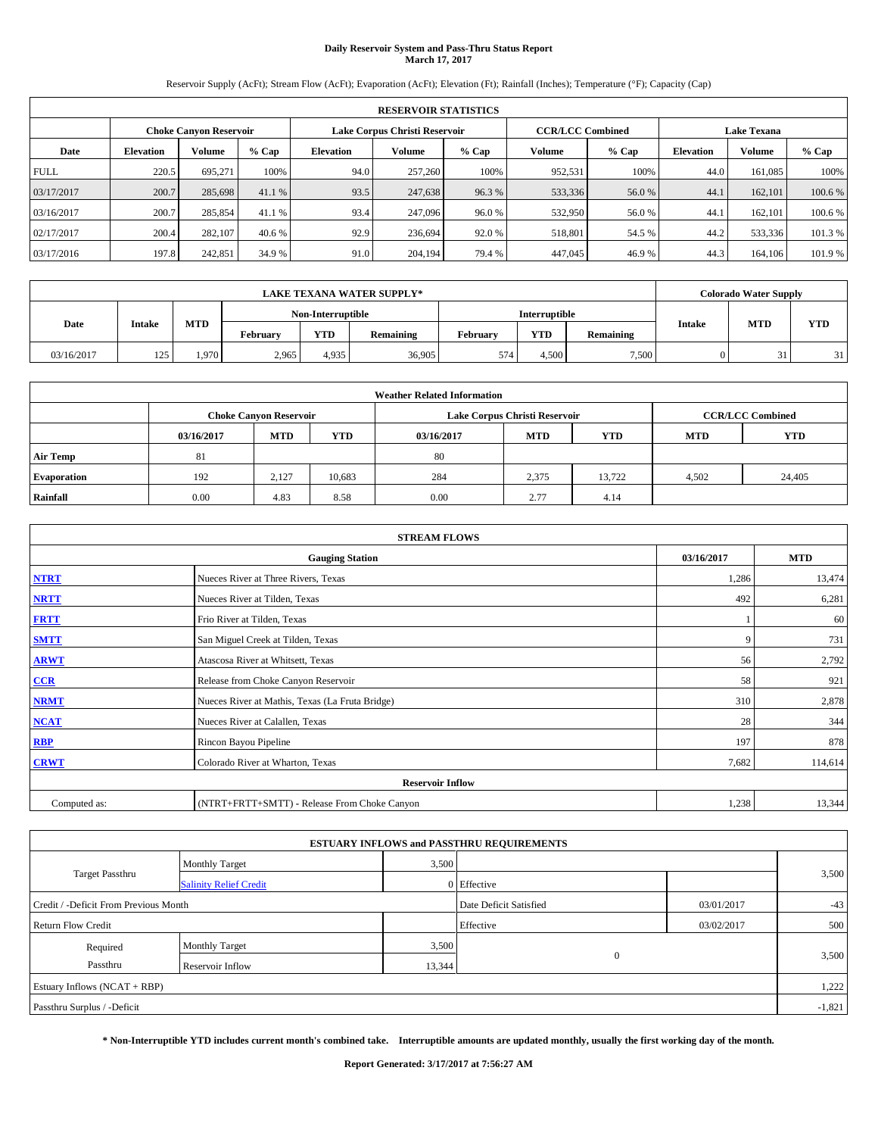# **Daily Reservoir System and Pass-Thru Status Report March 17, 2017**

Reservoir Supply (AcFt); Stream Flow (AcFt); Evaporation (AcFt); Elevation (Ft); Rainfall (Inches); Temperature (°F); Capacity (Cap)

|             | <b>RESERVOIR STATISTICS</b> |                        |         |                  |                               |         |                         |         |                    |               |         |
|-------------|-----------------------------|------------------------|---------|------------------|-------------------------------|---------|-------------------------|---------|--------------------|---------------|---------|
|             |                             | Choke Canvon Reservoir |         |                  | Lake Corpus Christi Reservoir |         | <b>CCR/LCC Combined</b> |         | <b>Lake Texana</b> |               |         |
| Date        | <b>Elevation</b>            | Volume                 | $%$ Cap | <b>Elevation</b> | Volume                        | $%$ Cap | Volume                  | $%$ Cap | <b>Elevation</b>   | <b>Volume</b> | % Cap   |
| <b>FULL</b> | 220.5                       | 695.271                | 100%    | 94.0             | 257,260                       | 100%    | 952,531                 | 100%    | 44.0               | 161.085       | 100%    |
| 03/17/2017  | 200.7                       | 285,698                | 41.1 %  | 93.5             | 247,638                       | 96.3%   | 533,336                 | 56.0%   | 44.                | 162,101       | 100.6 % |
| 03/16/2017  | 200.7                       | 285,854                | 41.1 %  | 93.4             | 247,096                       | 96.0%   | 532,950                 | 56.0%   | 44.                | 162,101       | 100.6 % |
| 02/17/2017  | 200.4                       | 282,107                | 40.6 %  | 92.9             | 236,694                       | 92.0 %  | 518.801                 | 54.5 %  | 44.2               | 533,336       | 101.3 % |
| 03/17/2016  | 197.8                       | 242,851                | 34.9 %  | 91.0             | 204,194                       | 79.4 %  | 447,045                 | 46.9%   | 44.3               | 164,106       | 101.9 % |

| <b>LAKE TEXANA WATER SUPPLY*</b> |               |            |          |                   |                  |          |               |           |               | <b>Colorado Water Supply</b> |            |
|----------------------------------|---------------|------------|----------|-------------------|------------------|----------|---------------|-----------|---------------|------------------------------|------------|
|                                  |               |            |          | Non-Interruptible |                  |          | Interruptible |           |               |                              |            |
| Date                             | <b>Intake</b> | <b>MTD</b> | Februarv | <b>YTD</b>        | <b>Remaining</b> | Februarv | <b>YTD</b>    | Remaining | <b>Intake</b> | <b>MTD</b>                   | <b>YTD</b> |
| 03/16/2017                       | 125           | 1.970      | 2,965    | 4,935             | 36,905           | 574      | 4.500         | 7,500     |               |                              | 31         |

| <b>Weather Related Information</b> |            |                               |            |            |                               |                         |       |        |  |
|------------------------------------|------------|-------------------------------|------------|------------|-------------------------------|-------------------------|-------|--------|--|
|                                    |            | <b>Choke Canvon Reservoir</b> |            |            | Lake Corpus Christi Reservoir | <b>CCR/LCC Combined</b> |       |        |  |
|                                    | 03/16/2017 | <b>MTD</b>                    | <b>YTD</b> | 03/16/2017 | <b>MTD</b>                    | <b>YTD</b>              |       |        |  |
| <b>Air Temp</b>                    | 81         |                               |            | 80         |                               |                         |       |        |  |
| <b>Evaporation</b>                 | 192        | 2,127                         | 10,683     | 284        | 2,375                         | 13,722                  | 4,502 | 24,405 |  |
| Rainfall                           | 0.00       | 4.83                          | 8.58       | 0.00       | 2.77                          | 4.14                    |       |        |  |

| <b>STREAM FLOWS</b> |                                                 |            |         |  |  |  |  |  |  |
|---------------------|-------------------------------------------------|------------|---------|--|--|--|--|--|--|
|                     | 03/16/2017                                      | <b>MTD</b> |         |  |  |  |  |  |  |
| <b>NTRT</b>         | Nueces River at Three Rivers, Texas             | 1,286      | 13,474  |  |  |  |  |  |  |
| <b>NRTT</b>         | Nueces River at Tilden, Texas                   | 492        | 6,281   |  |  |  |  |  |  |
| <b>FRTT</b>         | Frio River at Tilden, Texas                     |            | 60      |  |  |  |  |  |  |
| <b>SMTT</b>         | San Miguel Creek at Tilden, Texas               | 9          | 731     |  |  |  |  |  |  |
| <b>ARWT</b>         | Atascosa River at Whitsett, Texas               | 56         | 2,792   |  |  |  |  |  |  |
| CCR                 | Release from Choke Canyon Reservoir             | 58         | 921     |  |  |  |  |  |  |
| <b>NRMT</b>         | Nueces River at Mathis, Texas (La Fruta Bridge) | 310        | 2,878   |  |  |  |  |  |  |
| <b>NCAT</b>         | Nueces River at Calallen, Texas                 | 28         | 344     |  |  |  |  |  |  |
| <b>RBP</b>          | Rincon Bayou Pipeline                           | 197        | 878     |  |  |  |  |  |  |
| <b>CRWT</b>         | Colorado River at Wharton, Texas                | 7,682      | 114,614 |  |  |  |  |  |  |
|                     |                                                 |            |         |  |  |  |  |  |  |
| Computed as:        | (NTRT+FRTT+SMTT) - Release From Choke Canyon    | 1,238      | 13,344  |  |  |  |  |  |  |

| <b>ESTUARY INFLOWS and PASSTHRU REQUIREMENTS</b> |                               |        |                        |            |       |  |  |  |  |  |
|--------------------------------------------------|-------------------------------|--------|------------------------|------------|-------|--|--|--|--|--|
|                                                  | <b>Monthly Target</b>         | 3,500  |                        |            |       |  |  |  |  |  |
| Target Passthru                                  | <b>Salinity Relief Credit</b> |        | 0 Effective            |            | 3,500 |  |  |  |  |  |
| Credit / -Deficit From Previous Month            |                               |        | Date Deficit Satisfied | 03/01/2017 | $-43$ |  |  |  |  |  |
| <b>Return Flow Credit</b>                        |                               |        | Effective              | 03/02/2017 | 500   |  |  |  |  |  |
| Required                                         | <b>Monthly Target</b>         | 3,500  |                        |            |       |  |  |  |  |  |
| Passthru                                         | Reservoir Inflow              | 13,344 | $\Omega$               |            | 3,500 |  |  |  |  |  |
| Estuary Inflows (NCAT + RBP)                     |                               |        |                        |            |       |  |  |  |  |  |
| Passthru Surplus / -Deficit                      |                               |        |                        |            |       |  |  |  |  |  |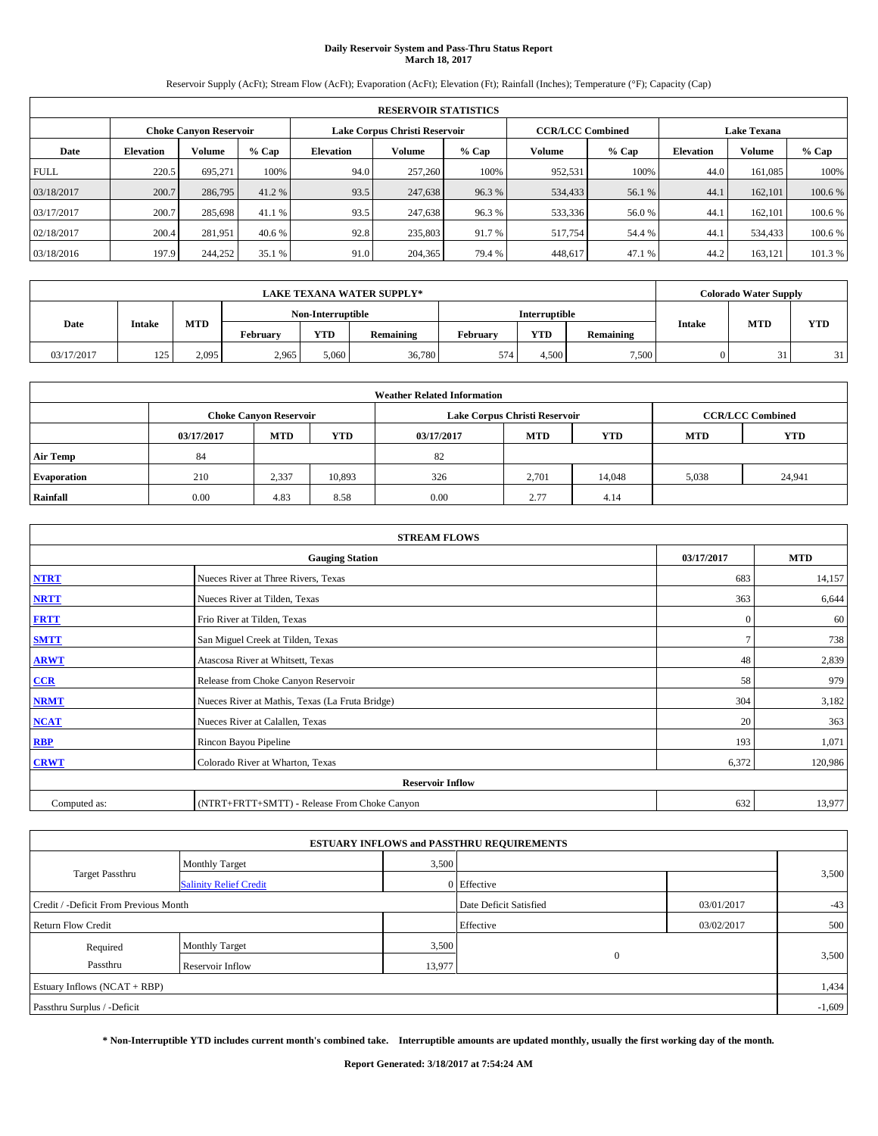# **Daily Reservoir System and Pass-Thru Status Report March 18, 2017**

Reservoir Supply (AcFt); Stream Flow (AcFt); Evaporation (AcFt); Elevation (Ft); Rainfall (Inches); Temperature (°F); Capacity (Cap)

|             | <b>RESERVOIR STATISTICS</b> |                        |         |                  |                               |         |                         |         |                  |                    |         |  |
|-------------|-----------------------------|------------------------|---------|------------------|-------------------------------|---------|-------------------------|---------|------------------|--------------------|---------|--|
|             |                             | Choke Canvon Reservoir |         |                  | Lake Corpus Christi Reservoir |         | <b>CCR/LCC Combined</b> |         |                  | <b>Lake Texana</b> |         |  |
| Date        | <b>Elevation</b>            | Volume                 | $%$ Cap | <b>Elevation</b> | Volume                        | $%$ Cap | Volume                  | $%$ Cap | <b>Elevation</b> | <b>Volume</b>      | % Cap   |  |
| <b>FULL</b> | 220.5                       | 695.271                | 100%    | 94.0             | 257,260                       | 100%    | 952,531                 | 100%    | 44.0             | 161.085            | 100%    |  |
| 03/18/2017  | 200.7                       | 286,795                | 41.2 %  | 93.5             | 247,638                       | 96.3%   | 534,433                 | 56.1 %  | 44.1             | 162,101            | 100.6 % |  |
| 03/17/2017  | 200.7                       | 285,698                | 41.1 %  | 93.5             | 247.638                       | 96.3%   | 533,336                 | 56.0%   | 44.              | 162,101            | 100.6 % |  |
| 02/18/2017  | 200.4                       | 281.951                | 40.6 %  | 92.8             | 235,803                       | 91.7 %  | 517,754                 | 54.4 %  | 44.1             | 534,433            | 100.6 % |  |
| 03/18/2016  | 197.9                       | 244,252                | 35.1 %  | 91.0             | 204,365                       | 79.4 %  | 448,617                 | 47.1 %  | 44.2             | 163,121            | 101.3 % |  |

|            |               |            |                   |            | <b>LAKE TEXANA WATER SUPPLY*</b> |          |                      |           |                             | <b>Colorado Water Supply</b> |    |
|------------|---------------|------------|-------------------|------------|----------------------------------|----------|----------------------|-----------|-----------------------------|------------------------------|----|
|            |               |            | Non-Interruptible |            |                                  |          | <b>Interruptible</b> |           |                             |                              |    |
| Date       | <b>Intake</b> | <b>MTD</b> | February          | <b>YTD</b> | Remaining                        | February | <b>YTD</b>           | Remaining | <b>MTD</b><br><b>Intake</b> | <b>YTD</b>                   |    |
| 03/17/2017 | 125           | 2,095      | 2,965             | 5,060      | 36,780                           | 574      | 4.500                | 7,500     |                             | 31                           | 31 |

| <b>Weather Related Information</b> |            |                                                                                  |        |      |                               |        |       |                         |  |  |
|------------------------------------|------------|----------------------------------------------------------------------------------|--------|------|-------------------------------|--------|-------|-------------------------|--|--|
|                                    |            | <b>Choke Canyon Reservoir</b>                                                    |        |      | Lake Corpus Christi Reservoir |        |       | <b>CCR/LCC Combined</b> |  |  |
|                                    | 03/17/2017 | <b>YTD</b><br><b>MTD</b><br><b>MTD</b><br><b>YTD</b><br><b>MTD</b><br>03/17/2017 |        |      |                               |        |       |                         |  |  |
| <b>Air Temp</b>                    | 84         |                                                                                  |        | 82   |                               |        |       |                         |  |  |
| <b>Evaporation</b>                 | 210        | 2,337                                                                            | 10,893 | 326  | 2.701                         | 14,048 | 5,038 | 24,941                  |  |  |
| Rainfall                           | 0.00       | 4.83                                                                             | 8.58   | 0.00 | 2.77                          | 4.14   |       |                         |  |  |

|              | <b>STREAM FLOWS</b>                             |              |            |  |  |  |  |  |  |  |
|--------------|-------------------------------------------------|--------------|------------|--|--|--|--|--|--|--|
|              | <b>Gauging Station</b>                          | 03/17/2017   | <b>MTD</b> |  |  |  |  |  |  |  |
| <b>NTRT</b>  | Nueces River at Three Rivers, Texas             | 683          | 14,157     |  |  |  |  |  |  |  |
| <b>NRTT</b>  | Nueces River at Tilden, Texas                   | 363          | 6,644      |  |  |  |  |  |  |  |
| <b>FRTT</b>  | Frio River at Tilden, Texas                     | $\mathbf{0}$ | 60         |  |  |  |  |  |  |  |
| <b>SMTT</b>  | San Miguel Creek at Tilden, Texas               |              | 738        |  |  |  |  |  |  |  |
| <b>ARWT</b>  | Atascosa River at Whitsett, Texas               | 48           | 2,839      |  |  |  |  |  |  |  |
| $CCR$        | Release from Choke Canyon Reservoir             | 58           | 979        |  |  |  |  |  |  |  |
| <b>NRMT</b>  | Nueces River at Mathis, Texas (La Fruta Bridge) | 304          | 3,182      |  |  |  |  |  |  |  |
| <b>NCAT</b>  | Nueces River at Calallen, Texas                 | 20           | 363        |  |  |  |  |  |  |  |
| <b>RBP</b>   | Rincon Bayou Pipeline                           | 193          | 1,071      |  |  |  |  |  |  |  |
| <b>CRWT</b>  | Colorado River at Wharton, Texas                | 6,372        | 120,986    |  |  |  |  |  |  |  |
|              | <b>Reservoir Inflow</b>                         |              |            |  |  |  |  |  |  |  |
| Computed as: | (NTRT+FRTT+SMTT) - Release From Choke Canyon    | 632          | 13,977     |  |  |  |  |  |  |  |

| <b>ESTUARY INFLOWS and PASSTHRU REQUIREMENTS</b> |                               |        |                        |            |       |  |  |  |  |  |
|--------------------------------------------------|-------------------------------|--------|------------------------|------------|-------|--|--|--|--|--|
|                                                  | <b>Monthly Target</b>         | 3,500  |                        |            |       |  |  |  |  |  |
| Target Passthru                                  | <b>Salinity Relief Credit</b> |        | 0 Effective            |            | 3,500 |  |  |  |  |  |
| Credit / -Deficit From Previous Month            |                               |        | Date Deficit Satisfied | 03/01/2017 | $-43$ |  |  |  |  |  |
| <b>Return Flow Credit</b>                        |                               |        | Effective              | 03/02/2017 | 500   |  |  |  |  |  |
| Required                                         | <b>Monthly Target</b>         | 3,500  |                        |            |       |  |  |  |  |  |
| Passthru                                         | Reservoir Inflow              | 13,977 | $\Omega$               |            | 3,500 |  |  |  |  |  |
| Estuary Inflows (NCAT + RBP)                     |                               |        |                        |            |       |  |  |  |  |  |
| Passthru Surplus / -Deficit                      |                               |        |                        |            |       |  |  |  |  |  |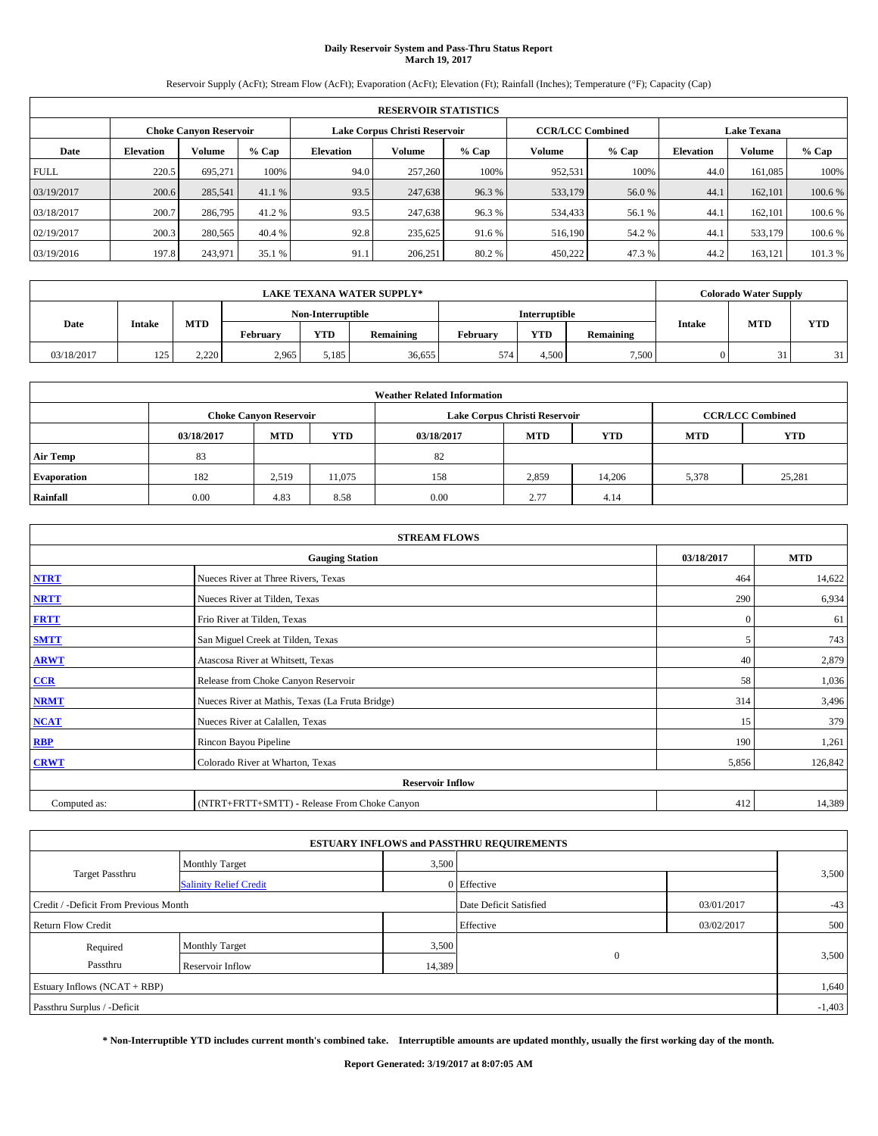# **Daily Reservoir System and Pass-Thru Status Report March 19, 2017**

Reservoir Supply (AcFt); Stream Flow (AcFt); Evaporation (AcFt); Elevation (Ft); Rainfall (Inches); Temperature (°F); Capacity (Cap)

|             | <b>RESERVOIR STATISTICS</b> |                        |         |                  |                               |         |                                               |         |                  |               |         |  |
|-------------|-----------------------------|------------------------|---------|------------------|-------------------------------|---------|-----------------------------------------------|---------|------------------|---------------|---------|--|
|             |                             | Choke Canvon Reservoir |         |                  | Lake Corpus Christi Reservoir |         | <b>CCR/LCC Combined</b><br><b>Lake Texana</b> |         |                  |               |         |  |
| Date        | <b>Elevation</b>            | Volume                 | $%$ Cap | <b>Elevation</b> | Volume                        | $%$ Cap | Volume                                        | $%$ Cap | <b>Elevation</b> | <b>Volume</b> | % Cap   |  |
| <b>FULL</b> | 220.5                       | 695.271                | 100%    | 94.0             | 257,260                       | 100%    | 952,531                                       | 100%    | 44.0             | 161.085       | 100%    |  |
| 03/19/2017  | 200.6                       | 285,541                | 41.1 %  | 93.5             | 247,638                       | 96.3%   | 533,179                                       | 56.0%   | 44.1             | 162,101       | 100.6 % |  |
| 03/18/2017  | 200.7                       | 286,795                | 41.2 %  | 93.5             | 247.638                       | 96.3%   | 534,433                                       | 56.1 %  | 44.              | 162,101       | 100.6 % |  |
| 02/19/2017  | 200.3                       | 280,565                | 40.4 %  | 92.8             | 235.625                       | 91.6 %  | 516,190                                       | 54.2 %  | 44.1             | 533,179       | 100.6 % |  |
| 03/19/2016  | 197.8                       | 243,971                | 35.1 %  | 91.1             | 206,251                       | 80.2%   | 450,222                                       | 47.3 %  | 44.2             | 163,121       | 101.3 % |  |

|            |               |            |          |                   | <b>LAKE TEXANA WATER SUPPLY*</b> |          |                      |           |               | <b>Colorado Water Supply</b> |            |
|------------|---------------|------------|----------|-------------------|----------------------------------|----------|----------------------|-----------|---------------|------------------------------|------------|
|            |               |            |          | Non-Interruptible |                                  |          | <b>Interruptible</b> |           |               | <b>MTD</b>                   |            |
| Date       | <b>Intake</b> | <b>MTD</b> | February | <b>YTD</b>        | Remaining                        | February | <b>YTD</b>           | Remaining | <b>Intake</b> |                              | <b>YTD</b> |
| 03/18/2017 | 125           | 2,220      | 2,965    | 5,185             | 36,655                           | 574      | 4.500                | 7,500     |               | 31                           | 31         |

| <b>Weather Related Information</b> |            |                                                                                  |        |      |                               |        |       |                         |  |  |
|------------------------------------|------------|----------------------------------------------------------------------------------|--------|------|-------------------------------|--------|-------|-------------------------|--|--|
|                                    |            | <b>Choke Canyon Reservoir</b>                                                    |        |      | Lake Corpus Christi Reservoir |        |       | <b>CCR/LCC Combined</b> |  |  |
|                                    | 03/18/2017 | <b>YTD</b><br><b>MTD</b><br><b>MTD</b><br><b>YTD</b><br><b>MTD</b><br>03/18/2017 |        |      |                               |        |       |                         |  |  |
| <b>Air Temp</b>                    | 83         |                                                                                  |        | 82   |                               |        |       |                         |  |  |
| <b>Evaporation</b>                 | 182        | 2,519                                                                            | 11,075 | 158  | 2,859                         | 14.206 | 5,378 | 25,281                  |  |  |
| Rainfall                           | 0.00       | 4.83                                                                             | 8.58   | 0.00 | 2.77                          | 4.14   |       |                         |  |  |

|              | <b>STREAM FLOWS</b>                             |              |            |  |  |  |  |  |  |  |
|--------------|-------------------------------------------------|--------------|------------|--|--|--|--|--|--|--|
|              | <b>Gauging Station</b>                          | 03/18/2017   | <b>MTD</b> |  |  |  |  |  |  |  |
| <b>NTRT</b>  | Nueces River at Three Rivers, Texas             | 464          | 14,622     |  |  |  |  |  |  |  |
| <b>NRTT</b>  | Nueces River at Tilden, Texas                   | 290          | 6,934      |  |  |  |  |  |  |  |
| <b>FRTT</b>  | Frio River at Tilden, Texas                     | $\mathbf{0}$ | 61         |  |  |  |  |  |  |  |
| <b>SMTT</b>  | San Miguel Creek at Tilden, Texas               | 5            | 743        |  |  |  |  |  |  |  |
| <b>ARWT</b>  | Atascosa River at Whitsett, Texas               | 40           | 2,879      |  |  |  |  |  |  |  |
| $CCR$        | Release from Choke Canyon Reservoir             | 58           | 1,036      |  |  |  |  |  |  |  |
| <b>NRMT</b>  | Nueces River at Mathis, Texas (La Fruta Bridge) | 314          | 3,496      |  |  |  |  |  |  |  |
| <b>NCAT</b>  | Nueces River at Calallen, Texas                 | 15           | 379        |  |  |  |  |  |  |  |
| <b>RBP</b>   | Rincon Bayou Pipeline                           | 190          | 1,261      |  |  |  |  |  |  |  |
| <b>CRWT</b>  | Colorado River at Wharton, Texas                | 5,856        | 126,842    |  |  |  |  |  |  |  |
|              | <b>Reservoir Inflow</b>                         |              |            |  |  |  |  |  |  |  |
| Computed as: | (NTRT+FRTT+SMTT) - Release From Choke Canyon    | 412          | 14,389     |  |  |  |  |  |  |  |

| <b>ESTUARY INFLOWS and PASSTHRU REQUIREMENTS</b> |                               |        |                        |            |       |  |  |  |  |  |
|--------------------------------------------------|-------------------------------|--------|------------------------|------------|-------|--|--|--|--|--|
|                                                  | <b>Monthly Target</b>         | 3,500  |                        |            |       |  |  |  |  |  |
| Target Passthru                                  | <b>Salinity Relief Credit</b> |        | 0 Effective            |            | 3,500 |  |  |  |  |  |
| Credit / -Deficit From Previous Month            |                               |        | Date Deficit Satisfied | 03/01/2017 | $-43$ |  |  |  |  |  |
| <b>Return Flow Credit</b>                        |                               |        | Effective              | 03/02/2017 | 500   |  |  |  |  |  |
| Required                                         | <b>Monthly Target</b>         | 3,500  |                        |            |       |  |  |  |  |  |
| Passthru                                         | Reservoir Inflow              | 14,389 | $\Omega$               |            | 3,500 |  |  |  |  |  |
| Estuary Inflows (NCAT + RBP)                     |                               |        |                        |            |       |  |  |  |  |  |
| Passthru Surplus / -Deficit                      |                               |        |                        |            |       |  |  |  |  |  |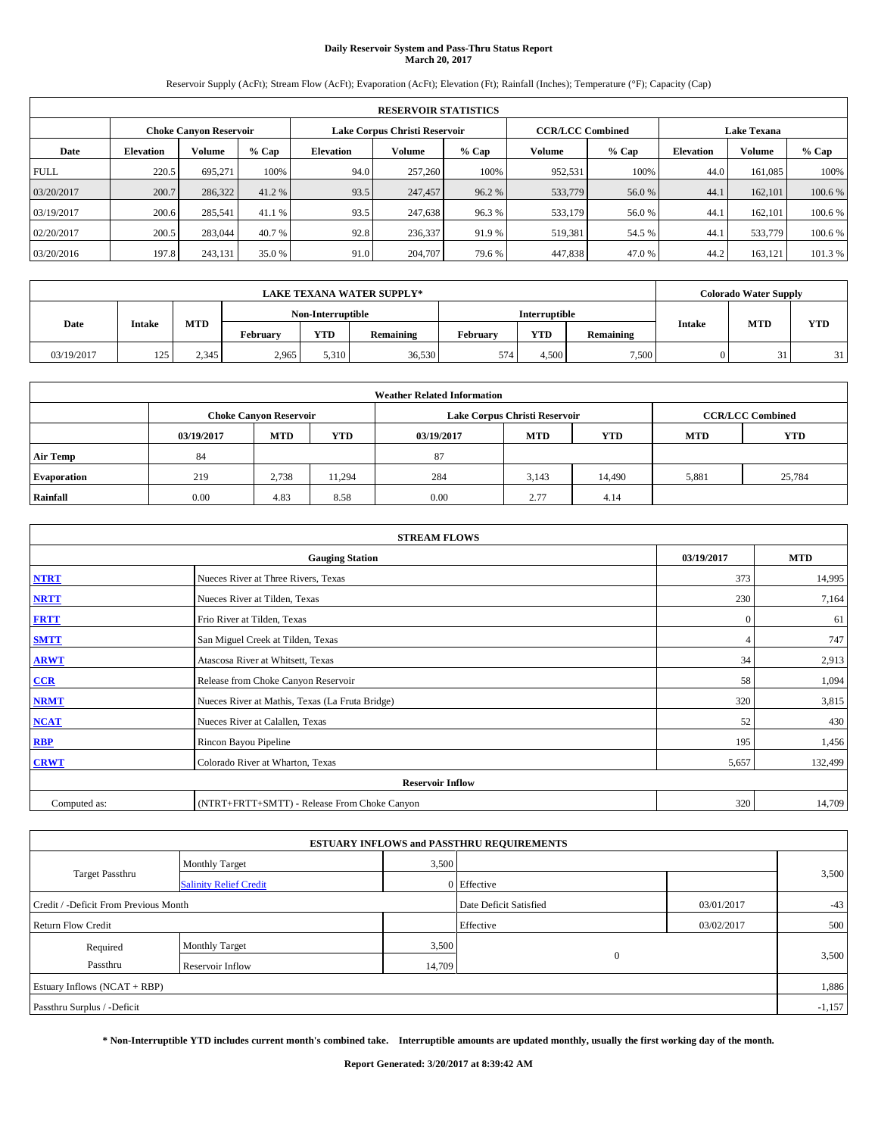# **Daily Reservoir System and Pass-Thru Status Report March 20, 2017**

Reservoir Supply (AcFt); Stream Flow (AcFt); Evaporation (AcFt); Elevation (Ft); Rainfall (Inches); Temperature (°F); Capacity (Cap)

|             | <b>RESERVOIR STATISTICS</b> |                        |         |                  |                               |         |                                               |         |                  |               |         |  |
|-------------|-----------------------------|------------------------|---------|------------------|-------------------------------|---------|-----------------------------------------------|---------|------------------|---------------|---------|--|
|             |                             | Choke Canvon Reservoir |         |                  | Lake Corpus Christi Reservoir |         | <b>CCR/LCC Combined</b><br><b>Lake Texana</b> |         |                  |               |         |  |
| Date        | <b>Elevation</b>            | Volume                 | $%$ Cap | <b>Elevation</b> | Volume                        | $%$ Cap | Volume                                        | $%$ Cap | <b>Elevation</b> | <b>Volume</b> | % Cap   |  |
| <b>FULL</b> | 220.5                       | 695.271                | 100%    | 94.0             | 257,260                       | 100%    | 952,531                                       | 100%    | 44.0             | 161.085       | 100%    |  |
| 03/20/2017  | 200.7                       | 286,322                | 41.2 %  | 93.5             | 247,457                       | 96.2 %  | 533,779                                       | 56.0%   | 44.              | 162,101       | 100.6 % |  |
| 03/19/2017  | 200.6                       | 285,541                | 41.1 %  | 93.5             | 247.638                       | 96.3%   | 533,179                                       | 56.0%   | 44.              | 162,101       | 100.6 % |  |
| 02/20/2017  | 200.5                       | 283,044                | 40.7 %  | 92.8             | 236,337                       | 91.9 %  | 519,381                                       | 54.5 %  | 44.1             | 533,779       | 100.6 % |  |
| 03/20/2016  | 197.8                       | 243,131                | 35.0 %  | 91.0             | 204,707                       | 79.6 %  | 447,838                                       | 47.0%   | 44.2             | 163,121       | 101.3 % |  |

|            | <b>LAKE TEXANA WATER SUPPLY*</b> |            |          |                   |           |          |                      |           |               | <b>Colorado Water Supply</b> |            |
|------------|----------------------------------|------------|----------|-------------------|-----------|----------|----------------------|-----------|---------------|------------------------------|------------|
|            |                                  |            |          | Non-Interruptible |           |          | <b>Interruptible</b> |           |               |                              |            |
| Date       | <b>Intake</b>                    | <b>MTD</b> | February | <b>YTD</b>        | Remaining | February | <b>YTD</b>           | Remaining | <b>Intake</b> | <b>MTD</b>                   | <b>YTD</b> |
| 03/19/2017 | 125                              | 2.345      | 2,965    | 5.310             | 36,530    | 574      | 4.500                | 7,500     |               | 31                           | 31         |

|                    | <b>Weather Related Information</b>                                                             |                               |        |      |                               |                         |       |            |  |  |  |  |
|--------------------|------------------------------------------------------------------------------------------------|-------------------------------|--------|------|-------------------------------|-------------------------|-------|------------|--|--|--|--|
|                    |                                                                                                | <b>Choke Canyon Reservoir</b> |        |      | Lake Corpus Christi Reservoir | <b>CCR/LCC Combined</b> |       |            |  |  |  |  |
|                    | <b>YTD</b><br><b>MTD</b><br><b>YTD</b><br><b>MTD</b><br>03/19/2017<br>03/19/2017<br><b>MTD</b> |                               |        |      |                               |                         |       | <b>YTD</b> |  |  |  |  |
| <b>Air Temp</b>    | 84                                                                                             |                               |        | 87   |                               |                         |       |            |  |  |  |  |
| <b>Evaporation</b> | 219                                                                                            | 2,738                         | 11,294 | 284  | 3,143                         | 14,490                  | 5,881 | 25,784     |  |  |  |  |
| Rainfall           | 0.00                                                                                           | 4.83                          | 8.58   | 0.00 | 2.77                          | 4.14                    |       |            |  |  |  |  |

| <b>STREAM FLOWS</b> |                                                 |              |            |  |  |  |  |  |  |
|---------------------|-------------------------------------------------|--------------|------------|--|--|--|--|--|--|
|                     | <b>Gauging Station</b>                          | 03/19/2017   | <b>MTD</b> |  |  |  |  |  |  |
| <b>NTRT</b>         | Nueces River at Three Rivers, Texas             | 373          | 14,995     |  |  |  |  |  |  |
| <b>NRTT</b>         | Nueces River at Tilden, Texas                   | 230          | 7,164      |  |  |  |  |  |  |
| <b>FRTT</b>         | Frio River at Tilden, Texas                     | $\mathbf{0}$ | 61         |  |  |  |  |  |  |
| <b>SMTT</b>         | San Miguel Creek at Tilden, Texas               |              | 747        |  |  |  |  |  |  |
| <b>ARWT</b>         | Atascosa River at Whitsett, Texas               | 34           | 2,913      |  |  |  |  |  |  |
| $CCR$               | Release from Choke Canyon Reservoir             | 58           | 1,094      |  |  |  |  |  |  |
| <b>NRMT</b>         | Nueces River at Mathis, Texas (La Fruta Bridge) | 320          | 3,815      |  |  |  |  |  |  |
| <b>NCAT</b>         | Nueces River at Calallen, Texas                 | 52           | 430        |  |  |  |  |  |  |
| <b>RBP</b>          | Rincon Bayou Pipeline                           | 195          | 1,456      |  |  |  |  |  |  |
| <b>CRWT</b>         | Colorado River at Wharton, Texas                | 5,657        | 132,499    |  |  |  |  |  |  |
|                     | <b>Reservoir Inflow</b>                         |              |            |  |  |  |  |  |  |
| Computed as:        | (NTRT+FRTT+SMTT) - Release From Choke Canyon    |              |            |  |  |  |  |  |  |

|                                                                               |                               |        | <b>ESTUARY INFLOWS and PASSTHRU REQUIREMENTS</b> |            |          |  |  |  |
|-------------------------------------------------------------------------------|-------------------------------|--------|--------------------------------------------------|------------|----------|--|--|--|
|                                                                               | <b>Monthly Target</b>         | 3,500  |                                                  |            |          |  |  |  |
| Target Passthru                                                               | <b>Salinity Relief Credit</b> |        | 0 Effective                                      |            | 3,500    |  |  |  |
| Credit / -Deficit From Previous Month<br>Date Deficit Satisfied<br>03/01/2017 |                               |        |                                                  |            |          |  |  |  |
| <b>Return Flow Credit</b>                                                     |                               |        | Effective                                        | 03/02/2017 | 500      |  |  |  |
| Required                                                                      | <b>Monthly Target</b>         | 3,500  |                                                  |            |          |  |  |  |
| Passthru                                                                      | Reservoir Inflow              | 14,709 | $\Omega$                                         |            | 3,500    |  |  |  |
| Estuary Inflows (NCAT + RBP)                                                  |                               |        |                                                  |            | 1,886    |  |  |  |
| Passthru Surplus / -Deficit                                                   |                               |        |                                                  |            | $-1,157$ |  |  |  |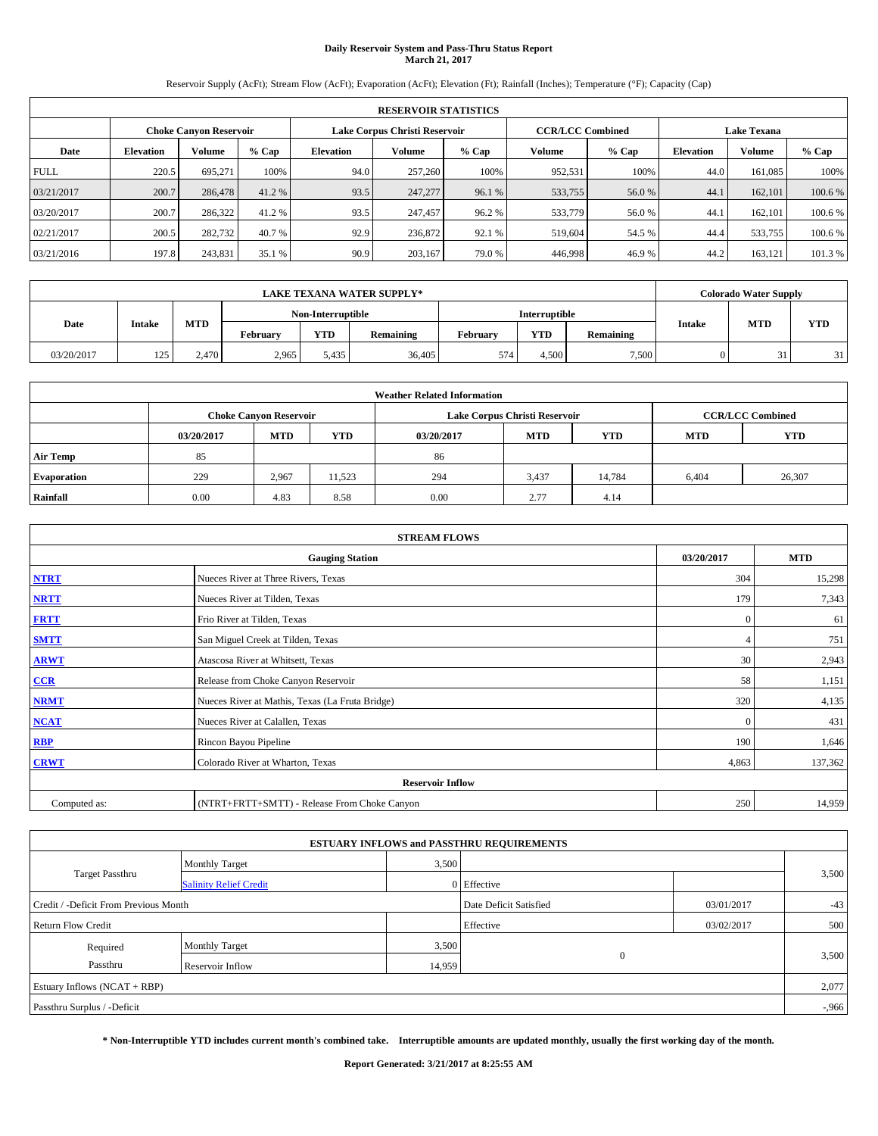# **Daily Reservoir System and Pass-Thru Status Report March 21, 2017**

Reservoir Supply (AcFt); Stream Flow (AcFt); Evaporation (AcFt); Elevation (Ft); Rainfall (Inches); Temperature (°F); Capacity (Cap)

|             | <b>RESERVOIR STATISTICS</b> |                        |         |                  |                               |                         |         |         |                  |                    |         |  |  |
|-------------|-----------------------------|------------------------|---------|------------------|-------------------------------|-------------------------|---------|---------|------------------|--------------------|---------|--|--|
|             |                             | Choke Canvon Reservoir |         |                  | Lake Corpus Christi Reservoir | <b>CCR/LCC Combined</b> |         |         |                  | <b>Lake Texana</b> |         |  |  |
| Date        | <b>Elevation</b>            | Volume                 | $%$ Cap | <b>Elevation</b> | Volume                        | $%$ Cap                 | Volume  | $%$ Cap | <b>Elevation</b> | <b>Volume</b>      | % Cap   |  |  |
| <b>FULL</b> | 220.5                       | 695.271                | 100%    | 94.0             | 257,260                       | 100%                    | 952,531 | 100%    | 44.0             | 161.085            | 100%    |  |  |
| 03/21/2017  | 200.7                       | 286,478                | 41.2 %  | 93.5             | 247,277                       | 96.1 %                  | 533,755 | 56.0%   | 44.              | 162,101            | 100.6 % |  |  |
| 03/20/2017  | 200.7                       | 286,322                | 41.2 %  | 93.5             | 247,457                       | 96.2%                   | 533,779 | 56.0%   | 44.              | 162,101            | 100.6 % |  |  |
| 02/21/2017  | 200.5                       | 282,732                | 40.7 %  | 92.9             | 236,872                       | 92.1 %                  | 519.604 | 54.5 %  | 44.4             | 533,755            | 100.6 % |  |  |
| 03/21/2016  | 197.8                       | 243,831                | 35.1 %  | 90.9             | 203,167                       | 79.0%                   | 446,998 | 46.9%   | 44.2             | 163,121            | 101.3 % |  |  |

|            | <b>LAKE TEXANA WATER SUPPLY*</b> |            |          |                   |           |          |                      |           |               | <b>Colorado Water Supply</b> |            |
|------------|----------------------------------|------------|----------|-------------------|-----------|----------|----------------------|-----------|---------------|------------------------------|------------|
|            |                                  |            |          | Non-Interruptible |           |          | <b>Interruptible</b> |           |               |                              |            |
| Date       | <b>Intake</b>                    | <b>MTD</b> | February | <b>YTD</b>        | Remaining | February | <b>YTD</b>           | Remaining | <b>Intake</b> | <b>MTD</b>                   | <b>YTD</b> |
| 03/20/2017 | 125                              | 2.470      | 2,965    | 5,435             | 36,405    | 574      | 4.500                | 7,500     |               | 31                           | 31         |

|                    | <b>Weather Related Information</b> |                                                                                  |        |      |                               |                         |       |        |  |  |  |  |  |
|--------------------|------------------------------------|----------------------------------------------------------------------------------|--------|------|-------------------------------|-------------------------|-------|--------|--|--|--|--|--|
|                    |                                    | <b>Choke Canyon Reservoir</b>                                                    |        |      | Lake Corpus Christi Reservoir | <b>CCR/LCC Combined</b> |       |        |  |  |  |  |  |
|                    | 03/20/2017                         | <b>YTD</b><br><b>MTD</b><br><b>MTD</b><br><b>MTD</b><br><b>YTD</b><br>03/20/2017 |        |      |                               |                         |       |        |  |  |  |  |  |
| <b>Air Temp</b>    | 85                                 |                                                                                  |        | 86   |                               |                         |       |        |  |  |  |  |  |
| <b>Evaporation</b> | 229                                | 2,967                                                                            | 11,523 | 294  | 3,437                         | 14.784                  | 6,404 | 26,307 |  |  |  |  |  |
| Rainfall           | 0.00                               | 4.83                                                                             | 8.58   | 0.00 | 2.77                          | 4.14                    |       |        |  |  |  |  |  |

| <b>STREAM FLOWS</b> |                                                 |              |            |  |  |  |  |  |  |
|---------------------|-------------------------------------------------|--------------|------------|--|--|--|--|--|--|
|                     | <b>Gauging Station</b>                          | 03/20/2017   | <b>MTD</b> |  |  |  |  |  |  |
| <b>NTRT</b>         | Nueces River at Three Rivers, Texas             | 304          | 15,298     |  |  |  |  |  |  |
| <b>NRTT</b>         | Nueces River at Tilden, Texas                   | 179          | 7,343      |  |  |  |  |  |  |
| <b>FRTT</b>         | Frio River at Tilden, Texas                     | $\mathbf{0}$ | 61         |  |  |  |  |  |  |
| <b>SMTT</b>         | San Miguel Creek at Tilden, Texas               |              | 751        |  |  |  |  |  |  |
| <b>ARWT</b>         | Atascosa River at Whitsett, Texas               | 30           | 2,943      |  |  |  |  |  |  |
| CCR                 | Release from Choke Canyon Reservoir             | 58           | 1,151      |  |  |  |  |  |  |
| <b>NRMT</b>         | Nueces River at Mathis, Texas (La Fruta Bridge) | 320          | 4,135      |  |  |  |  |  |  |
| <b>NCAT</b>         | Nueces River at Calallen, Texas                 | $\Omega$     | 431        |  |  |  |  |  |  |
| <b>RBP</b>          | Rincon Bayou Pipeline                           | 190          | 1,646      |  |  |  |  |  |  |
| <b>CRWT</b>         | Colorado River at Wharton, Texas                | 4,863        | 137,362    |  |  |  |  |  |  |
|                     | <b>Reservoir Inflow</b>                         |              |            |  |  |  |  |  |  |
| Computed as:        | (NTRT+FRTT+SMTT) - Release From Choke Canyon    |              |            |  |  |  |  |  |  |

|                                       |                               |        | <b>ESTUARY INFLOWS and PASSTHRU REQUIREMENTS</b> |            |          |
|---------------------------------------|-------------------------------|--------|--------------------------------------------------|------------|----------|
|                                       | Monthly Target                | 3,500  |                                                  |            |          |
| Target Passthru                       | <b>Salinity Relief Credit</b> |        | 0 Effective                                      |            | 3,500    |
| Credit / -Deficit From Previous Month |                               |        | Date Deficit Satisfied                           | 03/01/2017 | $-43$    |
| <b>Return Flow Credit</b>             |                               |        | Effective                                        | 03/02/2017 | 500      |
| Required                              | <b>Monthly Target</b>         | 3,500  |                                                  |            |          |
| Passthru                              | Reservoir Inflow              | 14,959 | $\mathbf{0}$                                     |            | 3,500    |
| Estuary Inflows $(NCAT + RBP)$        |                               |        |                                                  |            | 2,077    |
| Passthru Surplus / -Deficit           |                               |        |                                                  |            | $-0.966$ |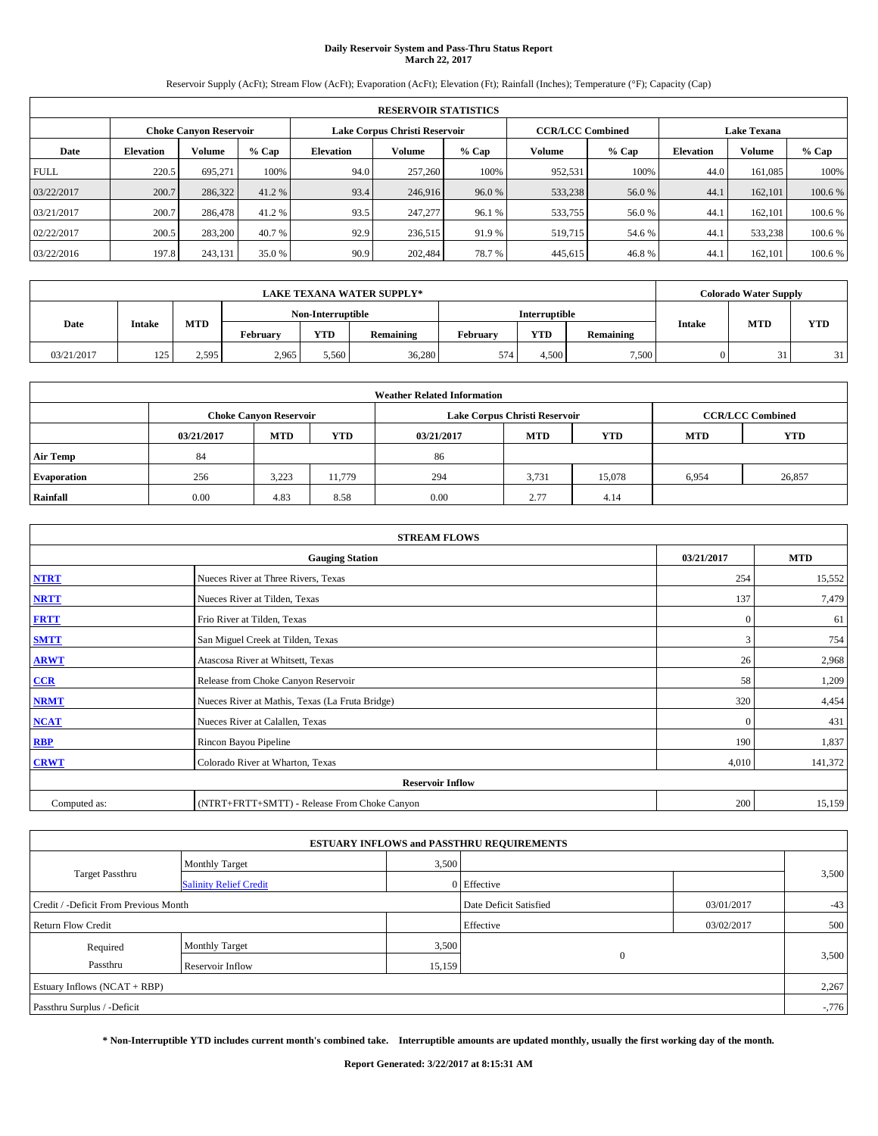## **Daily Reservoir System and Pass-Thru Status Report March 22, 2017**

Reservoir Supply (AcFt); Stream Flow (AcFt); Evaporation (AcFt); Elevation (Ft); Rainfall (Inches); Temperature (°F); Capacity (Cap)

|             | <b>RESERVOIR STATISTICS</b>                             |         |         |                  |         |         |                         |         |                    |               |         |  |  |
|-------------|---------------------------------------------------------|---------|---------|------------------|---------|---------|-------------------------|---------|--------------------|---------------|---------|--|--|
|             | Lake Corpus Christi Reservoir<br>Choke Canvon Reservoir |         |         |                  |         |         | <b>CCR/LCC Combined</b> |         | <b>Lake Texana</b> |               |         |  |  |
| Date        | <b>Elevation</b>                                        | Volume  | $%$ Cap | <b>Elevation</b> | Volume  | $%$ Cap | Volume                  | $%$ Cap | <b>Elevation</b>   | <b>Volume</b> | % Cap   |  |  |
| <b>FULL</b> | 220.5                                                   | 695.271 | 100%    | 94.0             | 257,260 | 100%    | 952,531                 | 100%    | 44.0               | 161.085       | 100%    |  |  |
| 03/22/2017  | 200.7                                                   | 286,322 | 41.2 %  | 93.4             | 246,916 | 96.0%   | 533,238                 | 56.0%   | 44.                | 162,101       | 100.6 % |  |  |
| 03/21/2017  | 200.7                                                   | 286,478 | 41.2 %  | 93.5             | 247,277 | 96.1 %  | 533,755                 | 56.0%   | 44.                | 162,101       | 100.6 % |  |  |
| 02/22/2017  | 200.5                                                   | 283,200 | 40.7 %  | 92.9             | 236,515 | 91.9 %  | 519,715                 | 54.6 %  | 44.1               | 533,238       | 100.6 % |  |  |
| 03/22/2016  | 197.8                                                   | 243,131 | 35.0 %  | 90.9             | 202.484 | 78.7%   | 445,615                 | 46.8%   | 44.                | 162,101       | 100.6 % |  |  |

|            | <b>LAKE TEXANA WATER SUPPLY*</b> |            |          |                   |           |          |               |           |               | <b>Colorado Water Supply</b> |            |
|------------|----------------------------------|------------|----------|-------------------|-----------|----------|---------------|-----------|---------------|------------------------------|------------|
|            |                                  |            |          | Non-Interruptible |           |          | Interruptible |           |               |                              |            |
| Date       | <b>Intake</b>                    | <b>MTD</b> | Februarv | <b>YTD</b>        | Remaining | Februarv | <b>YTD</b>    | Remaining | <b>Intake</b> | <b>MTD</b>                   | <b>YTD</b> |
| 03/21/2017 | 125                              | 2.595      | 2,965    | 5,560             | 36,280    | 574      | 4.500         | 7,500     |               |                              | 311        |

|                    | <b>Weather Related Information</b>                                                             |                               |        |      |                               |                         |       |            |  |  |  |  |
|--------------------|------------------------------------------------------------------------------------------------|-------------------------------|--------|------|-------------------------------|-------------------------|-------|------------|--|--|--|--|
|                    |                                                                                                | <b>Choke Canvon Reservoir</b> |        |      | Lake Corpus Christi Reservoir | <b>CCR/LCC Combined</b> |       |            |  |  |  |  |
|                    | <b>YTD</b><br><b>MTD</b><br><b>MTD</b><br><b>YTD</b><br><b>MTD</b><br>03/21/2017<br>03/21/2017 |                               |        |      |                               |                         |       | <b>YTD</b> |  |  |  |  |
| <b>Air Temp</b>    | 84                                                                                             |                               |        | 86   |                               |                         |       |            |  |  |  |  |
| <b>Evaporation</b> | 256                                                                                            | 3,223                         | 11.779 | 294  | 3,731                         | 15.078                  | 6,954 | 26,857     |  |  |  |  |
| Rainfall           | 0.00                                                                                           | 4.83                          | 8.58   | 0.00 | 2.77                          | 4.14                    |       |            |  |  |  |  |

| <b>STREAM FLOWS</b> |                                                 |              |         |  |  |  |  |  |  |  |
|---------------------|-------------------------------------------------|--------------|---------|--|--|--|--|--|--|--|
|                     | <b>Gauging Station</b>                          |              |         |  |  |  |  |  |  |  |
| <b>NTRT</b>         | Nueces River at Three Rivers, Texas             |              |         |  |  |  |  |  |  |  |
| <b>NRTT</b>         | Nueces River at Tilden, Texas                   | 137          | 7,479   |  |  |  |  |  |  |  |
| <b>FRTT</b>         | Frio River at Tilden, Texas                     | $\mathbf{0}$ | 61      |  |  |  |  |  |  |  |
| <b>SMTT</b>         | San Miguel Creek at Tilden, Texas               | 3            | 754     |  |  |  |  |  |  |  |
| <b>ARWT</b>         | Atascosa River at Whitsett, Texas               | 26           | 2,968   |  |  |  |  |  |  |  |
| CCR                 | Release from Choke Canyon Reservoir             | 58           | 1,209   |  |  |  |  |  |  |  |
| <b>NRMT</b>         | Nueces River at Mathis, Texas (La Fruta Bridge) | 320          | 4,454   |  |  |  |  |  |  |  |
| <b>NCAT</b>         | Nueces River at Calallen, Texas                 | $\mathbf{0}$ | 431     |  |  |  |  |  |  |  |
| RBP                 | Rincon Bayou Pipeline                           | 190          | 1,837   |  |  |  |  |  |  |  |
| <b>CRWT</b>         | Colorado River at Wharton, Texas                | 4,010        | 141,372 |  |  |  |  |  |  |  |
|                     | <b>Reservoir Inflow</b>                         |              |         |  |  |  |  |  |  |  |
| Computed as:        | (NTRT+FRTT+SMTT) - Release From Choke Canyon    | 200          | 15,159  |  |  |  |  |  |  |  |

|                                       |                               |                        | <b>ESTUARY INFLOWS and PASSTHRU REQUIREMENTS</b> |       |          |  |
|---------------------------------------|-------------------------------|------------------------|--------------------------------------------------|-------|----------|--|
|                                       | <b>Monthly Target</b>         | 3,500                  |                                                  |       |          |  |
| Target Passthru                       | <b>Salinity Relief Credit</b> |                        | 0 Effective                                      |       | 3,500    |  |
| Credit / -Deficit From Previous Month |                               | Date Deficit Satisfied | 03/01/2017                                       | $-43$ |          |  |
| <b>Return Flow Credit</b>             |                               | Effective              | 03/02/2017                                       | 500   |          |  |
| Required                              | <b>Monthly Target</b>         | 3,500                  |                                                  |       |          |  |
| Passthru                              | Reservoir Inflow              | 15,159                 | $\mathbf{0}$                                     |       | 3,500    |  |
| Estuary Inflows $(NCAT + RBP)$        |                               |                        |                                                  |       | 2,267    |  |
| Passthru Surplus / -Deficit           |                               |                        |                                                  |       | $-0.776$ |  |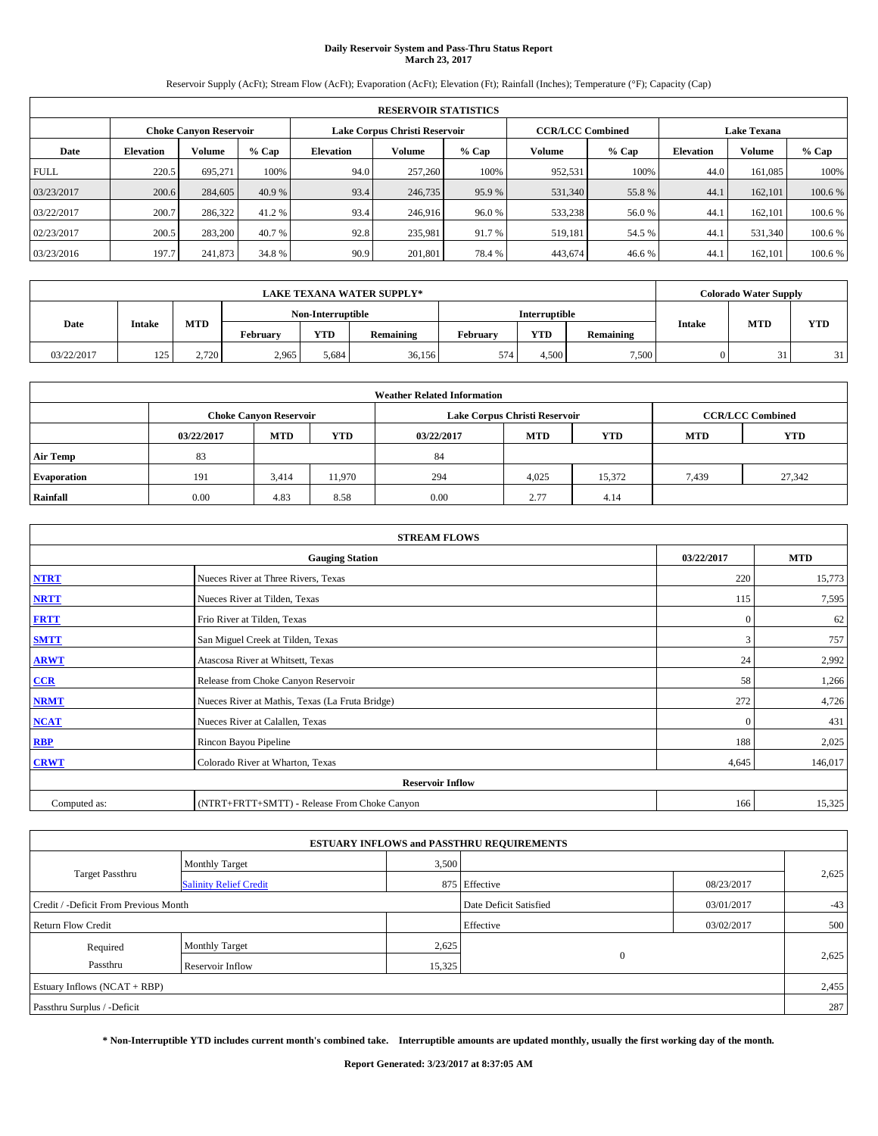## **Daily Reservoir System and Pass-Thru Status Report March 23, 2017**

Reservoir Supply (AcFt); Stream Flow (AcFt); Evaporation (AcFt); Elevation (Ft); Rainfall (Inches); Temperature (°F); Capacity (Cap)

|             | <b>RESERVOIR STATISTICS</b> |                               |         |           |                               |         |                         |         |                  |                    |         |  |
|-------------|-----------------------------|-------------------------------|---------|-----------|-------------------------------|---------|-------------------------|---------|------------------|--------------------|---------|--|
|             |                             | <b>Choke Canyon Reservoir</b> |         |           | Lake Corpus Christi Reservoir |         | <b>CCR/LCC Combined</b> |         |                  | <b>Lake Texana</b> |         |  |
| Date        | <b>Elevation</b>            | Volume                        | $%$ Cap | Elevation | Volume                        | $%$ Cap | Volume                  | $%$ Cap | <b>Elevation</b> | <b>Volume</b>      | % Cap   |  |
| <b>FULL</b> | 220.5                       | 695.271                       | 100%    | 94.0      | 257,260                       | 100%    | 952,531                 | 100%    | 44.0             | 161.085            | 100%    |  |
| 03/23/2017  | 200.6                       | 284,605                       | 40.9 %  | 93.4      | 246,735                       | 95.9 %  | 531,340                 | 55.8%   | 44.1             | 162,101            | 100.6%  |  |
| 03/22/2017  | 200.7                       | 286,322                       | 41.2 %  | 93.4      | 246,916                       | 96.0%   | 533,238                 | 56.0%   | 44.1             | 162,101            | 100.6%  |  |
| 02/23/2017  | 200.5                       | 283,200                       | 40.7 %  | 92.8      | 235.981                       | 91.7 %  | 519,181                 | 54.5 %  | 44.1             | 531.340            | 100.6 % |  |
| 03/23/2016  | 197.7                       | 241,873                       | 34.8 %  | 90.9      | 201,801                       | 78.4%   | 443,674                 | 46.6%   | 44.              | 162,101            | 100.6 % |  |

| <b>LAKE TEXANA WATER SUPPLY*</b> |               |            |                   |            |           |                      | <b>Colorado Water Supply</b> |           |               |            |            |
|----------------------------------|---------------|------------|-------------------|------------|-----------|----------------------|------------------------------|-----------|---------------|------------|------------|
|                                  |               |            | Non-Interruptible |            |           | <b>Interruptible</b> |                              |           |               |            |            |
| Date                             | <b>Intake</b> | <b>MTD</b> | February          | <b>YTD</b> | Remaining | February             | <b>YTD</b>                   | Remaining | <b>Intake</b> | <b>MTD</b> | <b>YTD</b> |
| 03/22/2017                       | 125           | 2.720      | 2,965             | 5.684      | 36,156    | 574                  | 4.500                        | 7,500     |               | 31         | 31         |

| <b>Weather Related Information</b> |            |                               |            |            |                               |                         |            |            |  |  |
|------------------------------------|------------|-------------------------------|------------|------------|-------------------------------|-------------------------|------------|------------|--|--|
|                                    |            | <b>Choke Canyon Reservoir</b> |            |            | Lake Corpus Christi Reservoir | <b>CCR/LCC Combined</b> |            |            |  |  |
|                                    | 03/22/2017 | <b>MTD</b>                    | <b>YTD</b> | 03/22/2017 | <b>MTD</b>                    | <b>YTD</b>              | <b>MTD</b> | <b>YTD</b> |  |  |
| <b>Air Temp</b>                    | 83         |                               |            | 84         |                               |                         |            |            |  |  |
| <b>Evaporation</b>                 | 191        | 3,414                         | 11,970     | 294        | 4,025                         | 15,372                  | 7,439      | 27,342     |  |  |
| Rainfall                           | 0.00       | 4.83                          | 8.58       | 0.00       | 2.77                          | 4.14                    |            |            |  |  |

| <b>STREAM FLOWS</b> |                                                 |              |         |  |  |  |  |  |  |  |
|---------------------|-------------------------------------------------|--------------|---------|--|--|--|--|--|--|--|
|                     | <b>Gauging Station</b>                          |              |         |  |  |  |  |  |  |  |
| <b>NTRT</b>         | Nueces River at Three Rivers, Texas             |              |         |  |  |  |  |  |  |  |
| <b>NRTT</b>         | Nueces River at Tilden, Texas                   | 115          | 7,595   |  |  |  |  |  |  |  |
| <b>FRTT</b>         | Frio River at Tilden, Texas                     | $\mathbf{0}$ | 62      |  |  |  |  |  |  |  |
| <b>SMTT</b>         | San Miguel Creek at Tilden, Texas               | 3            | 757     |  |  |  |  |  |  |  |
| <b>ARWT</b>         | Atascosa River at Whitsett, Texas               | 24           | 2,992   |  |  |  |  |  |  |  |
| CCR                 | Release from Choke Canyon Reservoir             | 58           | 1,266   |  |  |  |  |  |  |  |
| <b>NRMT</b>         | Nueces River at Mathis, Texas (La Fruta Bridge) | 272          | 4,726   |  |  |  |  |  |  |  |
| <b>NCAT</b>         | Nueces River at Calallen, Texas                 | $\Omega$     | 431     |  |  |  |  |  |  |  |
| <b>RBP</b>          | Rincon Bayou Pipeline                           | 188          | 2,025   |  |  |  |  |  |  |  |
| <b>CRWT</b>         | Colorado River at Wharton, Texas                | 4,645        | 146,017 |  |  |  |  |  |  |  |
|                     | <b>Reservoir Inflow</b>                         |              |         |  |  |  |  |  |  |  |
| Computed as:        | (NTRT+FRTT+SMTT) - Release From Choke Canyon    | 166          | 15,325  |  |  |  |  |  |  |  |

|                                       |                               |        | <b>ESTUARY INFLOWS and PASSTHRU REQUIREMENTS</b> |            |       |
|---------------------------------------|-------------------------------|--------|--------------------------------------------------|------------|-------|
|                                       | <b>Monthly Target</b>         | 3,500  |                                                  |            |       |
| Target Passthru                       | <b>Salinity Relief Credit</b> |        | 875 Effective                                    | 08/23/2017 | 2,625 |
| Credit / -Deficit From Previous Month |                               |        | Date Deficit Satisfied                           | 03/01/2017 | $-43$ |
| <b>Return Flow Credit</b>             |                               |        | Effective                                        | 03/02/2017 | 500   |
| Required                              | <b>Monthly Target</b>         | 2,625  |                                                  |            |       |
| Passthru                              | Reservoir Inflow              | 15,325 | $\mathbf{0}$                                     |            | 2,625 |
| Estuary Inflows $(NCAT + RBP)$        |                               |        |                                                  |            | 2,455 |
| Passthru Surplus / -Deficit           |                               |        |                                                  |            | 287   |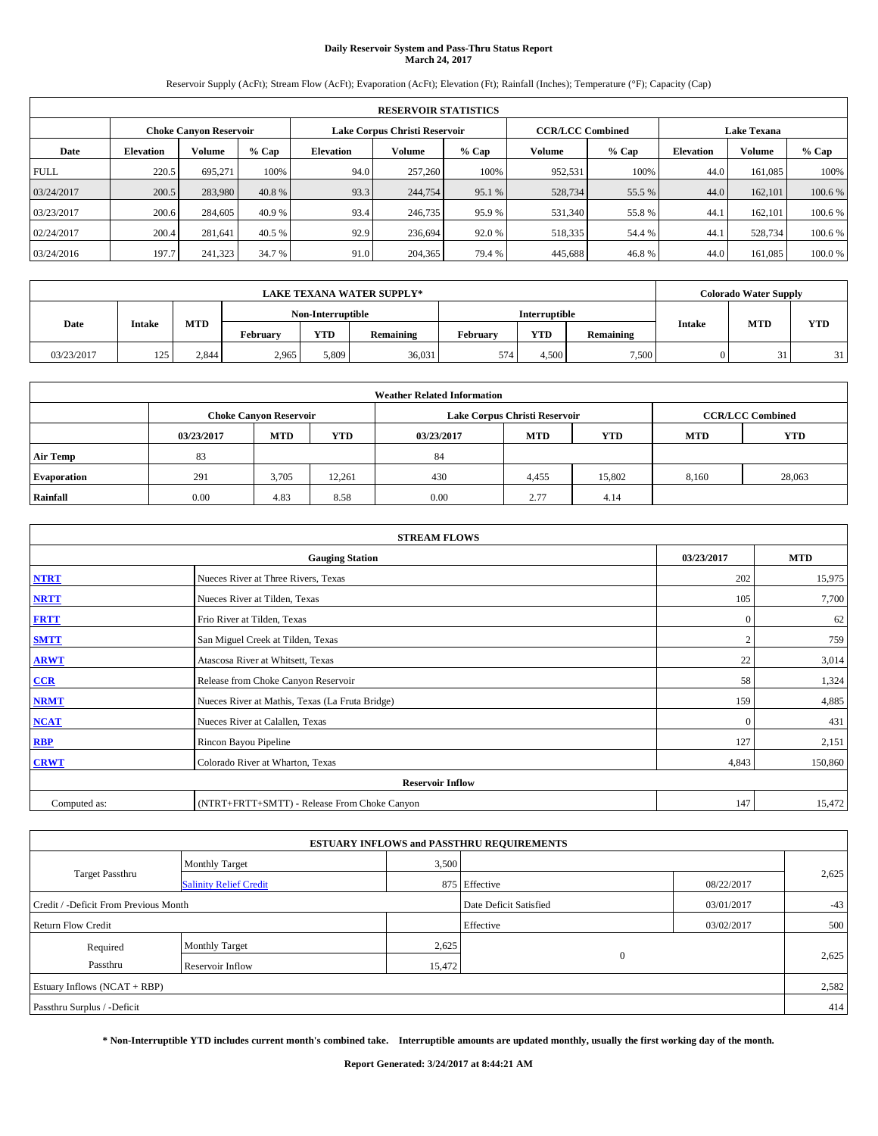# **Daily Reservoir System and Pass-Thru Status Report March 24, 2017**

Reservoir Supply (AcFt); Stream Flow (AcFt); Evaporation (AcFt); Elevation (Ft); Rainfall (Inches); Temperature (°F); Capacity (Cap)

|             | <b>RESERVOIR STATISTICS</b> |                               |         |           |                               |         |                         |         |                  |                    |         |  |
|-------------|-----------------------------|-------------------------------|---------|-----------|-------------------------------|---------|-------------------------|---------|------------------|--------------------|---------|--|
|             |                             | <b>Choke Canyon Reservoir</b> |         |           | Lake Corpus Christi Reservoir |         | <b>CCR/LCC Combined</b> |         |                  | <b>Lake Texana</b> |         |  |
| Date        | <b>Elevation</b>            | Volume                        | $%$ Cap | Elevation | Volume                        | $%$ Cap | Volume                  | $%$ Cap | <b>Elevation</b> | <b>Volume</b>      | % Cap   |  |
| <b>FULL</b> | 220.5                       | 695.271                       | 100%    | 94.0      | 257,260                       | 100%    | 952,531                 | 100%    | 44.0             | 161.085            | 100%    |  |
| 03/24/2017  | 200.5                       | 283,980                       | 40.8 %  | 93.3      | 244,754                       | 95.1 %  | 528,734                 | 55.5 %  | 44.0             | 162,101            | 100.6%  |  |
| 03/23/2017  | 200.6                       | 284,605                       | 40.9 %  | 93.4      | 246,735                       | 95.9%   | 531,340                 | 55.8%   | 44.1             | 162,101            | 100.6%  |  |
| 02/24/2017  | 200.4                       | 281.641                       | 40.5 %  | 92.9      | 236,694                       | 92.0 %  | 518,335                 | 54.4 %  | 44.1             | 528,734            | 100.6 % |  |
| 03/24/2016  | 197.7                       | 241,323                       | 34.7 %  | 91.0      | 204,365                       | 79.4 %  | 445,688                 | 46.8%   | 44.0             | 161,085            | 100.0%  |  |

| <b>LAKE TEXANA WATER SUPPLY*</b> |               |                                           |          |            |           |          | <b>Colorado Water Supply</b> |           |               |            |     |
|----------------------------------|---------------|-------------------------------------------|----------|------------|-----------|----------|------------------------------|-----------|---------------|------------|-----|
|                                  |               | Non-Interruptible<br><b>Interruptible</b> |          |            |           |          |                              |           |               |            |     |
| Date                             | <b>Intake</b> | <b>MTD</b>                                | February | <b>YTD</b> | Remaining | Februarv | <b>YTD</b>                   | Remaining | <b>Intake</b> | <b>MTD</b> | YTD |
| 03/23/2017                       | 125           | 2,844                                     | 2,965    | 5.809      | 36,031    | 574      | 4.500                        | 7,500     |               | 31         | 31  |

| <b>Weather Related Information</b> |            |                               |            |            |                               |                         |            |            |  |  |
|------------------------------------|------------|-------------------------------|------------|------------|-------------------------------|-------------------------|------------|------------|--|--|
|                                    |            | <b>Choke Canvon Reservoir</b> |            |            | Lake Corpus Christi Reservoir | <b>CCR/LCC Combined</b> |            |            |  |  |
|                                    | 03/23/2017 | <b>MTD</b>                    | <b>YTD</b> | 03/23/2017 | <b>MTD</b>                    | <b>YTD</b>              | <b>MTD</b> | <b>YTD</b> |  |  |
| <b>Air Temp</b>                    | 83         |                               |            | 84         |                               |                         |            |            |  |  |
| <b>Evaporation</b>                 | 291        | 3,705                         | 12,261     | 430        | 4,455                         | 15,802                  | 8,160      | 28,063     |  |  |
| Rainfall                           | 0.00       | 4.83                          | 8.58       | 0.00       | 2.77                          | 4.14                    |            |            |  |  |

| <b>STREAM FLOWS</b> |                                                 |              |         |  |  |  |  |  |  |  |
|---------------------|-------------------------------------------------|--------------|---------|--|--|--|--|--|--|--|
|                     | <b>Gauging Station</b>                          |              |         |  |  |  |  |  |  |  |
| <b>NTRT</b>         | Nueces River at Three Rivers, Texas             |              |         |  |  |  |  |  |  |  |
| <b>NRTT</b>         | Nueces River at Tilden, Texas                   | 105          | 7,700   |  |  |  |  |  |  |  |
| <b>FRTT</b>         | Frio River at Tilden, Texas                     | $\mathbf{0}$ | 62      |  |  |  |  |  |  |  |
| <b>SMTT</b>         | San Miguel Creek at Tilden, Texas               |              | 759     |  |  |  |  |  |  |  |
| <b>ARWT</b>         | Atascosa River at Whitsett, Texas               | 22           | 3,014   |  |  |  |  |  |  |  |
| CCR                 | Release from Choke Canyon Reservoir             | 58           | 1,324   |  |  |  |  |  |  |  |
| <b>NRMT</b>         | Nueces River at Mathis, Texas (La Fruta Bridge) | 159          | 4,885   |  |  |  |  |  |  |  |
| <b>NCAT</b>         | Nueces River at Calallen, Texas                 | $\Omega$     | 431     |  |  |  |  |  |  |  |
| <b>RBP</b>          | Rincon Bayou Pipeline                           | 127          | 2,151   |  |  |  |  |  |  |  |
| <b>CRWT</b>         | Colorado River at Wharton, Texas                | 4,843        | 150,860 |  |  |  |  |  |  |  |
|                     | <b>Reservoir Inflow</b>                         |              |         |  |  |  |  |  |  |  |
| Computed as:        | (NTRT+FRTT+SMTT) - Release From Choke Canyon    | 147          | 15,472  |  |  |  |  |  |  |  |

|                                       |                               |        | <b>ESTUARY INFLOWS and PASSTHRU REQUIREMENTS</b> |            |       |  |
|---------------------------------------|-------------------------------|--------|--------------------------------------------------|------------|-------|--|
|                                       | <b>Monthly Target</b>         | 3,500  |                                                  |            |       |  |
| Target Passthru                       | <b>Salinity Relief Credit</b> |        | 875 Effective                                    | 08/22/2017 | 2,625 |  |
| Credit / -Deficit From Previous Month |                               |        | Date Deficit Satisfied                           | 03/01/2017 | $-43$ |  |
| <b>Return Flow Credit</b>             |                               |        | Effective                                        | 03/02/2017 | 500   |  |
| Required                              | <b>Monthly Target</b>         | 2,625  |                                                  |            |       |  |
| Passthru                              | Reservoir Inflow              | 15,472 | $\mathbf{0}$                                     |            | 2,625 |  |
| Estuary Inflows $(NCAT + RBP)$        |                               |        |                                                  |            | 2,582 |  |
| Passthru Surplus / -Deficit           |                               |        |                                                  |            | 414   |  |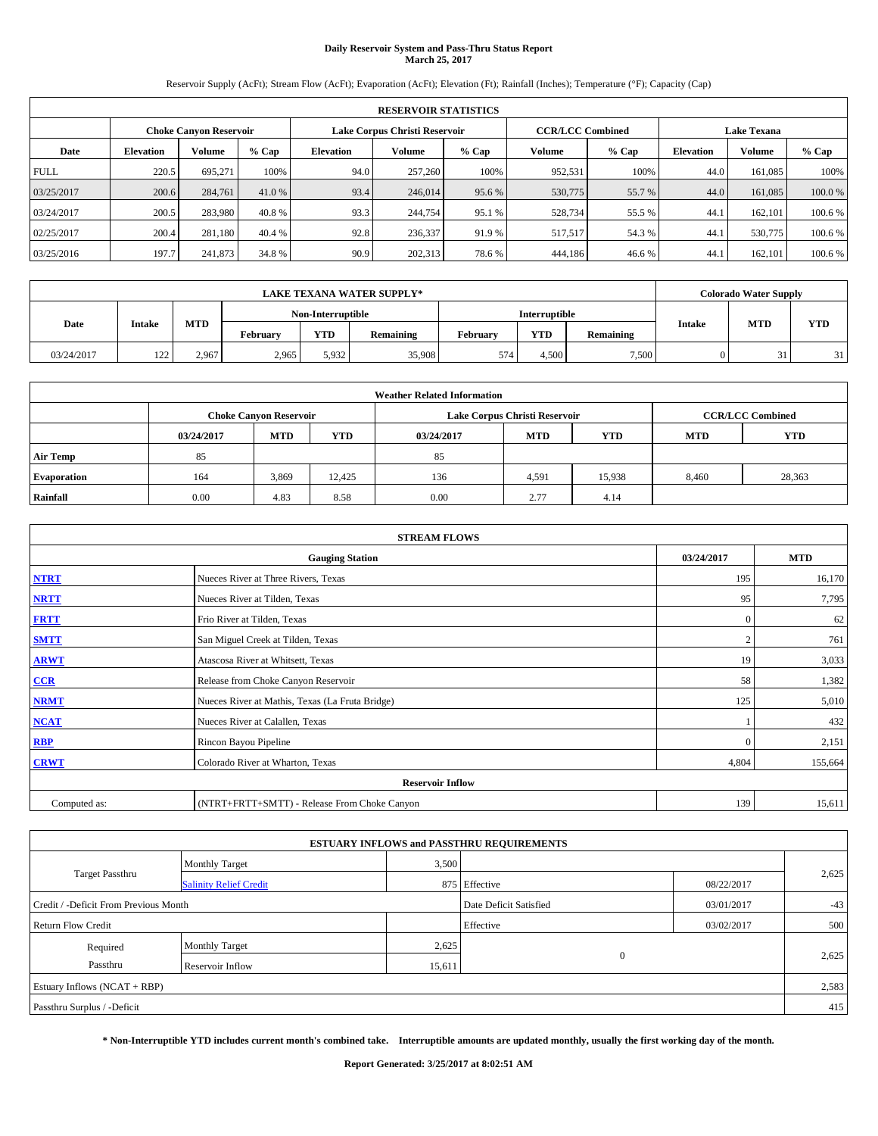# **Daily Reservoir System and Pass-Thru Status Report March 25, 2017**

Reservoir Supply (AcFt); Stream Flow (AcFt); Evaporation (AcFt); Elevation (Ft); Rainfall (Inches); Temperature (°F); Capacity (Cap)

| <b>RESERVOIR STATISTICS</b> |                  |                               |         |           |                               |         |                         |         |                  |                    |         |  |
|-----------------------------|------------------|-------------------------------|---------|-----------|-------------------------------|---------|-------------------------|---------|------------------|--------------------|---------|--|
|                             |                  | <b>Choke Canyon Reservoir</b> |         |           | Lake Corpus Christi Reservoir |         | <b>CCR/LCC Combined</b> |         |                  | <b>Lake Texana</b> |         |  |
| Date                        | <b>Elevation</b> | Volume                        | $%$ Cap | Elevation | Volume                        | $%$ Cap | Volume                  | $%$ Cap | <b>Elevation</b> | <b>Volume</b>      | % Cap   |  |
| <b>FULL</b>                 | 220.5            | 695.271                       | 100%    | 94.0      | 257,260                       | 100%    | 952,531                 | 100%    | 44.0             | 161.085            | 100%    |  |
| 03/25/2017                  | 200.6            | 284,761                       | 41.0 %  | 93.4      | 246,014                       | 95.6 %  | 530,775                 | 55.7 %  | 44.0             | 161.085            | 100.0%  |  |
| 03/24/2017                  | 200.5            | 283,980                       | 40.8 %  | 93.3      | 244,754                       | 95.1 %  | 528,734                 | 55.5 %  | 44.1             | 162,101            | 100.6%  |  |
| 02/25/2017                  | 200.4            | 281,180                       | 40.4 %  | 92.8      | 236,337                       | 91.9 %  | 517.517                 | 54.3 %  | 44.1             | 530,775            | 100.6 % |  |
| 03/25/2016                  | 197.7            | 241,873                       | 34.8 %  | 90.9      | 202,313                       | 78.6%   | 444,186                 | 46.6%   | 44.              | 162,101            | 100.6 % |  |

| <b>LAKE TEXANA WATER SUPPLY*</b> |               |            |          |                   |           |          |                      |           |               | <b>Colorado Water Supply</b> |            |  |
|----------------------------------|---------------|------------|----------|-------------------|-----------|----------|----------------------|-----------|---------------|------------------------------|------------|--|
|                                  |               |            |          | Non-Interruptible |           |          | <b>Interruptible</b> |           |               |                              |            |  |
| Date                             | <b>Intake</b> | <b>MTD</b> | February | <b>YTD</b>        | Remaining | February | <b>YTD</b>           | Remaining | <b>Intake</b> | <b>MTD</b>                   | <b>YTD</b> |  |
| 03/24/2017                       | 122           | 2.967      | 2,965    | 5,932             | 35,908    | 574      | 4.500                | 7,500     |               | 31                           | 31         |  |

| <b>Weather Related Information</b> |            |                               |            |            |                               |                         |       |            |  |  |
|------------------------------------|------------|-------------------------------|------------|------------|-------------------------------|-------------------------|-------|------------|--|--|
|                                    |            | <b>Choke Canvon Reservoir</b> |            |            | Lake Corpus Christi Reservoir | <b>CCR/LCC Combined</b> |       |            |  |  |
|                                    | 03/24/2017 | <b>MTD</b>                    | <b>YTD</b> | 03/24/2017 | <b>MTD</b>                    | <b>YTD</b>              |       | <b>YTD</b> |  |  |
| <b>Air Temp</b>                    | 85         |                               |            | 85         |                               |                         |       |            |  |  |
| <b>Evaporation</b>                 | 164        | 3,869                         | 12.425     | 136        | 4,591                         | 15,938                  | 8,460 | 28,363     |  |  |
| Rainfall                           | 0.00       | 4.83                          | 8.58       | 0.00       | 2.77                          | 4.14                    |       |            |  |  |

| <b>STREAM FLOWS</b> |                                                 |              |            |  |  |  |  |  |  |
|---------------------|-------------------------------------------------|--------------|------------|--|--|--|--|--|--|
|                     | <b>Gauging Station</b>                          | 03/24/2017   | <b>MTD</b> |  |  |  |  |  |  |
| <b>NTRT</b>         | Nueces River at Three Rivers, Texas             | 195          | 16,170     |  |  |  |  |  |  |
| <b>NRTT</b>         | Nueces River at Tilden, Texas                   | 95           | 7,795      |  |  |  |  |  |  |
| <b>FRTT</b>         | Frio River at Tilden, Texas                     | $\mathbf{0}$ | 62         |  |  |  |  |  |  |
| <b>SMTT</b>         | San Miguel Creek at Tilden, Texas               |              | 761        |  |  |  |  |  |  |
| <b>ARWT</b>         | Atascosa River at Whitsett, Texas               |              |            |  |  |  |  |  |  |
| CCR                 | Release from Choke Canyon Reservoir             | 58           | 1,382      |  |  |  |  |  |  |
| <b>NRMT</b>         | Nueces River at Mathis, Texas (La Fruta Bridge) | 125          | 5,010      |  |  |  |  |  |  |
| <b>NCAT</b>         | Nueces River at Calallen, Texas                 |              | 432        |  |  |  |  |  |  |
| <b>RBP</b>          | Rincon Bayou Pipeline                           | $\Omega$     | 2,151      |  |  |  |  |  |  |
| <b>CRWT</b>         | Colorado River at Wharton, Texas                | 4,804        | 155,664    |  |  |  |  |  |  |
|                     | <b>Reservoir Inflow</b>                         |              |            |  |  |  |  |  |  |
| Computed as:        | (NTRT+FRTT+SMTT) - Release From Choke Canyon    |              |            |  |  |  |  |  |  |

|                                       |                               |        | <b>ESTUARY INFLOWS and PASSTHRU REQUIREMENTS</b> |            |       |
|---------------------------------------|-------------------------------|--------|--------------------------------------------------|------------|-------|
|                                       | <b>Monthly Target</b>         | 3,500  |                                                  |            |       |
| Target Passthru                       | <b>Salinity Relief Credit</b> |        | 875 Effective                                    | 08/22/2017 | 2,625 |
| Credit / -Deficit From Previous Month |                               |        | Date Deficit Satisfied                           | 03/01/2017 | $-43$ |
| <b>Return Flow Credit</b>             |                               |        | Effective                                        | 03/02/2017 | 500   |
| Required                              | <b>Monthly Target</b>         | 2,625  |                                                  |            |       |
| Passthru                              | Reservoir Inflow              | 15,611 | $\mathbf{0}$                                     |            | 2,625 |
| Estuary Inflows $(NCAT + RBP)$        |                               |        |                                                  |            | 2,583 |
| Passthru Surplus / -Deficit           |                               |        |                                                  |            | 415   |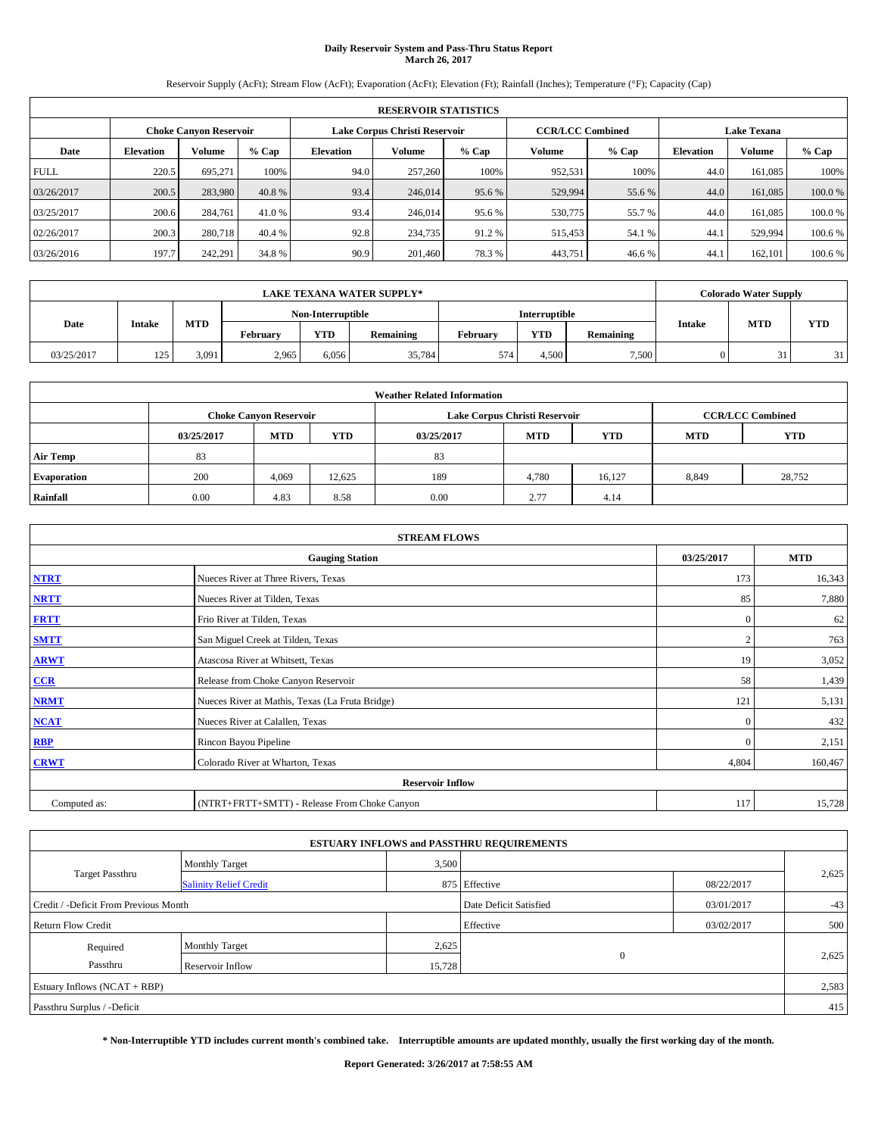# **Daily Reservoir System and Pass-Thru Status Report March 26, 2017**

Reservoir Supply (AcFt); Stream Flow (AcFt); Evaporation (AcFt); Elevation (Ft); Rainfall (Inches); Temperature (°F); Capacity (Cap)

| <b>RESERVOIR STATISTICS</b> |                  |                               |         |           |                               |         |                         |         |                  |                    |         |  |
|-----------------------------|------------------|-------------------------------|---------|-----------|-------------------------------|---------|-------------------------|---------|------------------|--------------------|---------|--|
|                             |                  | <b>Choke Canyon Reservoir</b> |         |           | Lake Corpus Christi Reservoir |         | <b>CCR/LCC Combined</b> |         |                  | <b>Lake Texana</b> |         |  |
| Date                        | <b>Elevation</b> | Volume                        | $%$ Cap | Elevation | Volume                        | $%$ Cap | Volume                  | $%$ Cap | <b>Elevation</b> | <b>Volume</b>      | % Cap   |  |
| <b>FULL</b>                 | 220.5            | 695.271                       | 100%    | 94.0      | 257,260                       | 100%    | 952,531                 | 100%    | 44.0             | 161.085            | 100%    |  |
| 03/26/2017                  | 200.5            | 283,980                       | 40.8 %  | 93.4      | 246,014                       | 95.6 %  | 529,994                 | 55.6 %  | 44.0             | 161,085            | 100.0%  |  |
| 03/25/2017                  | 200.6            | 284,761                       | 41.0 %  | 93.4      | 246,014                       | 95.6 %  | 530,775                 | 55.7 %  | 44.0             | 161.085            | 100.0%  |  |
| 02/26/2017                  | 200.3            | 280,718                       | 40.4 %  | 92.8      | 234,735                       | 91.2%   | 515,453                 | 54.1 %  | 44.1             | 529.994            | 100.6%  |  |
| 03/26/2016                  | 197.7            | 242,291                       | 34.8 %  | 90.9      | 201.460                       | 78.3%   | 443,751                 | 46.6%   | 44.              | 162,101            | 100.6 % |  |

| <b>LAKE TEXANA WATER SUPPLY*</b> |               |            |          |                   |           |          |                      |           |               | <b>Colorado Water Supply</b> |    |            |
|----------------------------------|---------------|------------|----------|-------------------|-----------|----------|----------------------|-----------|---------------|------------------------------|----|------------|
|                                  |               |            |          | Non-Interruptible |           |          | <b>Interruptible</b> |           |               |                              |    |            |
| Date                             | <b>Intake</b> | <b>MTD</b> | February | <b>YTD</b>        | Remaining | February | <b>YTD</b>           | Remaining | <b>Intake</b> | <b>MTD</b>                   |    | <b>YTD</b> |
| 03/25/2017                       | 125           | 3,091      | 2,965    | 6.056             | 35,784    | 574      | 4.500                | 7,500     |               | 31                           | 31 |            |

| <b>Weather Related Information</b> |            |                               |            |            |                               |                         |            |            |  |  |
|------------------------------------|------------|-------------------------------|------------|------------|-------------------------------|-------------------------|------------|------------|--|--|
|                                    |            | <b>Choke Canvon Reservoir</b> |            |            | Lake Corpus Christi Reservoir | <b>CCR/LCC Combined</b> |            |            |  |  |
|                                    | 03/25/2017 | <b>MTD</b>                    | <b>YTD</b> | 03/25/2017 | <b>MTD</b>                    | <b>YTD</b>              | <b>MTD</b> | <b>YTD</b> |  |  |
| <b>Air Temp</b>                    | 83         |                               |            | 83         |                               |                         |            |            |  |  |
| <b>Evaporation</b>                 | 200        | 4,069                         | 12,625     | 189        | 4,780                         | 16.127                  | 8,849      | 28,752     |  |  |
| Rainfall                           | 0.00       | 4.83                          | 8.58       | 0.00       | 2.77                          | 4.14                    |            |            |  |  |

| <b>STREAM FLOWS</b> |                                                 |              |            |  |  |  |  |  |  |
|---------------------|-------------------------------------------------|--------------|------------|--|--|--|--|--|--|
|                     | <b>Gauging Station</b>                          | 03/25/2017   | <b>MTD</b> |  |  |  |  |  |  |
| <b>NTRT</b>         | Nueces River at Three Rivers, Texas             | 173          | 16,343     |  |  |  |  |  |  |
| <b>NRTT</b>         | Nueces River at Tilden, Texas                   | 85           | 7,880      |  |  |  |  |  |  |
| <b>FRTT</b>         | Frio River at Tilden, Texas                     | $\mathbf{0}$ | 62         |  |  |  |  |  |  |
| <b>SMTT</b>         | San Miguel Creek at Tilden, Texas               |              | 763        |  |  |  |  |  |  |
| <b>ARWT</b>         | Atascosa River at Whitsett, Texas               |              |            |  |  |  |  |  |  |
| CCR                 | Release from Choke Canyon Reservoir             | 58           | 1,439      |  |  |  |  |  |  |
| <b>NRMT</b>         | Nueces River at Mathis, Texas (La Fruta Bridge) | 121          | 5,131      |  |  |  |  |  |  |
| <b>NCAT</b>         | Nueces River at Calallen, Texas                 | $\Omega$     | 432        |  |  |  |  |  |  |
| <b>RBP</b>          | Rincon Bayou Pipeline                           | $\Omega$     | 2,151      |  |  |  |  |  |  |
| <b>CRWT</b>         | Colorado River at Wharton, Texas                | 4,804        | 160,467    |  |  |  |  |  |  |
|                     | <b>Reservoir Inflow</b>                         |              |            |  |  |  |  |  |  |
| Computed as:        | (NTRT+FRTT+SMTT) - Release From Choke Canyon    |              |            |  |  |  |  |  |  |

|                                       |                               |        | <b>ESTUARY INFLOWS and PASSTHRU REQUIREMENTS</b> |            |       |  |  |
|---------------------------------------|-------------------------------|--------|--------------------------------------------------|------------|-------|--|--|
|                                       | <b>Monthly Target</b>         | 3,500  |                                                  |            |       |  |  |
| Target Passthru                       | <b>Salinity Relief Credit</b> |        | 875 Effective                                    | 08/22/2017 | 2,625 |  |  |
| Credit / -Deficit From Previous Month |                               |        | Date Deficit Satisfied                           | 03/01/2017 | $-43$ |  |  |
| <b>Return Flow Credit</b>             |                               |        | Effective                                        | 03/02/2017 | 500   |  |  |
| Required                              | <b>Monthly Target</b>         | 2,625  |                                                  |            |       |  |  |
| Passthru                              | Reservoir Inflow              | 15,728 | $\mathbf{0}$                                     |            | 2,625 |  |  |
| Estuary Inflows $(NCAT + RBP)$        |                               |        |                                                  |            | 2,583 |  |  |
| Passthru Surplus / -Deficit           |                               |        |                                                  |            |       |  |  |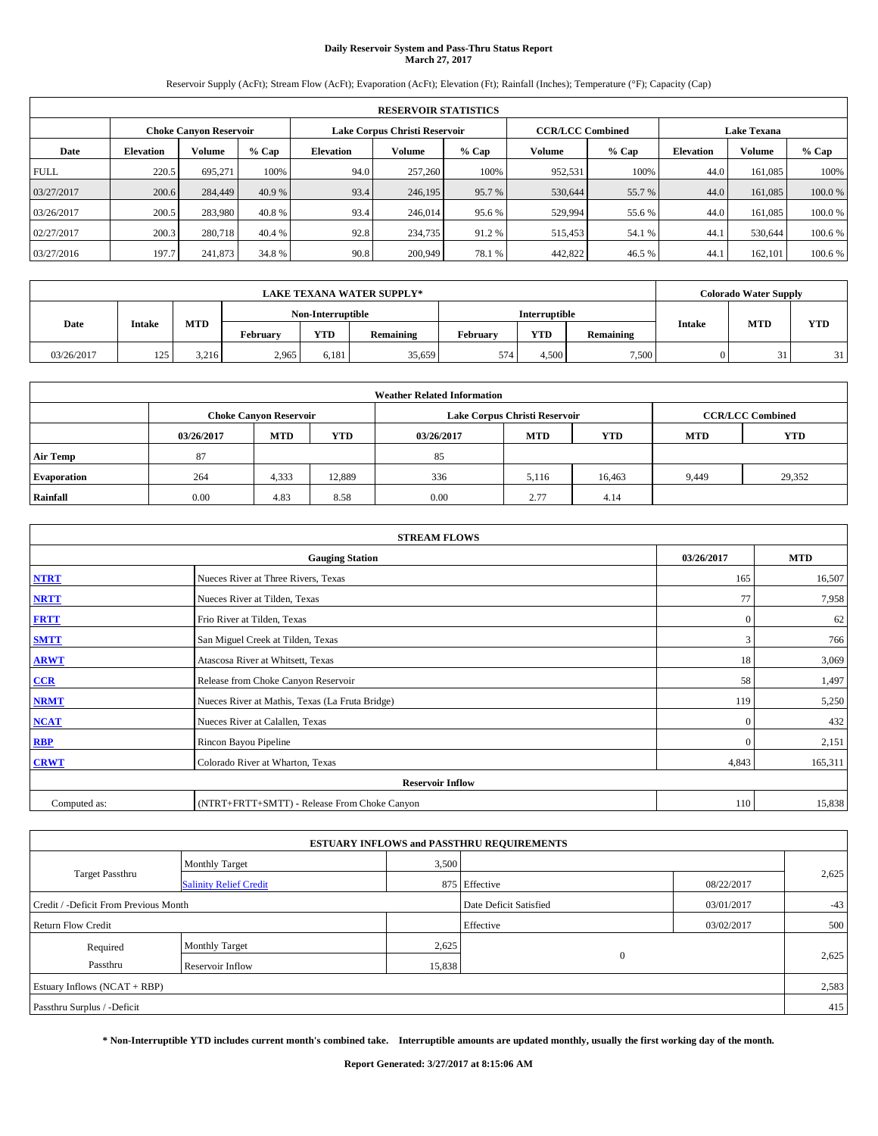# **Daily Reservoir System and Pass-Thru Status Report March 27, 2017**

Reservoir Supply (AcFt); Stream Flow (AcFt); Evaporation (AcFt); Elevation (Ft); Rainfall (Inches); Temperature (°F); Capacity (Cap)

| <b>RESERVOIR STATISTICS</b> |                  |                        |         |                  |                               |         |                         |         |                  |                    |         |  |
|-----------------------------|------------------|------------------------|---------|------------------|-------------------------------|---------|-------------------------|---------|------------------|--------------------|---------|--|
|                             |                  | Choke Canvon Reservoir |         |                  | Lake Corpus Christi Reservoir |         | <b>CCR/LCC Combined</b> |         |                  | <b>Lake Texana</b> |         |  |
| Date                        | <b>Elevation</b> | Volume                 | $%$ Cap | <b>Elevation</b> | Volume                        | $%$ Cap | Volume                  | $%$ Cap | <b>Elevation</b> | <b>Volume</b>      | % Cap   |  |
| <b>FULL</b>                 | 220.5            | 695.271                | 100%    | 94.0             | 257,260                       | 100%    | 952,531                 | 100%    | 44.0             | 161.085            | 100%    |  |
| 03/27/2017                  | 200.6            | 284,449                | 40.9 %  | 93.4             | 246,195                       | 95.7%   | 530,644                 | 55.7 %  | 44.0             | 161,085            | 100.0%  |  |
| 03/26/2017                  | 200.5            | 283,980                | 40.8 %  | 93.4             | 246,014                       | 95.6 %  | 529,994                 | 55.6 %  | 44.0             | 161.085            | 100.0%  |  |
| 02/27/2017                  | 200.3            | 280,718                | 40.4 %  | 92.8             | 234,735                       | 91.2 %  | 515,453                 | 54.1 %  | 44.1             | 530,644            | 100.6 % |  |
| 03/27/2016                  | 197.7            | 241,873                | 34.8 %  | 90.8             | 200,949                       | 78.1 %  | 442,822                 | 46.5 %  | 44.              | 162,101            | 100.6 % |  |

| <b>LAKE TEXANA WATER SUPPLY*</b> |               |            |          |                   |           |          |                      |           |               | <b>Colorado Water Supply</b> |            |  |
|----------------------------------|---------------|------------|----------|-------------------|-----------|----------|----------------------|-----------|---------------|------------------------------|------------|--|
|                                  |               |            |          | Non-Interruptible |           |          | <b>Interruptible</b> |           |               |                              |            |  |
| Date                             | <b>Intake</b> | <b>MTD</b> | February | <b>YTD</b>        | Remaining | February | <b>YTD</b>           | Remaining | <b>Intake</b> | <b>MTD</b>                   | <b>YTD</b> |  |
| 03/26/2017                       | 125           | 3.216      | 2,965    | 6.181             | 35,659    | 574      | 4.500                | 7,500     |               | 31                           | 31         |  |

| <b>Weather Related Information</b> |            |                               |            |            |                               |                         |       |        |  |
|------------------------------------|------------|-------------------------------|------------|------------|-------------------------------|-------------------------|-------|--------|--|
|                                    |            | <b>Choke Canyon Reservoir</b> |            |            | Lake Corpus Christi Reservoir | <b>CCR/LCC Combined</b> |       |        |  |
|                                    | 03/26/2017 | <b>MTD</b>                    | <b>YTD</b> | 03/26/2017 | <b>YTD</b>                    |                         |       |        |  |
| <b>Air Temp</b>                    | 87         |                               |            | 85         |                               |                         |       |        |  |
| <b>Evaporation</b>                 | 264        | 4,333                         | 12,889     | 336        | 5,116                         | 16,463                  | 9,449 | 29,352 |  |
| Rainfall                           | 0.00       | 4.83                          | 8.58       | 0.00       | 2.77                          | 4.14                    |       |        |  |

| <b>STREAM FLOWS</b> |                                                 |              |         |  |  |  |  |  |
|---------------------|-------------------------------------------------|--------------|---------|--|--|--|--|--|
|                     | 03/26/2017                                      | <b>MTD</b>   |         |  |  |  |  |  |
| <b>NTRT</b>         | Nueces River at Three Rivers, Texas             | 165          | 16,507  |  |  |  |  |  |
| <b>NRTT</b>         | Nueces River at Tilden, Texas                   | 77           | 7,958   |  |  |  |  |  |
| <b>FRTT</b>         | Frio River at Tilden, Texas                     | $\mathbf{0}$ | 62      |  |  |  |  |  |
| <b>SMTT</b>         | San Miguel Creek at Tilden, Texas               | 3            | 766     |  |  |  |  |  |
| <b>ARWT</b>         | Atascosa River at Whitsett, Texas               | 18           | 3,069   |  |  |  |  |  |
| $CCR$               | Release from Choke Canyon Reservoir             | 58           | 1,497   |  |  |  |  |  |
| <b>NRMT</b>         | Nueces River at Mathis, Texas (La Fruta Bridge) | 119          | 5,250   |  |  |  |  |  |
| <b>NCAT</b>         | Nueces River at Calallen, Texas                 | $\Omega$     | 432     |  |  |  |  |  |
| RBP                 | Rincon Bayou Pipeline                           | $\mathbf{0}$ | 2,151   |  |  |  |  |  |
| <b>CRWT</b>         | Colorado River at Wharton, Texas                | 4,843        | 165,311 |  |  |  |  |  |
|                     | <b>Reservoir Inflow</b>                         |              |         |  |  |  |  |  |
| Computed as:        | (NTRT+FRTT+SMTT) - Release From Choke Canyon    | 110          | 15,838  |  |  |  |  |  |

|                                       |                               |        | <b>ESTUARY INFLOWS and PASSTHRU REQUIREMENTS</b> |            |       |
|---------------------------------------|-------------------------------|--------|--------------------------------------------------|------------|-------|
|                                       | <b>Monthly Target</b>         | 3,500  |                                                  |            |       |
| Target Passthru                       | <b>Salinity Relief Credit</b> |        | 875 Effective                                    | 08/22/2017 | 2,625 |
| Credit / -Deficit From Previous Month |                               |        | Date Deficit Satisfied                           | 03/01/2017 | $-43$ |
| <b>Return Flow Credit</b>             |                               |        | Effective                                        | 03/02/2017 | 500   |
| Required                              | <b>Monthly Target</b>         | 2,625  |                                                  |            |       |
| Passthru                              | Reservoir Inflow              | 15,838 | $\mathbf{0}$                                     |            | 2,625 |
| Estuary Inflows $(NCAT + RBP)$        |                               |        |                                                  |            | 2,583 |
| Passthru Surplus / -Deficit           |                               |        |                                                  |            | 415   |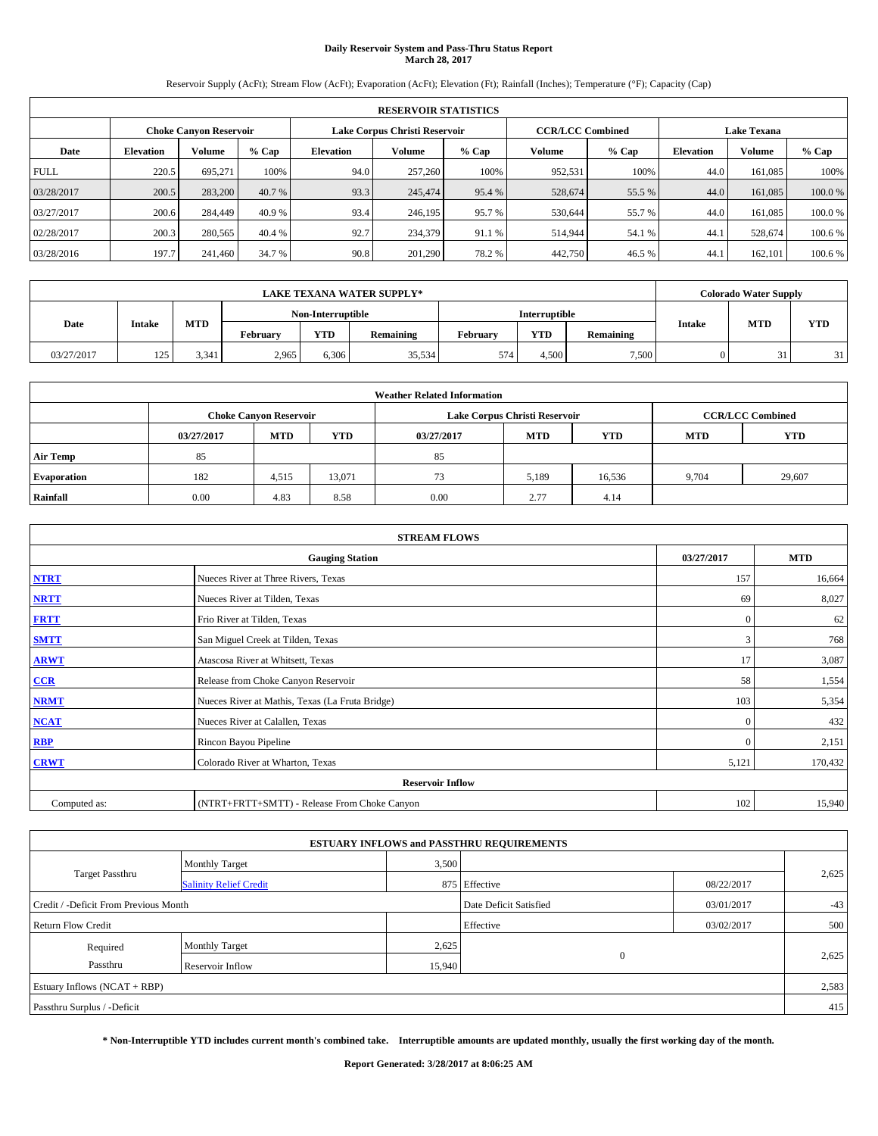# **Daily Reservoir System and Pass-Thru Status Report March 28, 2017**

Reservoir Supply (AcFt); Stream Flow (AcFt); Evaporation (AcFt); Elevation (Ft); Rainfall (Inches); Temperature (°F); Capacity (Cap)

| <b>RESERVOIR STATISTICS</b>                                                        |                  |         |         |                  |         |         |         |         |                  |                    |         |
|------------------------------------------------------------------------------------|------------------|---------|---------|------------------|---------|---------|---------|---------|------------------|--------------------|---------|
| <b>CCR/LCC Combined</b><br>Lake Corpus Christi Reservoir<br>Choke Canvon Reservoir |                  |         |         |                  |         |         |         |         |                  | <b>Lake Texana</b> |         |
| Date                                                                               | <b>Elevation</b> | Volume  | $%$ Cap | <b>Elevation</b> | Volume  | $%$ Cap | Volume  | $%$ Cap | <b>Elevation</b> | <b>Volume</b>      | % Cap   |
| <b>FULL</b>                                                                        | 220.5            | 695.271 | 100%    | 94.0             | 257,260 | 100%    | 952,531 | 100%    | 44.0             | 161.085            | 100%    |
| 03/28/2017                                                                         | 200.5            | 283,200 | 40.7 %  | 93.3             | 245,474 | 95.4 %  | 528,674 | 55.5 %  | 44.0             | 161,085            | 100.0%  |
| 03/27/2017                                                                         | 200.6            | 284,449 | 40.9 %  | 93.4             | 246,195 | 95.7 %  | 530,644 | 55.7 %  | 44.0             | 161.085            | 100.0%  |
| 02/28/2017                                                                         | 200.3            | 280,565 | 40.4 %  | 92.7             | 234,379 | 91.1 %  | 514,944 | 54.1 %  | 44.              | 528,674            | 100.6 % |
| 03/28/2016                                                                         | 197.7            | 241,460 | 34.7 %  | 90.8             | 201,290 | 78.2%   | 442,750 | 46.5 %  | 44.              | 162,101            | 100.6 % |

| <b>LAKE TEXANA WATER SUPPLY*</b> |               |            |          |                   |                  |          |               |           |               | <b>Colorado Water Supply</b> |            |
|----------------------------------|---------------|------------|----------|-------------------|------------------|----------|---------------|-----------|---------------|------------------------------|------------|
|                                  |               |            |          | Non-Interruptible |                  |          | Interruptible |           |               |                              |            |
| Date                             | <b>Intake</b> | <b>MTD</b> | Februarv | <b>YTD</b>        | <b>Remaining</b> | Februarv | <b>YTD</b>    | Remaining | <b>Intake</b> | <b>MTD</b>                   | <b>YTD</b> |
| 03/27/2017                       | 125           | 3.341      | 2,965    | 6,306             | 35,534           | 574      | 4.500         | 7,500     |               |                              | 31         |

| <b>Weather Related Information</b> |            |                               |            |                                                      |                               |                         |       |        |  |  |
|------------------------------------|------------|-------------------------------|------------|------------------------------------------------------|-------------------------------|-------------------------|-------|--------|--|--|
|                                    |            | <b>Choke Canyon Reservoir</b> |            |                                                      | Lake Corpus Christi Reservoir | <b>CCR/LCC Combined</b> |       |        |  |  |
|                                    | 03/27/2017 | <b>MTD</b>                    | <b>YTD</b> | <b>MTD</b><br><b>YTD</b><br><b>MTD</b><br>03/27/2017 |                               |                         |       |        |  |  |
| <b>Air Temp</b>                    | 85         |                               |            | 85                                                   |                               |                         |       |        |  |  |
| <b>Evaporation</b>                 | 182        | 4,515                         | 13,071     | 73                                                   | 5,189                         | 16,536                  | 9,704 | 29,607 |  |  |
| Rainfall                           | 0.00       | 4.83                          | 8.58       | 0.00                                                 | 2.77                          | 4.14                    |       |        |  |  |

| <b>STREAM FLOWS</b> |                                                 |              |         |  |  |  |  |  |
|---------------------|-------------------------------------------------|--------------|---------|--|--|--|--|--|
|                     | 03/27/2017                                      | <b>MTD</b>   |         |  |  |  |  |  |
| <b>NTRT</b>         | Nueces River at Three Rivers, Texas             | 157          | 16,664  |  |  |  |  |  |
| <b>NRTT</b>         | Nueces River at Tilden, Texas                   | 69           | 8,027   |  |  |  |  |  |
| <b>FRTT</b>         | Frio River at Tilden, Texas                     | $\mathbf{0}$ | 62      |  |  |  |  |  |
| <b>SMTT</b>         | San Miguel Creek at Tilden, Texas               | 3            | 768     |  |  |  |  |  |
| <b>ARWT</b>         | Atascosa River at Whitsett, Texas               | 17           | 3,087   |  |  |  |  |  |
| $CCR$               | Release from Choke Canyon Reservoir             | 58           | 1,554   |  |  |  |  |  |
| <b>NRMT</b>         | Nueces River at Mathis, Texas (La Fruta Bridge) | 103          | 5,354   |  |  |  |  |  |
| <b>NCAT</b>         | Nueces River at Calallen, Texas                 | $\Omega$     | 432     |  |  |  |  |  |
| <b>RBP</b>          | Rincon Bayou Pipeline                           | $\Omega$     | 2,151   |  |  |  |  |  |
| <b>CRWT</b>         | Colorado River at Wharton, Texas                | 5,121        | 170,432 |  |  |  |  |  |
|                     | <b>Reservoir Inflow</b>                         |              |         |  |  |  |  |  |
| Computed as:        | (NTRT+FRTT+SMTT) - Release From Choke Canyon    | 102          | 15,940  |  |  |  |  |  |

|                                       |                               |        | <b>ESTUARY INFLOWS and PASSTHRU REQUIREMENTS</b> |            |       |
|---------------------------------------|-------------------------------|--------|--------------------------------------------------|------------|-------|
|                                       | <b>Monthly Target</b>         | 3,500  |                                                  |            |       |
| Target Passthru                       | <b>Salinity Relief Credit</b> |        | 875 Effective                                    | 08/22/2017 | 2,625 |
| Credit / -Deficit From Previous Month |                               |        | Date Deficit Satisfied                           | 03/01/2017 | $-43$ |
| <b>Return Flow Credit</b>             |                               |        | Effective                                        | 03/02/2017 | 500   |
| Required                              | <b>Monthly Target</b>         | 2,625  |                                                  |            |       |
| Passthru                              | Reservoir Inflow              | 15,940 | $\mathbf{0}$                                     |            | 2,625 |
| Estuary Inflows $(NCAT + RBP)$        |                               |        |                                                  |            | 2,583 |
| Passthru Surplus / -Deficit           |                               |        |                                                  |            | 415   |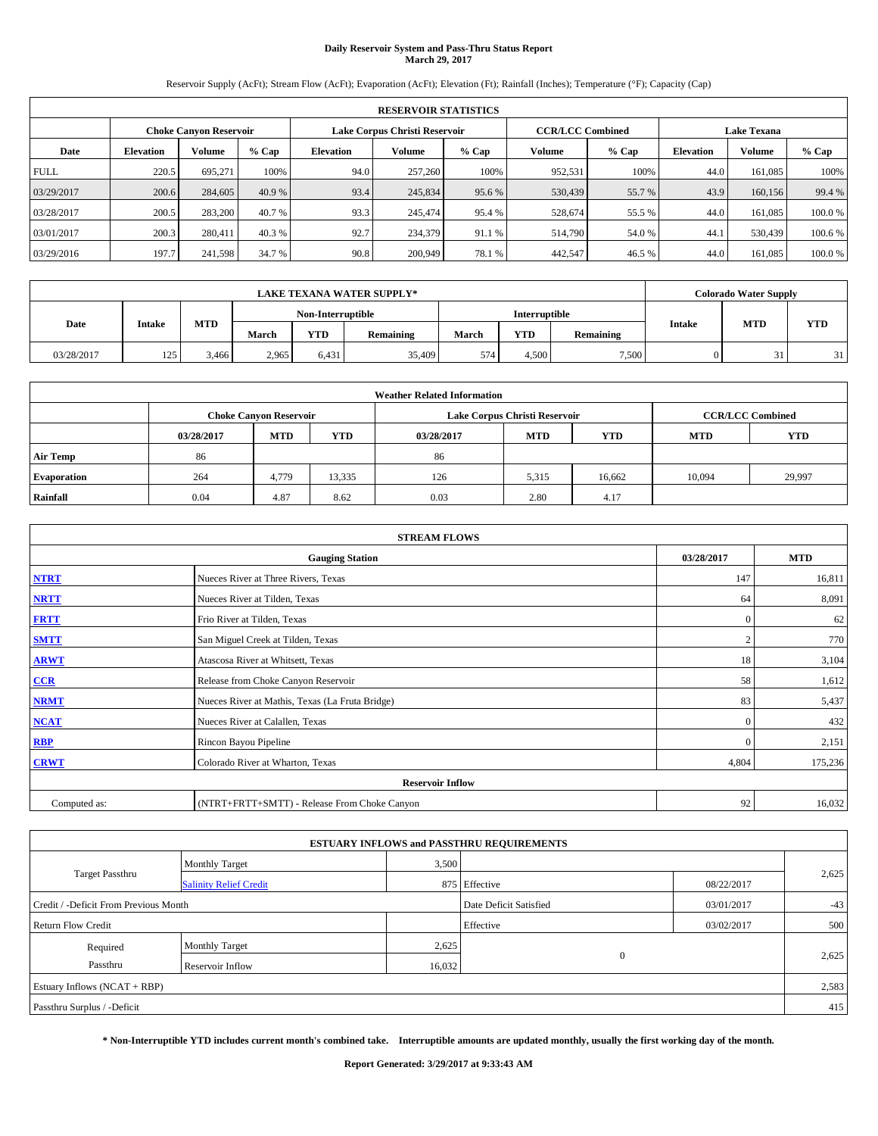# **Daily Reservoir System and Pass-Thru Status Report March 29, 2017**

Reservoir Supply (AcFt); Stream Flow (AcFt); Evaporation (AcFt); Elevation (Ft); Rainfall (Inches); Temperature (°F); Capacity (Cap)

| <b>RESERVOIR STATISTICS</b> |                  |                        |         |                  |                               |         |                         |         |                  |                    |         |
|-----------------------------|------------------|------------------------|---------|------------------|-------------------------------|---------|-------------------------|---------|------------------|--------------------|---------|
|                             |                  | Choke Canvon Reservoir |         |                  | Lake Corpus Christi Reservoir |         | <b>CCR/LCC Combined</b> |         |                  | <b>Lake Texana</b> |         |
| Date                        | <b>Elevation</b> | Volume                 | $%$ Cap | <b>Elevation</b> | Volume                        | $%$ Cap | Volume                  | $%$ Cap | <b>Elevation</b> | <b>Volume</b>      | % Cap   |
| <b>FULL</b>                 | 220.5            | 695.271                | 100%    | 94.0             | 257,260                       | 100%    | 952,531                 | 100%    | 44.0             | 161.085            | 100%    |
| 03/29/2017                  | 200.6            | 284,605                | 40.9 %  | 93.4             | 245,834                       | 95.6%   | 530,439                 | 55.7 %  | 43.9             | 160,156            | 99.4 %  |
| 03/28/2017                  | 200.5            | 283,200                | 40.7 %  | 93.3             | 245,474                       | 95.4 %  | 528,674                 | 55.5 %  | 44.0             | 161.085            | 100.0%  |
| 03/01/2017                  | 200.3            | 280,411                | 40.3 %  | 92.7             | 234,379                       | 91.1 %  | 514,790                 | 54.0 %  | 44.1             | 530,439            | 100.6 % |
| 03/29/2016                  | 197.7            | 241,598                | 34.7 %  | 90.8             | 200,949                       | 78.1 %  | 442,547                 | 46.5 %  | 44.0             | 161.085            | 100.0%  |

| <b>LAKE TEXANA WATER SUPPLY*</b> |               |            |       |                   |           |       |                      |           |               | <b>Colorado Water Supply</b> |            |
|----------------------------------|---------------|------------|-------|-------------------|-----------|-------|----------------------|-----------|---------------|------------------------------|------------|
|                                  |               |            |       | Non-Interruptible |           |       | <b>Interruptible</b> |           |               |                              |            |
| Date                             | <b>Intake</b> | <b>MTD</b> | March | <b>YTD</b>        | Remaining | March | <b>YTD</b>           | Remaining | <b>Intake</b> | <b>MTD</b>                   | <b>YTD</b> |
| 03/28/2017                       | 125           | 3.466      | 2,965 | 6,431             | 35,409    | 574   | 4,500                | 7.500     |               |                              | 21         |

| <b>Weather Related Information</b> |            |                               |            |            |                                        |                         |        |        |  |  |
|------------------------------------|------------|-------------------------------|------------|------------|----------------------------------------|-------------------------|--------|--------|--|--|
|                                    |            | <b>Choke Canyon Reservoir</b> |            |            | Lake Corpus Christi Reservoir          | <b>CCR/LCC Combined</b> |        |        |  |  |
|                                    | 03/28/2017 | <b>MTD</b>                    | <b>YTD</b> | 03/28/2017 | <b>MTD</b><br><b>YTD</b><br><b>MTD</b> |                         |        |        |  |  |
| <b>Air Temp</b>                    | 86         |                               |            | 86         |                                        |                         |        |        |  |  |
| <b>Evaporation</b>                 | 264        | 4,779                         | 13,335     | 126        | 5,315                                  | 16,662                  | 10.094 | 29,997 |  |  |
| Rainfall                           | 0.04       | 4.87                          | 8.62       | 0.03       | 2.80                                   | 4.17                    |        |        |  |  |

| <b>STREAM FLOWS</b> |                                                 |              |         |  |  |  |  |  |
|---------------------|-------------------------------------------------|--------------|---------|--|--|--|--|--|
|                     | 03/28/2017                                      | <b>MTD</b>   |         |  |  |  |  |  |
| <b>NTRT</b>         | Nueces River at Three Rivers, Texas             | 147          | 16,811  |  |  |  |  |  |
| <b>NRTT</b>         | Nueces River at Tilden, Texas                   | 64           | 8,091   |  |  |  |  |  |
| <b>FRTT</b>         | Frio River at Tilden, Texas                     | $\mathbf{0}$ | 62      |  |  |  |  |  |
| <b>SMTT</b>         | San Miguel Creek at Tilden, Texas               |              | 770     |  |  |  |  |  |
| <b>ARWT</b>         | Atascosa River at Whitsett, Texas               | 18           | 3,104   |  |  |  |  |  |
| $CCR$               | Release from Choke Canyon Reservoir             | 58           | 1,612   |  |  |  |  |  |
| <b>NRMT</b>         | Nueces River at Mathis, Texas (La Fruta Bridge) | 83           | 5,437   |  |  |  |  |  |
| <b>NCAT</b>         | Nueces River at Calallen, Texas                 | $\mathbf{0}$ | 432     |  |  |  |  |  |
| RBP                 | Rincon Bayou Pipeline                           | $\Omega$     | 2,151   |  |  |  |  |  |
| <b>CRWT</b>         | Colorado River at Wharton, Texas                | 4,804        | 175,236 |  |  |  |  |  |
|                     | <b>Reservoir Inflow</b>                         |              |         |  |  |  |  |  |
| Computed as:        | (NTRT+FRTT+SMTT) - Release From Choke Canyon    | 92           | 16,032  |  |  |  |  |  |

|                                       |                               |                        | <b>ESTUARY INFLOWS and PASSTHRU REQUIREMENTS</b> |            |       |
|---------------------------------------|-------------------------------|------------------------|--------------------------------------------------|------------|-------|
|                                       | <b>Monthly Target</b>         | 3,500                  |                                                  |            |       |
| Target Passthru                       | <b>Salinity Relief Credit</b> |                        | 875 Effective                                    | 08/22/2017 | 2,625 |
| Credit / -Deficit From Previous Month |                               | Date Deficit Satisfied | 03/01/2017                                       | $-43$      |       |
| <b>Return Flow Credit</b>             |                               |                        | Effective                                        | 03/02/2017 | 500   |
| Required                              | <b>Monthly Target</b>         | 2,625                  |                                                  |            |       |
| Passthru                              | Reservoir Inflow              | 16,032                 | $\mathbf{0}$                                     |            | 2,625 |
| Estuary Inflows $(NCAT + RBP)$        |                               |                        |                                                  |            | 2,583 |
| Passthru Surplus / -Deficit           |                               |                        |                                                  |            | 415   |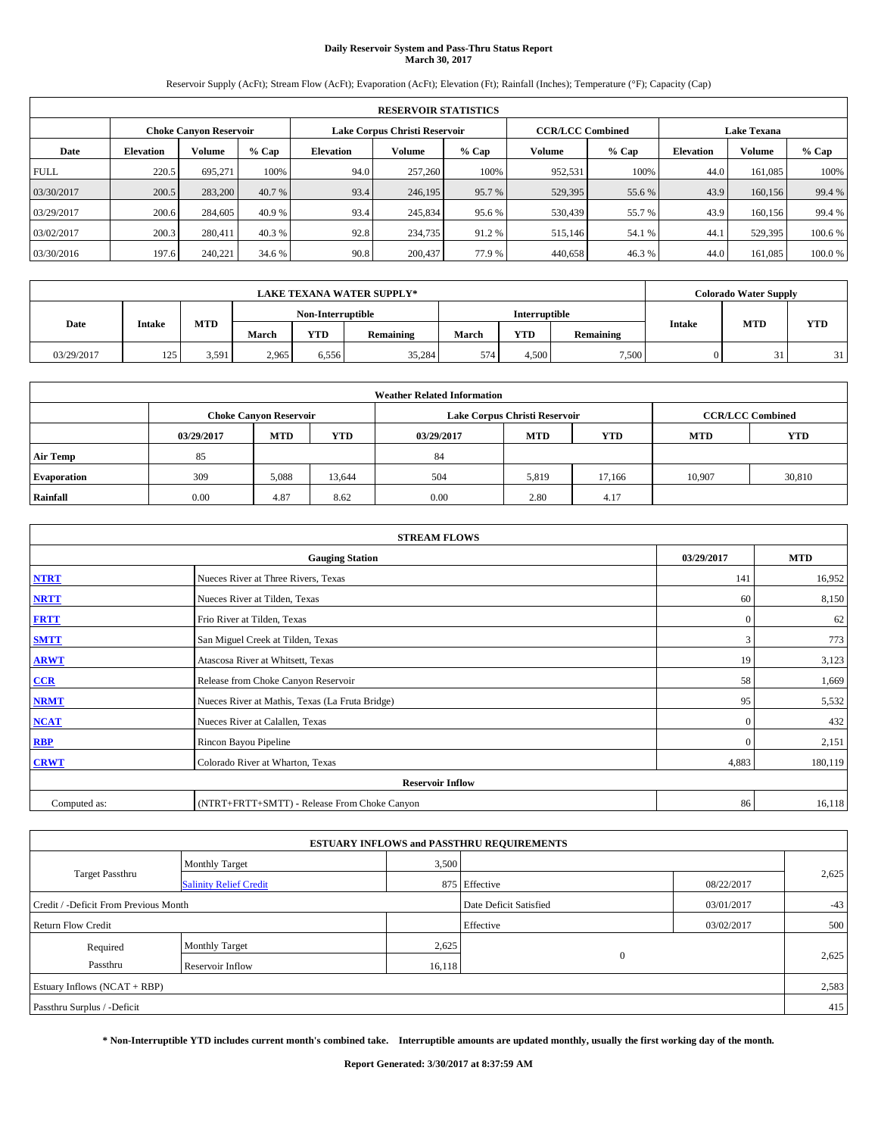# **Daily Reservoir System and Pass-Thru Status Report March 30, 2017**

Reservoir Supply (AcFt); Stream Flow (AcFt); Evaporation (AcFt); Elevation (Ft); Rainfall (Inches); Temperature (°F); Capacity (Cap)

|             | <b>RESERVOIR STATISTICS</b> |                        |         |                               |         |         |                         |         |                    |               |         |  |
|-------------|-----------------------------|------------------------|---------|-------------------------------|---------|---------|-------------------------|---------|--------------------|---------------|---------|--|
|             |                             | Choke Canvon Reservoir |         | Lake Corpus Christi Reservoir |         |         | <b>CCR/LCC Combined</b> |         | <b>Lake Texana</b> |               |         |  |
| Date        | <b>Elevation</b>            | Volume                 | $%$ Cap | <b>Elevation</b>              | Volume  | $%$ Cap | Volume                  | $%$ Cap | <b>Elevation</b>   | <b>Volume</b> | % Cap   |  |
| <b>FULL</b> | 220.5                       | 695.271                | 100%    | 94.0                          | 257,260 | 100%    | 952,531                 | 100%    | 44.0               | 161.085       | 100%    |  |
| 03/30/2017  | 200.5                       | 283,200                | 40.7 %  | 93.4                          | 246,195 | 95.7%   | 529,395                 | 55.6 %  | 43.9               | 160,156       | 99.4 %  |  |
| 03/29/2017  | 200.6                       | 284,605                | 40.9 %  | 93.4                          | 245,834 | 95.6 %  | 530,439                 | 55.7 %  | 43.9               | 160,156       | 99.4 %  |  |
| 03/02/2017  | 200.3                       | 280,411                | 40.3 %  | 92.8                          | 234,735 | 91.2 %  | 515,146                 | 54.1 %  | 44.                | 529.395       | 100.6 % |  |
| 03/30/2016  | 197.6                       | 240,221                | 34.6 %  | 90.8                          | 200,437 | 77.9 %  | 440,658                 | 46.3%   | 44.0               | 161.085       | 100.0%  |  |

| <b>LAKE TEXANA WATER SUPPLY*</b> |               |            |                   |       |           |                      | <b>Colorado Water Supply</b> |           |               |            |            |
|----------------------------------|---------------|------------|-------------------|-------|-----------|----------------------|------------------------------|-----------|---------------|------------|------------|
|                                  |               |            | Non-Interruptible |       |           | <b>Interruptible</b> |                              |           |               |            |            |
| Date                             | <b>Intake</b> | <b>MTD</b> | March             | YTD   | Remaining | March                | <b>YTD</b>                   | Remaining | <b>Intake</b> | <b>MTD</b> | <b>YTD</b> |
| 03/29/2017                       | 125           | 3,591      | 2,965             | 6.556 | 35,284    | 574                  | 4.500                        | 7.500     |               |            | 21         |

|                    | <b>Weather Related Information</b> |                               |            |            |                               |                         |            |            |  |  |  |
|--------------------|------------------------------------|-------------------------------|------------|------------|-------------------------------|-------------------------|------------|------------|--|--|--|
|                    |                                    | <b>Choke Canyon Reservoir</b> |            |            | Lake Corpus Christi Reservoir | <b>CCR/LCC Combined</b> |            |            |  |  |  |
|                    | 03/29/2017                         | <b>MTD</b>                    | <b>YTD</b> | 03/29/2017 | <b>MTD</b>                    | <b>YTD</b>              | <b>MTD</b> | <b>YTD</b> |  |  |  |
| <b>Air Temp</b>    | 85                                 |                               |            | 84         |                               |                         |            |            |  |  |  |
| <b>Evaporation</b> | 309                                | 5,088                         | 13,644     | 504        | 5,819                         | 17.166                  | 10.907     | 30,810     |  |  |  |
| Rainfall           | 0.00                               | 4.87                          | 8.62       | 0.00       | 2.80                          | 4.17                    |            |            |  |  |  |

| <b>STREAM FLOWS</b> |                                                 |              |         |  |  |  |  |  |  |
|---------------------|-------------------------------------------------|--------------|---------|--|--|--|--|--|--|
|                     | <b>Gauging Station</b>                          |              |         |  |  |  |  |  |  |
| <b>NTRT</b>         | Nueces River at Three Rivers, Texas             | 141          | 16,952  |  |  |  |  |  |  |
| <b>NRTT</b>         | Nueces River at Tilden, Texas                   | 60           | 8,150   |  |  |  |  |  |  |
| <b>FRTT</b>         | Frio River at Tilden, Texas                     | $\mathbf{0}$ | 62      |  |  |  |  |  |  |
| <b>SMTT</b>         | San Miguel Creek at Tilden, Texas               | 3            | 773     |  |  |  |  |  |  |
| <b>ARWT</b>         | Atascosa River at Whitsett, Texas               | 19           | 3,123   |  |  |  |  |  |  |
| $CCR$               | Release from Choke Canyon Reservoir             | 58           | 1,669   |  |  |  |  |  |  |
| <b>NRMT</b>         | Nueces River at Mathis, Texas (La Fruta Bridge) | 95           | 5,532   |  |  |  |  |  |  |
| <b>NCAT</b>         | Nueces River at Calallen, Texas                 | $\mathbf{0}$ | 432     |  |  |  |  |  |  |
| RBP                 | Rincon Bayou Pipeline                           | $\Omega$     | 2,151   |  |  |  |  |  |  |
| <b>CRWT</b>         | Colorado River at Wharton, Texas                | 4,883        | 180,119 |  |  |  |  |  |  |
|                     | <b>Reservoir Inflow</b>                         |              |         |  |  |  |  |  |  |
| Computed as:        | (NTRT+FRTT+SMTT) - Release From Choke Canyon    |              |         |  |  |  |  |  |  |

|                                       |                               |                        | <b>ESTUARY INFLOWS and PASSTHRU REQUIREMENTS</b> |            |       |
|---------------------------------------|-------------------------------|------------------------|--------------------------------------------------|------------|-------|
|                                       | <b>Monthly Target</b>         | 3,500                  |                                                  |            |       |
| Target Passthru                       | <b>Salinity Relief Credit</b> |                        | 875 Effective                                    | 08/22/2017 | 2,625 |
| Credit / -Deficit From Previous Month |                               | Date Deficit Satisfied | 03/01/2017                                       | $-43$      |       |
| <b>Return Flow Credit</b>             |                               |                        | Effective                                        | 03/02/2017 | 500   |
| Required                              | <b>Monthly Target</b>         | 2,625                  |                                                  |            |       |
| Passthru                              | Reservoir Inflow              | 16,118                 | $\mathbf{0}$                                     |            | 2,625 |
| Estuary Inflows $(NCAT + RBP)$        |                               |                        |                                                  |            | 2,583 |
| Passthru Surplus / -Deficit           |                               |                        |                                                  |            | 415   |